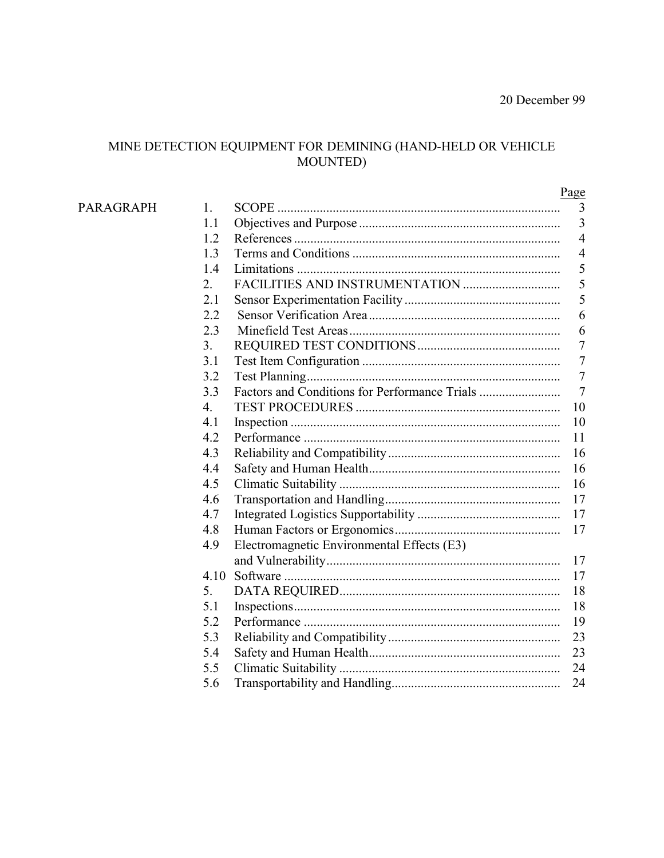# $\begin{array}{c} \text{MINE DETECTION EQUIPMENT FOR DEMINING (HAND-HELD OR VEHICLE} \\ \text{MOUNTED)} \end{array}$

|                  |                  |                                            | Page             |
|------------------|------------------|--------------------------------------------|------------------|
| <b>PARAGRAPH</b> | 1.               |                                            | 3                |
|                  | 1.1              |                                            | $\mathfrak{Z}$   |
|                  | 1.2              |                                            | $\overline{4}$   |
|                  | 1.3              |                                            | $\overline{4}$   |
|                  | 1.4              |                                            | 5                |
|                  | 2.               |                                            | 5                |
|                  | 2.1              |                                            | 5                |
|                  | 2.2              |                                            | 6                |
|                  | 2.3              |                                            | 6                |
|                  | 3 <sub>1</sub>   |                                            | $\boldsymbol{7}$ |
|                  | 3.1              |                                            | $\overline{7}$   |
|                  | 3.2              |                                            | $\overline{7}$   |
|                  | 3.3              |                                            | $\overline{7}$   |
|                  | $\overline{4}$ . |                                            | 10               |
|                  | 4.1              |                                            | 10               |
|                  | 4.2              |                                            | 11               |
|                  | 4.3              |                                            | 16               |
|                  | 4.4              |                                            | 16               |
|                  | 4.5              |                                            | 16               |
|                  | 4.6              |                                            | 17               |
|                  | 4.7              |                                            | 17               |
|                  | 4.8              |                                            | 17               |
|                  | 4.9              | Electromagnetic Environmental Effects (E3) |                  |
|                  |                  |                                            | 17               |
|                  | 4.10             |                                            | 17               |
|                  | 5.               |                                            | 18               |
|                  | 5.1              |                                            | 18               |
|                  | 5.2              |                                            | 19               |
|                  | 5.3              |                                            | 23               |
|                  | 5.4              |                                            | 23               |
|                  | 5.5              |                                            | 24               |
|                  | 5.6              |                                            | 24               |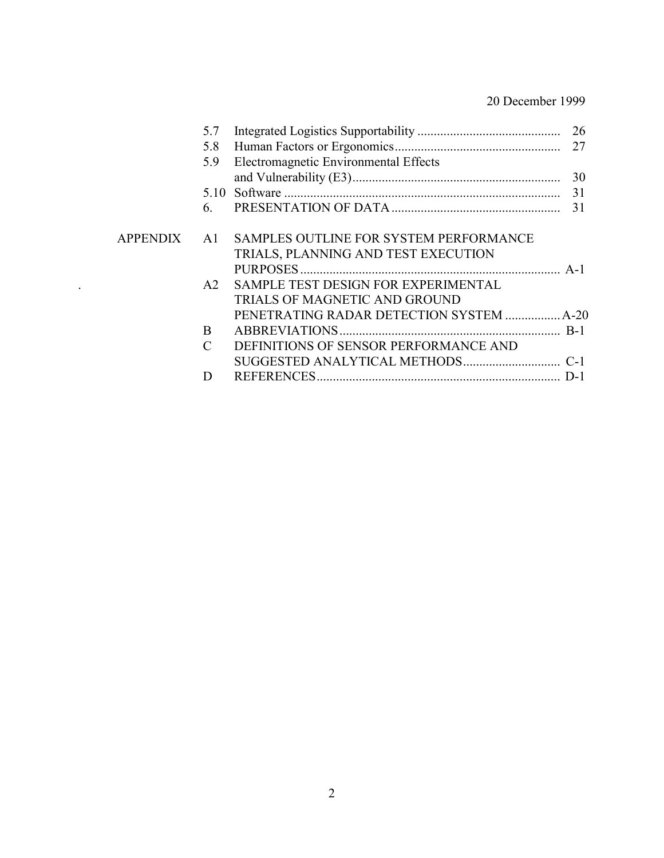| 5.7                         |                                        |    |
|-----------------------------|----------------------------------------|----|
| 5.8                         |                                        |    |
| 5.9                         | Electromagnetic Environmental Effects  |    |
|                             |                                        | 30 |
|                             |                                        | 31 |
| 6.                          |                                        | 31 |
| <b>APPENDIX</b><br>A1       | SAMPLES OUTLINE FOR SYSTEM PERFORMANCE |    |
|                             | TRIALS, PLANNING AND TEST EXECUTION    |    |
|                             |                                        |    |
| A2                          | SAMPLE TEST DESIGN FOR EXPERIMENTAL    |    |
|                             | TRIALS OF MAGNETIC AND GROUND          |    |
|                             |                                        |    |
| B                           |                                        |    |
| $\mathcal{C}_{\mathcal{C}}$ | DEFINITIONS OF SENSOR PERFORMANCE AND  |    |
|                             |                                        |    |
| D                           |                                        |    |
|                             |                                        |    |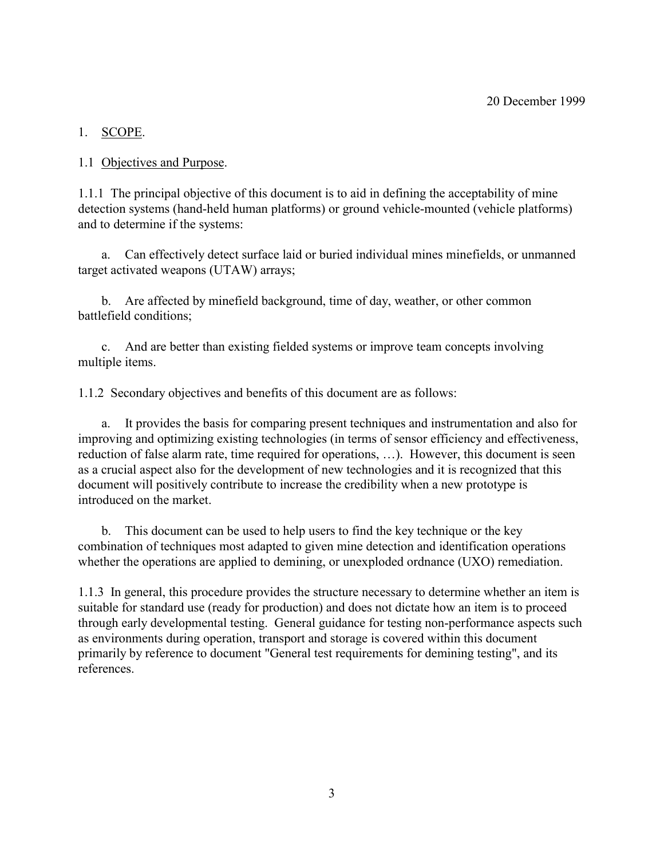# 1. SCOPE.

1.1 Objectives and Purpose.

1.1.1 The principal objective of this document is to aid in defining the acceptability of mine detection systems (hand-held human platforms) or ground vehicle-mounted (vehicle platforms) and to determine if the systems:

a. Can effectively detect surface laid or buried individual mines minefields, or unmanned target activated weapons (UTAW) arrays;

b. Are affected by minefield background, time of day, weather, or other common battlefield conditions;

c. And are better than existing fielded systems or improve team concepts involving multiple items.

1.1.2 Secondary objectives and benefits of this document are as follows:

a. It provides the basis for comparing present techniques and instrumentation and also for improving and optimizing existing technologies (in terms of sensor efficiency and effectiveness, reduction of false alarm rate, time required for operations, ...). However, this document is seen as a crucial aspect also for the development of new technologies and it is recognized that this document will positively contribute to increase the credibility when a new prototype is introduced on the market.

b. This document can be used to help users to find the key technique or the key combination of techniques most adapted to given mine detection and identification operations whether the operations are applied to demining, or unexploded ordnance (UXO) remediation.

1.1.3 In general, this procedure provides the structure necessary to determine whether an item is suitable for standard use (ready for production) and does not dictate how an item is to proceed through early developmental testing. General guidance for testing non-performance aspects such as environments during operation, transport and storage is covered within this document primarily by reference to document "General test requirements for demining testing", and its references.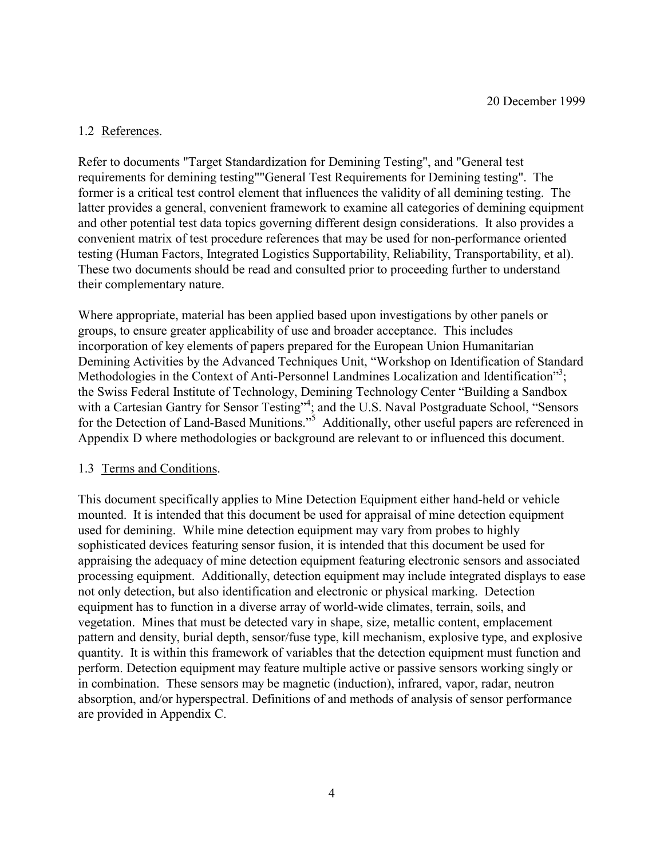## 1.2 References.

Refer to documents "Target Standardization for Demining Testing", and "General test requirements for demining testing""General Test Requirements for Demining testing". The former is a critical test control element that influences the validity of all demining testing. The latter provides a general, convenient framework to examine all categories of demining equipment and other potential test data topics governing different design considerations. It also provides a convenient matrix of test procedure references that may be used for non-performance oriented testing (Human Factors, Integrated Logistics Supportability, Reliability, Transportability, et al). These two documents should be read and consulted prior to proceeding further to understand their complementary nature.

Where appropriate, material has been applied based upon investigations by other panels or groups, to ensure greater applicability of use and broader acceptance. This includes incorporation of key elements of papers prepared for the European Union Humanitarian Demining Activities by the Advanced Techniques Unit, "Workshop on Identification of Standard Methodologies in the Context of Anti-Personnel Landmines Localization and Identification"<sup>3</sup>; the Swiss Federal Institute of Technology, Demining Technology Center "Building a Sandbox with a Cartesian Gantry for Sensor Testing"<sup>4</sup>; and the U.S. Naval Postgraduate School, "Sensors for the Detection of Land-Based Munitions."<sup>5</sup> Additionally, other useful papers are referenced in Appendix D where methodologies or background are relevant to or influenced this document.

## 1.3 Terms and Conditions.

This document specifically applies to Mine Detection Equipment either hand-held or vehicle mounted. It is intended that this document be used for appraisal of mine detection equipment used for demining. While mine detection equipment may vary from probes to highly sophisticated devices featuring sensor fusion, it is intended that this document be used for appraising the adequacy of mine detection equipment featuring electronic sensors and associated processing equipment. Additionally, detection equipment may include integrated displays to ease not only detection, but also identification and electronic or physical marking. Detection equipment has to function in a diverse array of world-wide climates, terrain, soils, and vegetation. Mines that must be detected vary in shape, size, metallic content, emplacement pattern and density, burial depth, sensor/fuse type, kill mechanism, explosive type, and explosive quantity. It is within this framework of variables that the detection equipment must function and perform. Detection equipment may feature multiple active or passive sensors working singly or in combination. These sensors may be magnetic (induction), infrared, vapor, radar, neutron absorption, and/or hyperspectral. Definitions of and methods of analysis of sensor performance are provided in Appendix C.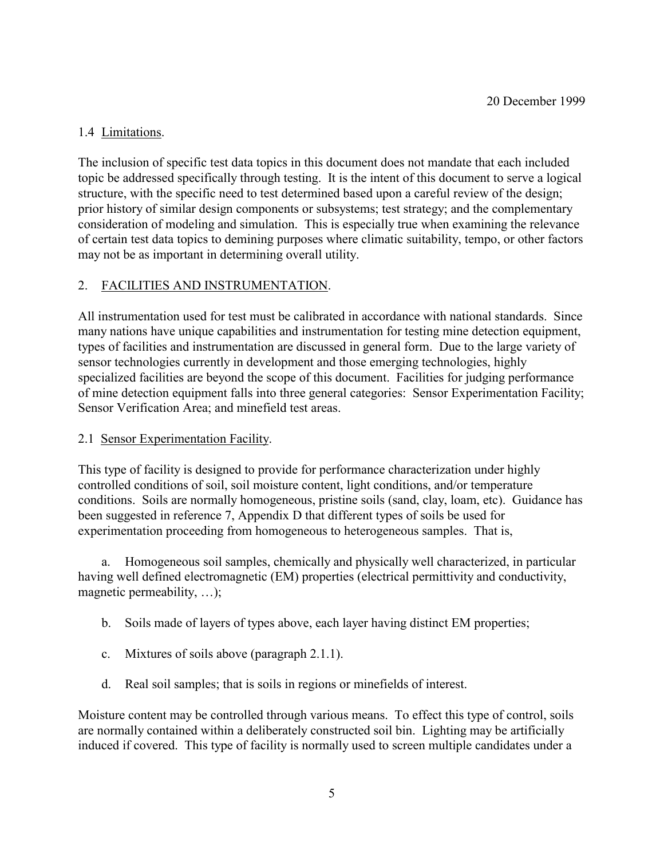# 1.4 Limitations.

The inclusion of specific test data topics in this document does not mandate that each included topic be addressed specifically through testing. It is the intent of this document to serve a logical structure, with the specific need to test determined based upon a careful review of the design; prior history of similar design components or subsystems; test strategy; and the complementary consideration of modeling and simulation. This is especially true when examining the relevance of certain test data topics to demining purposes where climatic suitability, tempo, or other factors may not be as important in determining overall utility.

## 2. FACILITIES AND INSTRUMENTATION.

All instrumentation used for test must be calibrated in accordance with national standards. Since many nations have unique capabilities and instrumentation for testing mine detection equipment, types of facilities and instrumentation are discussed in general form. Due to the large variety of sensor technologies currently in development and those emerging technologies, highly specialized facilities are beyond the scope of this document. Facilities for judging performance of mine detection equipment falls into three general categories: Sensor Experimentation Facility; Sensor Verification Area; and minefield test areas.

## 2.1 Sensor Experimentation Facility.

This type of facility is designed to provide for performance characterization under highly controlled conditions of soil, soil moisture content, light conditions, and/or temperature conditions. Soils are normally homogeneous, pristine soils (sand, clay, loam, etc). Guidance has been suggested in reference 7, Appendix D that different types of soils be used for experimentation proceeding from homogeneous to heterogeneous samples. That is,

a. Homogeneous soil samples, chemically and physically well characterized, in particular having well defined electromagnetic (EM) properties (electrical permittivity and conductivity, magnetic permeability,  $\dots$ );

- b. Soils made of layers of types above, each layer having distinct EM properties;
- c. Mixtures of soils above (paragraph 2.1.1).
- d. Real soil samples; that is soils in regions or minefields of interest.

Moisture content may be controlled through various means. To effect this type of control, soils are normally contained within a deliberately constructed soil bin. Lighting may be artificially induced if covered. This type of facility is normally used to screen multiple candidates under a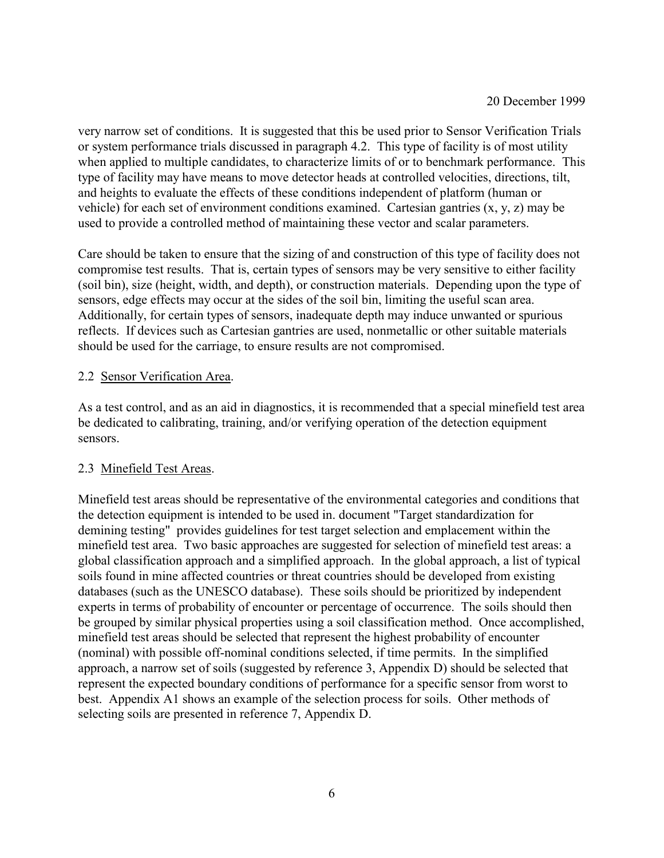very narrow set of conditions. It is suggested that this be used prior to Sensor Verification Trials or system performance trials discussed in paragraph 4.2. This type of facility is of most utility when applied to multiple candidates, to characterize limits of or to benchmark performance. This type of facility may have means to move detector heads at controlled velocities, directions, tilt, and heights to evaluate the effects of these conditions independent of platform (human or vehicle) for each set of environment conditions examined. Cartesian gantries (x, y, z) may be used to provide a controlled method of maintaining these vector and scalar parameters.

Care should be taken to ensure that the sizing of and construction of this type of facility does not compromise test results. That is, certain types of sensors may be very sensitive to either facility (soil bin), size (height, width, and depth), or construction materials. Depending upon the type of sensors, edge effects may occur at the sides of the soil bin, limiting the useful scan area. Additionally, for certain types of sensors, inadequate depth may induce unwanted or spurious reflects. If devices such as Cartesian gantries are used, nonmetallic or other suitable materials should be used for the carriage, to ensure results are not compromised.

## 2.2 Sensor Verification Area.

As a test control, and as an aid in diagnostics, it is recommended that a special minefield test area be dedicated to calibrating, training, and/or verifying operation of the detection equipment sensors.

## 2.3 Minefield Test Areas.

Minefield test areas should be representative of the environmental categories and conditions that the detection equipment is intended to be used in. document "Target standardization for demining testing" provides guidelines for test target selection and emplacement within the minefield test area. Two basic approaches are suggested for selection of minefield test areas: a global classification approach and a simplified approach. In the global approach, a list of typical soils found in mine affected countries or threat countries should be developed from existing databases (such as the UNESCO database). These soils should be prioritized by independent experts in terms of probability of encounter or percentage of occurrence. The soils should then be grouped by similar physical properties using a soil classification method. Once accomplished, minefield test areas should be selected that represent the highest probability of encounter (nominal) with possible off-nominal conditions selected, if time permits. In the simplified approach, a narrow set of soils (suggested by reference 3, Appendix D) should be selected that represent the expected boundary conditions of performance for a specific sensor from worst to best. Appendix A1 shows an example of the selection process for soils. Other methods of selecting soils are presented in reference 7, Appendix D.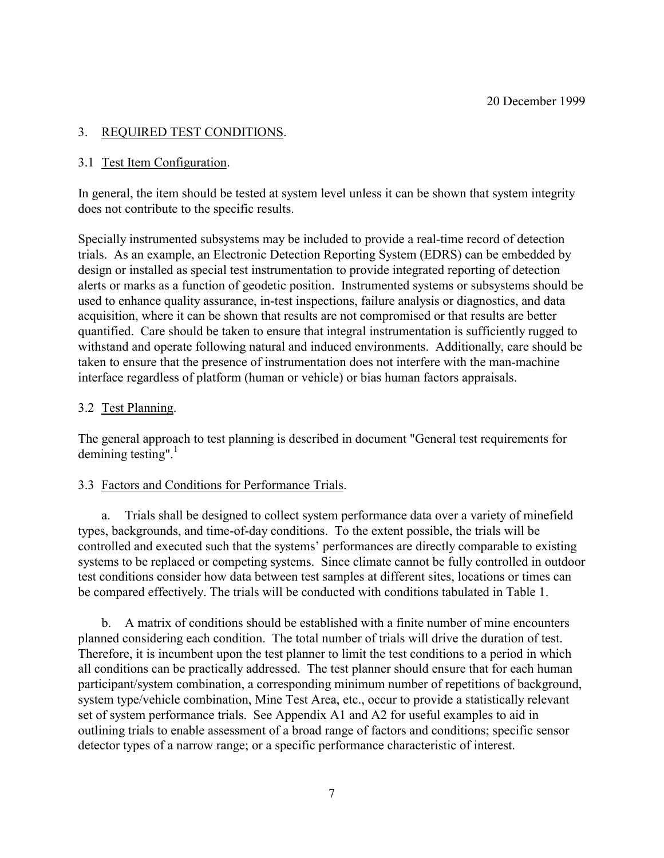## 3. REQUIRED TEST CONDITIONS.

## 3.1 Test Item Configuration.

In general, the item should be tested at system level unless it can be shown that system integrity does not contribute to the specific results.

Specially instrumented subsystems may be included to provide a real-time record of detection trials. As an example, an Electronic Detection Reporting System (EDRS) can be embedded by design or installed as special test instrumentation to provide integrated reporting of detection alerts or marks as a function of geodetic position. Instrumented systems or subsystems should be used to enhance quality assurance, in-test inspections, failure analysis or diagnostics, and data acquisition, where it can be shown that results are not compromised or that results are better quantified. Care should be taken to ensure that integral instrumentation is sufficiently rugged to withstand and operate following natural and induced environments. Additionally, care should be taken to ensure that the presence of instrumentation does not interfere with the man-machine interface regardless of platform (human or vehicle) or bias human factors appraisals.

## 3.2 Test Planning.

The general approach to test planning is described in document "General test requirements for demining testing". $\frac{1}{1}$ 

## 3.3 Factors and Conditions for Performance Trials.

a. Trials shall be designed to collect system performance data over a variety of minefield types, backgrounds, and time-of-day conditions. To the extent possible, the trials will be controlled and executed such that the systems' performances are directly comparable to existing systems to be replaced or competing systems. Since climate cannot be fully controlled in outdoor test conditions consider how data between test samples at different sites, locations or times can be compared effectively. The trials will be conducted with conditions tabulated in Table 1.

b. A matrix of conditions should be established with a finite number of mine encounters planned considering each condition. The total number of trials will drive the duration of test. Therefore, it is incumbent upon the test planner to limit the test conditions to a period in which all conditions can be practically addressed. The test planner should ensure that for each human participant/system combination, a corresponding minimum number of repetitions of background, system type/vehicle combination, Mine Test Area, etc., occur to provide a statistically relevant set of system performance trials. See Appendix A1 and A2 for useful examples to aid in outlining trials to enable assessment of a broad range of factors and conditions; specific sensor detector types of a narrow range; or a specific performance characteristic of interest.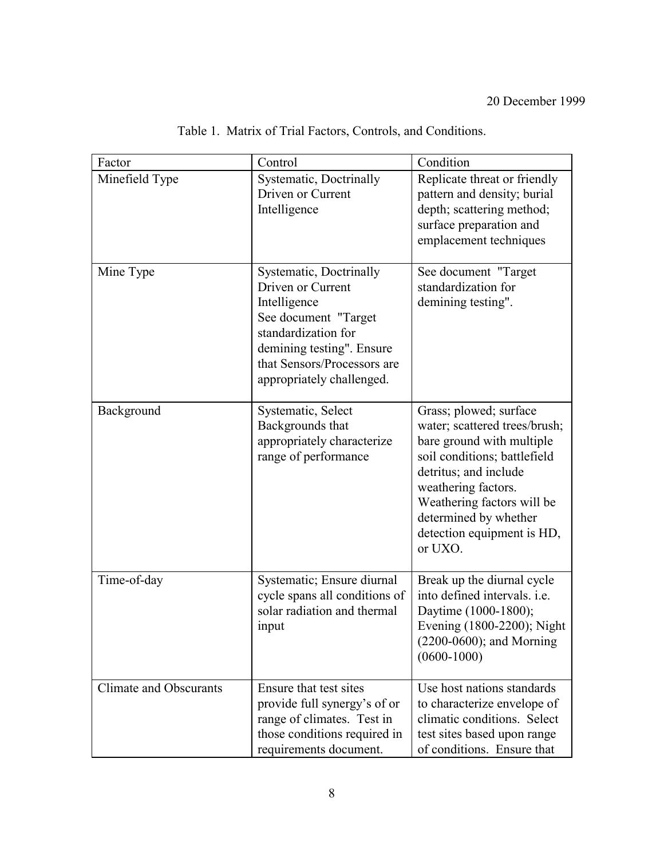| Factor                 | Control                                                                                                                                                                                              | Condition                                                                                                                                                                                                                                                            |
|------------------------|------------------------------------------------------------------------------------------------------------------------------------------------------------------------------------------------------|----------------------------------------------------------------------------------------------------------------------------------------------------------------------------------------------------------------------------------------------------------------------|
| Minefield Type         | Systematic, Doctrinally<br>Driven or Current<br>Intelligence                                                                                                                                         | Replicate threat or friendly<br>pattern and density; burial<br>depth; scattering method;<br>surface preparation and<br>emplacement techniques                                                                                                                        |
| Mine Type              | Systematic, Doctrinally<br>Driven or Current<br>Intelligence<br>See document "Target<br>standardization for<br>demining testing". Ensure<br>that Sensors/Processors are<br>appropriately challenged. | See document "Target<br>standardization for<br>demining testing".                                                                                                                                                                                                    |
| Background             | Systematic, Select<br>Backgrounds that<br>appropriately characterize<br>range of performance                                                                                                         | Grass; plowed; surface<br>water; scattered trees/brush;<br>bare ground with multiple<br>soil conditions; battlefield<br>detritus; and include<br>weathering factors.<br>Weathering factors will be<br>determined by whether<br>detection equipment is HD,<br>or UXO. |
| Time-of-day            | Systematic; Ensure diurnal<br>cycle spans all conditions of<br>solar radiation and thermal<br>input                                                                                                  | Break up the diurnal cycle<br>into defined intervals. i.e.<br>Daytime (1000-1800);<br>Evening (1800-2200); Night<br>$(2200-0600)$ ; and Morning<br>$(0600 - 1000)$                                                                                                   |
| Climate and Obscurants | Ensure that test sites<br>provide full synergy's of or<br>range of climates. Test in<br>those conditions required in<br>requirements document.                                                       | Use host nations standards<br>to characterize envelope of<br>climatic conditions. Select<br>test sites based upon range<br>of conditions. Ensure that                                                                                                                |

Table 1. Matrix of Trial Factors, Controls, and Conditions.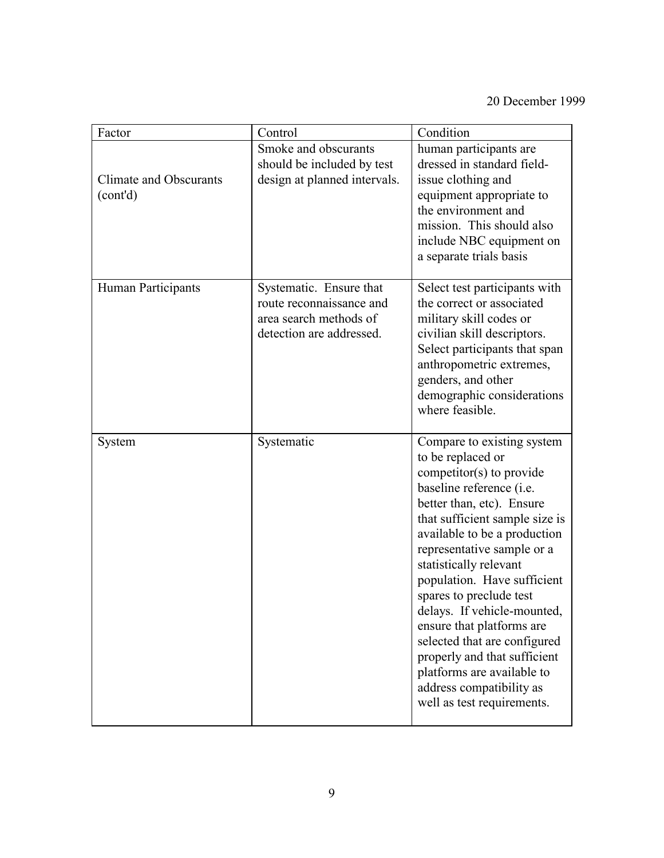| Factor                             | Control                                                                                                   | Condition                                                                                                                                                                                                                                                                                                                                                                                                                                                                                                                                    |
|------------------------------------|-----------------------------------------------------------------------------------------------------------|----------------------------------------------------------------------------------------------------------------------------------------------------------------------------------------------------------------------------------------------------------------------------------------------------------------------------------------------------------------------------------------------------------------------------------------------------------------------------------------------------------------------------------------------|
| Climate and Obscurants<br>(cont'd) | Smoke and obscurants<br>should be included by test<br>design at planned intervals.                        | human participants are<br>dressed in standard field-<br>issue clothing and<br>equipment appropriate to<br>the environment and<br>mission. This should also<br>include NBC equipment on<br>a separate trials basis                                                                                                                                                                                                                                                                                                                            |
| Human Participants                 | Systematic. Ensure that<br>route reconnaissance and<br>area search methods of<br>detection are addressed. | Select test participants with<br>the correct or associated<br>military skill codes or<br>civilian skill descriptors.<br>Select participants that span<br>anthropometric extremes,<br>genders, and other<br>demographic considerations<br>where feasible.                                                                                                                                                                                                                                                                                     |
| System                             | Systematic                                                                                                | Compare to existing system<br>to be replaced or<br>competitor(s) to provide<br>baseline reference (i.e.<br>better than, etc). Ensure<br>that sufficient sample size is<br>available to be a production<br>representative sample or a<br>statistically relevant<br>population. Have sufficient<br>spares to preclude test<br>delays. If vehicle-mounted,<br>ensure that platforms are<br>selected that are configured<br>properly and that sufficient<br>platforms are available to<br>address compatibility as<br>well as test requirements. |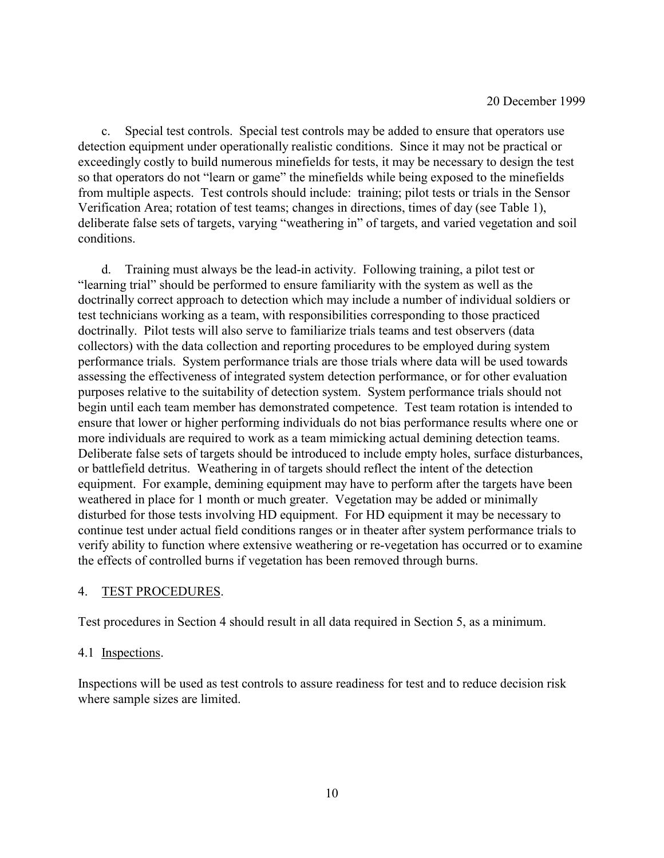c. Special test controls. Special test controls may be added to ensure that operators use detection equipment under operationally realistic conditions. Since it may not be practical or exceedingly costly to build numerous minefields for tests, it may be necessary to design the test so that operators do not "learn or game" the minefields while being exposed to the minefields from multiple aspects. Test controls should include: training; pilot tests or trials in the Sensor Verification Area; rotation of test teams; changes in directions, times of day (see Table 1), deliberate false sets of targets, varying "weathering in" of targets, and varied vegetation and soil conditions.

d. Training must always be the lead-in activity. Following training, a pilot test or ìlearning trialî should be performed to ensure familiarity with the system as well as the doctrinally correct approach to detection which may include a number of individual soldiers or test technicians working as a team, with responsibilities corresponding to those practiced doctrinally. Pilot tests will also serve to familiarize trials teams and test observers (data collectors) with the data collection and reporting procedures to be employed during system performance trials. System performance trials are those trials where data will be used towards assessing the effectiveness of integrated system detection performance, or for other evaluation purposes relative to the suitability of detection system. System performance trials should not begin until each team member has demonstrated competence. Test team rotation is intended to ensure that lower or higher performing individuals do not bias performance results where one or more individuals are required to work as a team mimicking actual demining detection teams. Deliberate false sets of targets should be introduced to include empty holes, surface disturbances, or battlefield detritus. Weathering in of targets should reflect the intent of the detection equipment. For example, demining equipment may have to perform after the targets have been weathered in place for 1 month or much greater. Vegetation may be added or minimally disturbed for those tests involving HD equipment. For HD equipment it may be necessary to continue test under actual field conditions ranges or in theater after system performance trials to verify ability to function where extensive weathering or re-vegetation has occurred or to examine the effects of controlled burns if vegetation has been removed through burns.

#### 4. TEST PROCEDURES.

Test procedures in Section 4 should result in all data required in Section 5, as a minimum.

#### 4.1 Inspections.

Inspections will be used as test controls to assure readiness for test and to reduce decision risk where sample sizes are limited.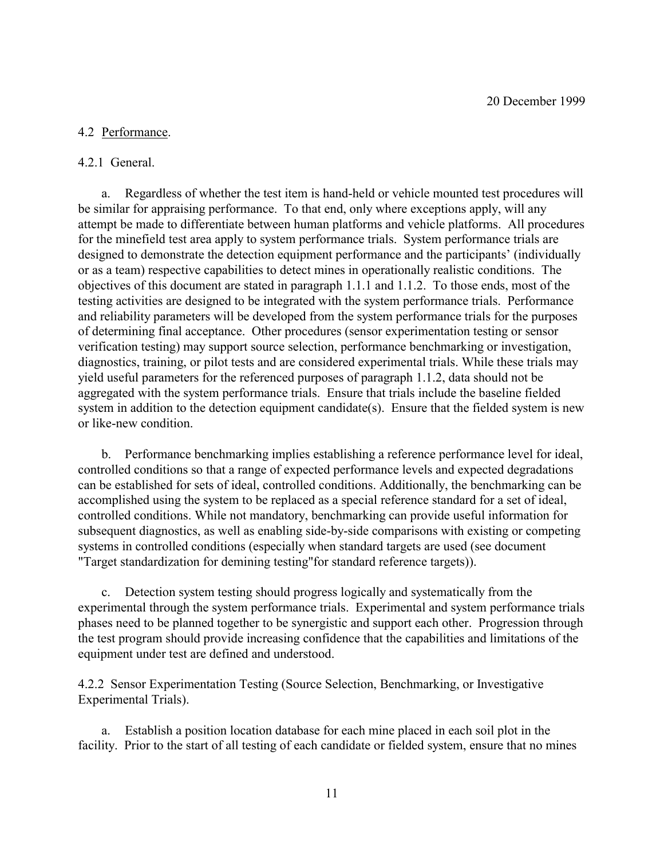#### 4.2 Performance.

#### 4.2.1 General.

a. Regardless of whether the test item is hand-held or vehicle mounted test procedures will be similar for appraising performance. To that end, only where exceptions apply, will any attempt be made to differentiate between human platforms and vehicle platforms. All procedures for the minefield test area apply to system performance trials. System performance trials are designed to demonstrate the detection equipment performance and the participants' (individually or as a team) respective capabilities to detect mines in operationally realistic conditions. The objectives of this document are stated in paragraph 1.1.1 and 1.1.2. To those ends, most of the testing activities are designed to be integrated with the system performance trials. Performance and reliability parameters will be developed from the system performance trials for the purposes of determining final acceptance. Other procedures (sensor experimentation testing or sensor verification testing) may support source selection, performance benchmarking or investigation, diagnostics, training, or pilot tests and are considered experimental trials. While these trials may yield useful parameters for the referenced purposes of paragraph 1.1.2, data should not be aggregated with the system performance trials. Ensure that trials include the baseline fielded system in addition to the detection equipment candidate(s). Ensure that the fielded system is new or like-new condition.

b. Performance benchmarking implies establishing a reference performance level for ideal, controlled conditions so that a range of expected performance levels and expected degradations can be established for sets of ideal, controlled conditions. Additionally, the benchmarking can be accomplished using the system to be replaced as a special reference standard for a set of ideal, controlled conditions. While not mandatory, benchmarking can provide useful information for subsequent diagnostics, as well as enabling side-by-side comparisons with existing or competing systems in controlled conditions (especially when standard targets are used (see document "Target standardization for demining testing"for standard reference targets)).

c. Detection system testing should progress logically and systematically from the experimental through the system performance trials. Experimental and system performance trials phases need to be planned together to be synergistic and support each other. Progression through the test program should provide increasing confidence that the capabilities and limitations of the equipment under test are defined and understood.

4.2.2 Sensor Experimentation Testing (Source Selection, Benchmarking, or Investigative Experimental Trials).

a. Establish a position location database for each mine placed in each soil plot in the facility. Prior to the start of all testing of each candidate or fielded system, ensure that no mines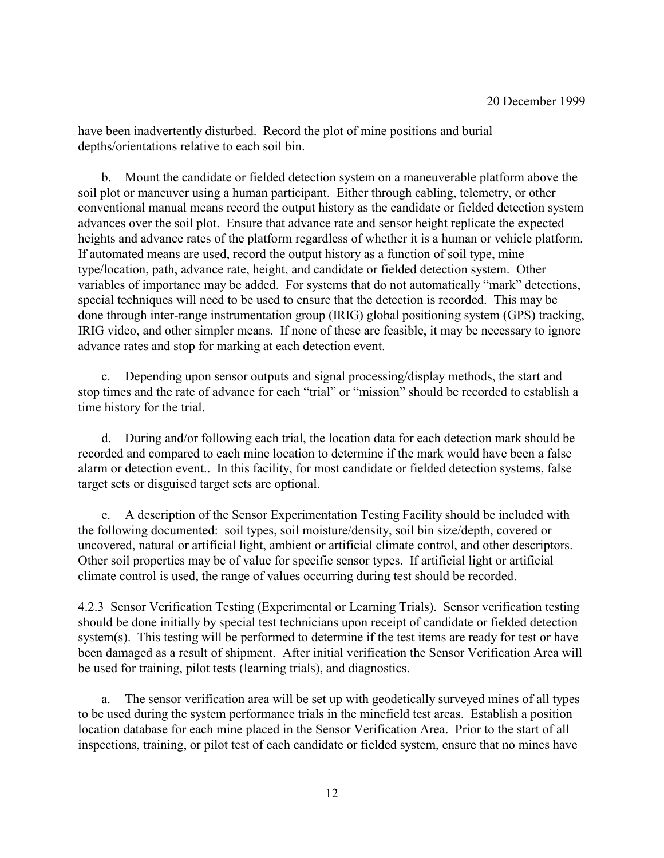have been inadvertently disturbed. Record the plot of mine positions and burial depths/orientations relative to each soil bin.

b. Mount the candidate or fielded detection system on a maneuverable platform above the soil plot or maneuver using a human participant. Either through cabling, telemetry, or other conventional manual means record the output history as the candidate or fielded detection system advances over the soil plot. Ensure that advance rate and sensor height replicate the expected heights and advance rates of the platform regardless of whether it is a human or vehicle platform. If automated means are used, record the output history as a function of soil type, mine type/location, path, advance rate, height, and candidate or fielded detection system. Other variables of importance may be added. For systems that do not automatically "mark" detections, special techniques will need to be used to ensure that the detection is recorded. This may be done through inter-range instrumentation group (IRIG) global positioning system (GPS) tracking, IRIG video, and other simpler means. If none of these are feasible, it may be necessary to ignore advance rates and stop for marking at each detection event.

c. Depending upon sensor outputs and signal processing/display methods, the start and stop times and the rate of advance for each "trial" or "mission" should be recorded to establish a time history for the trial.

d. During and/or following each trial, the location data for each detection mark should be recorded and compared to each mine location to determine if the mark would have been a false alarm or detection event.. In this facility, for most candidate or fielded detection systems, false target sets or disguised target sets are optional.

e. A description of the Sensor Experimentation Testing Facility should be included with the following documented: soil types, soil moisture/density, soil bin size/depth, covered or uncovered, natural or artificial light, ambient or artificial climate control, and other descriptors. Other soil properties may be of value for specific sensor types. If artificial light or artificial climate control is used, the range of values occurring during test should be recorded.

4.2.3 Sensor Verification Testing (Experimental or Learning Trials). Sensor verification testing should be done initially by special test technicians upon receipt of candidate or fielded detection system(s). This testing will be performed to determine if the test items are ready for test or have been damaged as a result of shipment. After initial verification the Sensor Verification Area will be used for training, pilot tests (learning trials), and diagnostics.

a. The sensor verification area will be set up with geodetically surveyed mines of all types to be used during the system performance trials in the minefield test areas. Establish a position location database for each mine placed in the Sensor Verification Area. Prior to the start of all inspections, training, or pilot test of each candidate or fielded system, ensure that no mines have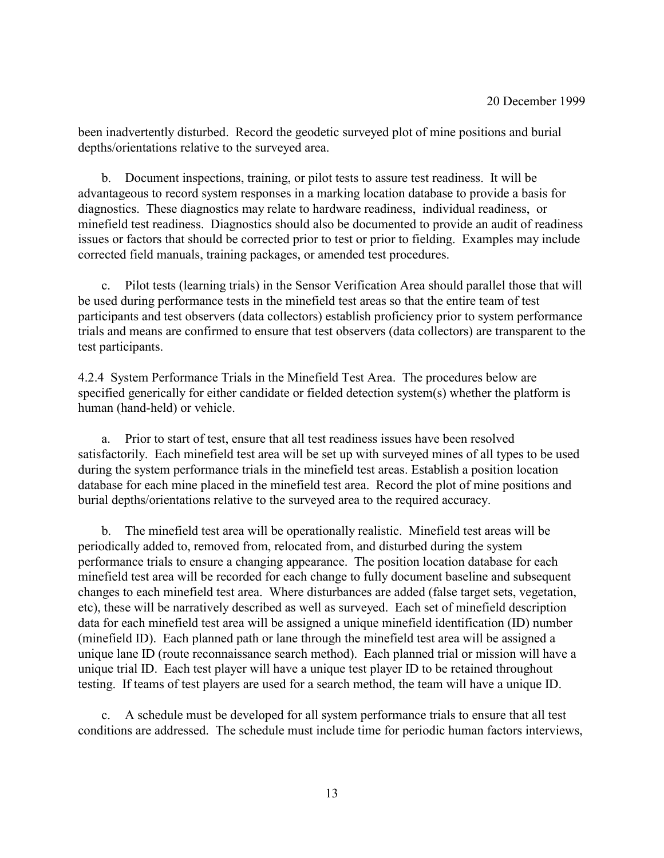been inadvertently disturbed. Record the geodetic surveyed plot of mine positions and burial depths/orientations relative to the surveyed area.

b. Document inspections, training, or pilot tests to assure test readiness. It will be advantageous to record system responses in a marking location database to provide a basis for diagnostics. These diagnostics may relate to hardware readiness, individual readiness, or minefield test readiness. Diagnostics should also be documented to provide an audit of readiness issues or factors that should be corrected prior to test or prior to fielding. Examples may include corrected field manuals, training packages, or amended test procedures.

c. Pilot tests (learning trials) in the Sensor Verification Area should parallel those that will be used during performance tests in the minefield test areas so that the entire team of test participants and test observers (data collectors) establish proficiency prior to system performance trials and means are confirmed to ensure that test observers (data collectors) are transparent to the test participants.

4.2.4 System Performance Trials in the Minefield Test Area. The procedures below are specified generically for either candidate or fielded detection system(s) whether the platform is human (hand-held) or vehicle.

a. Prior to start of test, ensure that all test readiness issues have been resolved satisfactorily. Each minefield test area will be set up with surveyed mines of all types to be used during the system performance trials in the minefield test areas. Establish a position location database for each mine placed in the minefield test area. Record the plot of mine positions and burial depths/orientations relative to the surveyed area to the required accuracy.

b. The minefield test area will be operationally realistic. Minefield test areas will be periodically added to, removed from, relocated from, and disturbed during the system performance trials to ensure a changing appearance. The position location database for each minefield test area will be recorded for each change to fully document baseline and subsequent changes to each minefield test area. Where disturbances are added (false target sets, vegetation, etc), these will be narratively described as well as surveyed. Each set of minefield description data for each minefield test area will be assigned a unique minefield identification (ID) number (minefield ID). Each planned path or lane through the minefield test area will be assigned a unique lane ID (route reconnaissance search method). Each planned trial or mission will have a unique trial ID. Each test player will have a unique test player ID to be retained throughout testing. If teams of test players are used for a search method, the team will have a unique ID.

c. A schedule must be developed for all system performance trials to ensure that all test conditions are addressed. The schedule must include time for periodic human factors interviews,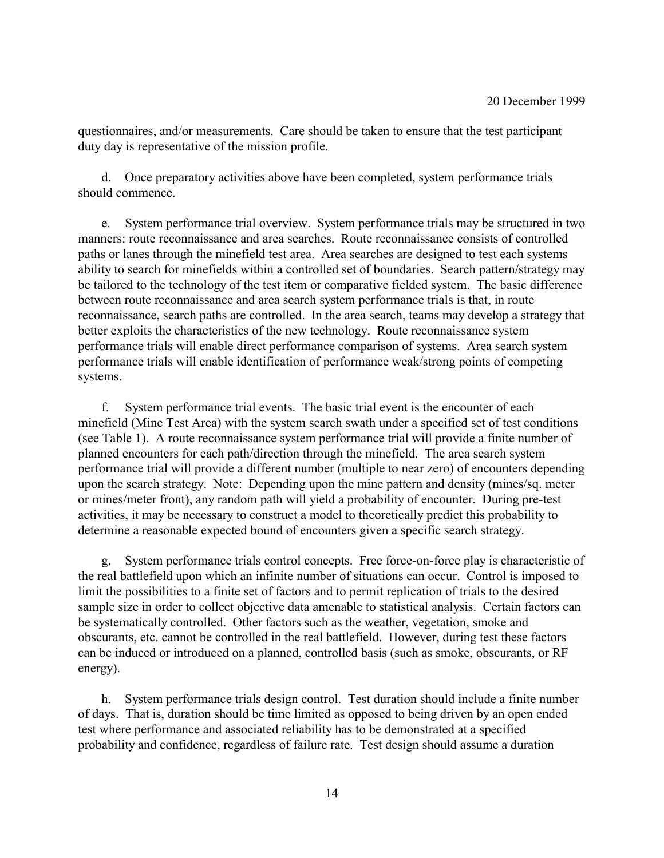questionnaires, and/or measurements. Care should be taken to ensure that the test participant duty day is representative of the mission profile.

d. Once preparatory activities above have been completed, system performance trials should commence.

e. System performance trial overview. System performance trials may be structured in two manners: route reconnaissance and area searches. Route reconnaissance consists of controlled paths or lanes through the minefield test area. Area searches are designed to test each systems ability to search for minefields within a controlled set of boundaries. Search pattern/strategy may be tailored to the technology of the test item or comparative fielded system. The basic difference between route reconnaissance and area search system performance trials is that, in route reconnaissance, search paths are controlled. In the area search, teams may develop a strategy that better exploits the characteristics of the new technology. Route reconnaissance system performance trials will enable direct performance comparison of systems. Area search system performance trials will enable identification of performance weak/strong points of competing systems.

f. System performance trial events. The basic trial event is the encounter of each minefield (Mine Test Area) with the system search swath under a specified set of test conditions (see Table 1). A route reconnaissance system performance trial will provide a finite number of planned encounters for each path/direction through the minefield. The area search system performance trial will provide a different number (multiple to near zero) of encounters depending upon the search strategy. Note: Depending upon the mine pattern and density (mines/sq. meter or mines/meter front), any random path will yield a probability of encounter. During pre-test activities, it may be necessary to construct a model to theoretically predict this probability to determine a reasonable expected bound of encounters given a specific search strategy.

g. System performance trials control concepts. Free force-on-force play is characteristic of the real battlefield upon which an infinite number of situations can occur. Control is imposed to limit the possibilities to a finite set of factors and to permit replication of trials to the desired sample size in order to collect objective data amenable to statistical analysis. Certain factors can be systematically controlled. Other factors such as the weather, vegetation, smoke and obscurants, etc. cannot be controlled in the real battlefield. However, during test these factors can be induced or introduced on a planned, controlled basis (such as smoke, obscurants, or RF energy).

h. System performance trials design control. Test duration should include a finite number of days. That is, duration should be time limited as opposed to being driven by an open ended test where performance and associated reliability has to be demonstrated at a specified probability and confidence, regardless of failure rate. Test design should assume a duration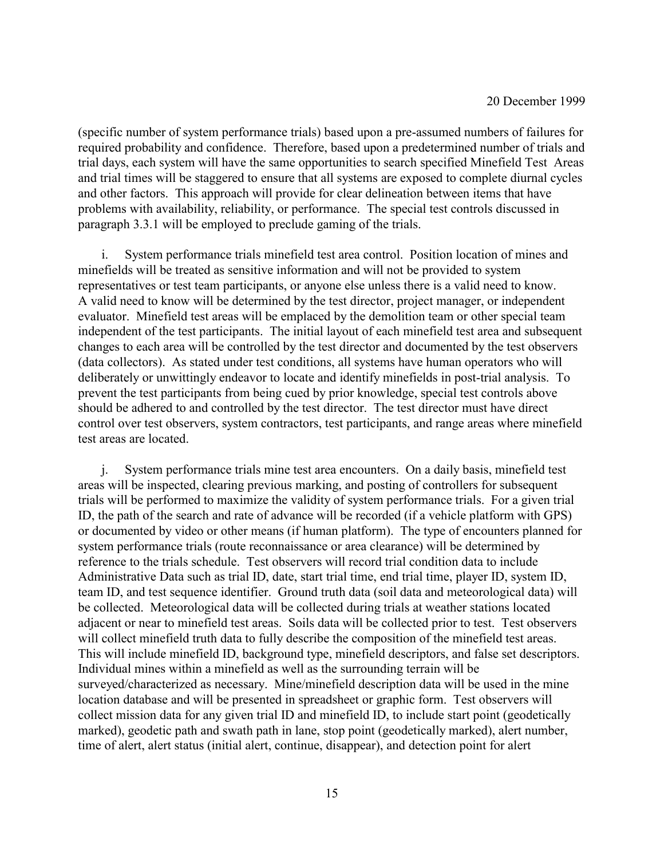(specific number of system performance trials) based upon a pre-assumed numbers of failures for required probability and confidence. Therefore, based upon a predetermined number of trials and trial days, each system will have the same opportunities to search specified Minefield Test Areas and trial times will be staggered to ensure that all systems are exposed to complete diurnal cycles and other factors. This approach will provide for clear delineation between items that have problems with availability, reliability, or performance. The special test controls discussed in paragraph 3.3.1 will be employed to preclude gaming of the trials.

i. System performance trials minefield test area control. Position location of mines and minefields will be treated as sensitive information and will not be provided to system representatives or test team participants, or anyone else unless there is a valid need to know. A valid need to know will be determined by the test director, project manager, or independent evaluator. Minefield test areas will be emplaced by the demolition team or other special team independent of the test participants. The initial layout of each minefield test area and subsequent changes to each area will be controlled by the test director and documented by the test observers (data collectors). As stated under test conditions, all systems have human operators who will deliberately or unwittingly endeavor to locate and identify minefields in post-trial analysis. To prevent the test participants from being cued by prior knowledge, special test controls above should be adhered to and controlled by the test director. The test director must have direct control over test observers, system contractors, test participants, and range areas where minefield test areas are located.

j. System performance trials mine test area encounters. On a daily basis, minefield test areas will be inspected, clearing previous marking, and posting of controllers for subsequent trials will be performed to maximize the validity of system performance trials. For a given trial ID, the path of the search and rate of advance will be recorded (if a vehicle platform with GPS) or documented by video or other means (if human platform). The type of encounters planned for system performance trials (route reconnaissance or area clearance) will be determined by reference to the trials schedule. Test observers will record trial condition data to include Administrative Data such as trial ID, date, start trial time, end trial time, player ID, system ID, team ID, and test sequence identifier. Ground truth data (soil data and meteorological data) will be collected. Meteorological data will be collected during trials at weather stations located adjacent or near to minefield test areas. Soils data will be collected prior to test. Test observers will collect minefield truth data to fully describe the composition of the minefield test areas. This will include minefield ID, background type, minefield descriptors, and false set descriptors. Individual mines within a minefield as well as the surrounding terrain will be surveyed/characterized as necessary. Mine/minefield description data will be used in the mine location database and will be presented in spreadsheet or graphic form. Test observers will collect mission data for any given trial ID and minefield ID, to include start point (geodetically marked), geodetic path and swath path in lane, stop point (geodetically marked), alert number, time of alert, alert status (initial alert, continue, disappear), and detection point for alert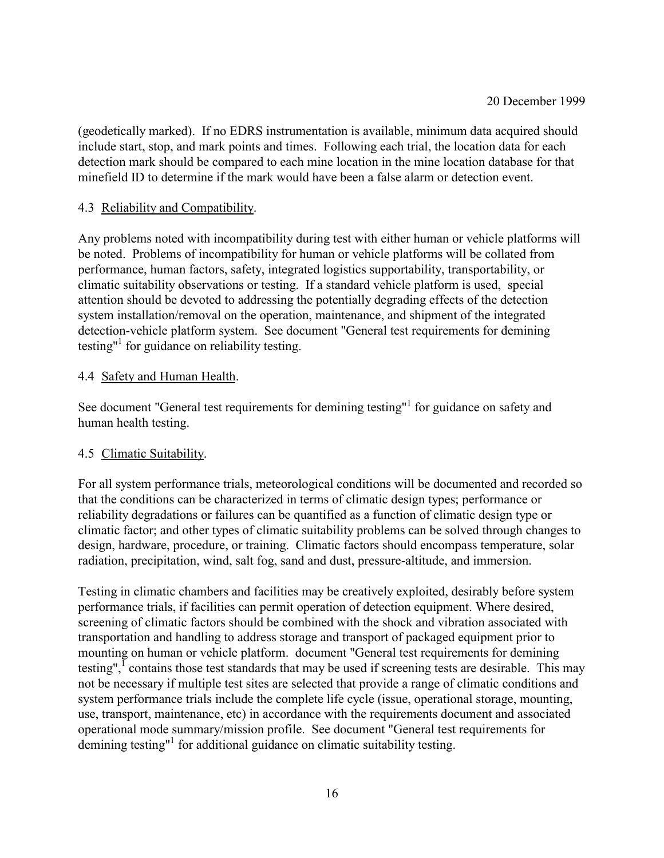(geodetically marked). If no EDRS instrumentation is available, minimum data acquired should include start, stop, and mark points and times. Following each trial, the location data for each detection mark should be compared to each mine location in the mine location database for that minefield ID to determine if the mark would have been a false alarm or detection event.

## 4.3 Reliability and Compatibility.

Any problems noted with incompatibility during test with either human or vehicle platforms will be noted. Problems of incompatibility for human or vehicle platforms will be collated from performance, human factors, safety, integrated logistics supportability, transportability, or climatic suitability observations or testing. If a standard vehicle platform is used, special attention should be devoted to addressing the potentially degrading effects of the detection system installation/removal on the operation, maintenance, and shipment of the integrated detection-vehicle platform system. See document "General test requirements for demining testing"<sup>1</sup> for guidance on reliability testing.

## 4.4 Safety and Human Health.

See document "General test requirements for demining testing"<sup>1</sup> for guidance on safety and human health testing.

## 4.5 Climatic Suitability.

For all system performance trials, meteorological conditions will be documented and recorded so that the conditions can be characterized in terms of climatic design types; performance or reliability degradations or failures can be quantified as a function of climatic design type or climatic factor; and other types of climatic suitability problems can be solved through changes to design, hardware, procedure, or training. Climatic factors should encompass temperature, solar radiation, precipitation, wind, salt fog, sand and dust, pressure-altitude, and immersion.

Testing in climatic chambers and facilities may be creatively exploited, desirably before system performance trials, if facilities can permit operation of detection equipment. Where desired, screening of climatic factors should be combined with the shock and vibration associated with transportation and handling to address storage and transport of packaged equipment prior to mounting on human or vehicle platform. document "General test requirements for demining testing",<sup> $I$ </sup> contains those test standards that may be used if screening tests are desirable. This may not be necessary if multiple test sites are selected that provide a range of climatic conditions and system performance trials include the complete life cycle (issue, operational storage, mounting, use, transport, maintenance, etc) in accordance with the requirements document and associated operational mode summary/mission profile. See document "General test requirements for demining testing"<sup>1</sup> for additional guidance on climatic suitability testing.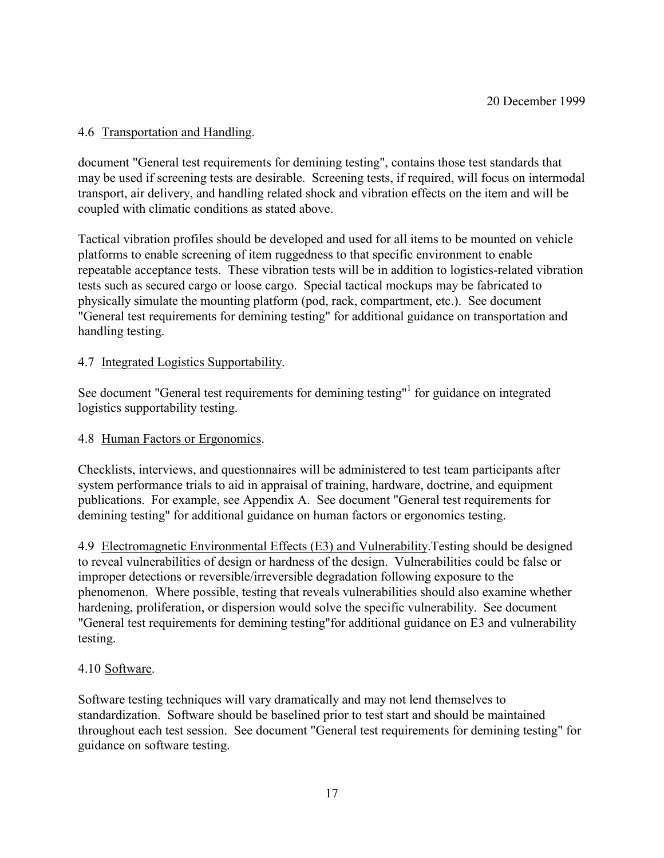# 4.6 Transportation and Handling.

document "General test requirements for demining testing", contains those test standards that may be used if screening tests are desirable. Screening tests, if required, will focus on intermodal transport, air delivery, and handling related shock and vibration effects on the item and will be coupled with climatic conditions as stated above.

Tactical vibration profiles should be developed and used for all items to be mounted on vehicle platforms to enable screening of item ruggedness to that specific environment to enable repeatable acceptance tests. These vibration tests will be in addition to logistics-related vibration tests such as secured cargo or loose cargo. Special tactical mockups may be fabricated to physically simulate the mounting platform (pod, rack, compartment, etc.). See document "General test requirements for demining testing" for additional guidance on transportation and handling testing.

## 4.7 Integrated Logistics Supportability.

See document "General test requirements for demining testing"<sup>1</sup> for guidance on integrated logistics supportability testing.

## 4.8 Human Factors or Ergonomics.

Checklists, interviews, and questionnaires will be administered to test team participants after system performance trials to aid in appraisal of training, hardware, doctrine, and equipment publications. For example, see Appendix A. See document "General test requirements for demining testing" for additional guidance on human factors or ergonomics testing.

4.9 Electromagnetic Environmental Effects (E3) and Vulnerability.Testing should be designed to reveal vulnerabilities of design or hardness of the design. Vulnerabilities could be false or improper detections or reversible/irreversible degradation following exposure to the phenomenon. Where possible, testing that reveals vulnerabilities should also examine whether hardening, proliferation, or dispersion would solve the specific vulnerability. See document "General test requirements for demining testing"for additional guidance on E3 and vulnerability testing.

## 4.10 Software.

Software testing techniques will vary dramatically and may not lend themselves to standardization. Software should be baselined prior to test start and should be maintained throughout each test session. See document "General test requirements for demining testing" for guidance on software testing.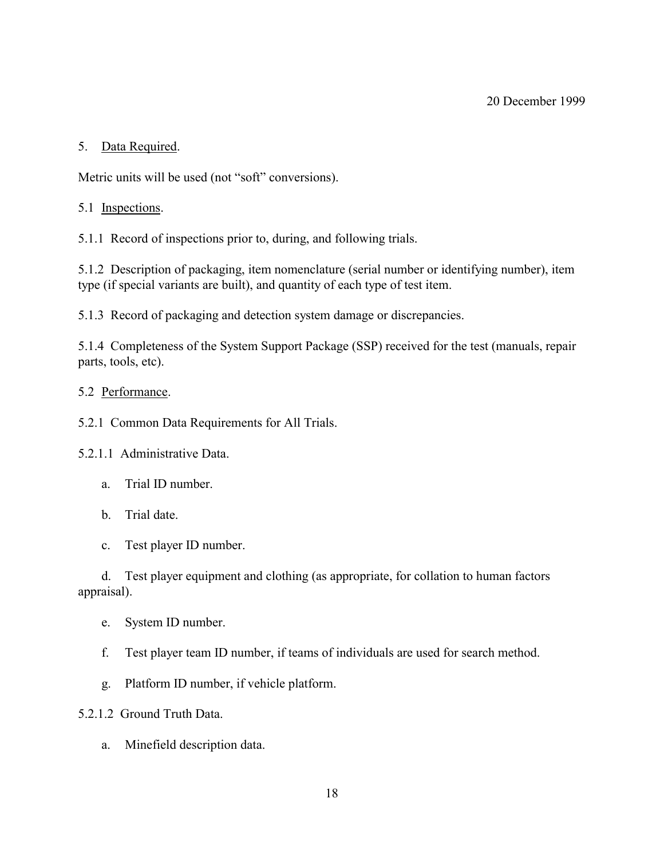# 5. Data Required.

Metric units will be used (not "soft" conversions).

# 5.1 Inspections.

5.1.1 Record of inspections prior to, during, and following trials.

5.1.2 Description of packaging, item nomenclature (serial number or identifying number), item type (if special variants are built), and quantity of each type of test item.

5.1.3 Record of packaging and detection system damage or discrepancies.

5.1.4 Completeness of the System Support Package (SSP) received for the test (manuals, repair parts, tools, etc).

## 5.2 Performance.

5.2.1 Common Data Requirements for All Trials.

5.2.1.1 Administrative Data.

- a. Trial ID number.
- b. Trial date.
- c. Test player ID number.

d. Test player equipment and clothing (as appropriate, for collation to human factors appraisal).

- e. System ID number.
- f. Test player team ID number, if teams of individuals are used for search method.
- g. Platform ID number, if vehicle platform.

5.2.1.2 Ground Truth Data.

a. Minefield description data.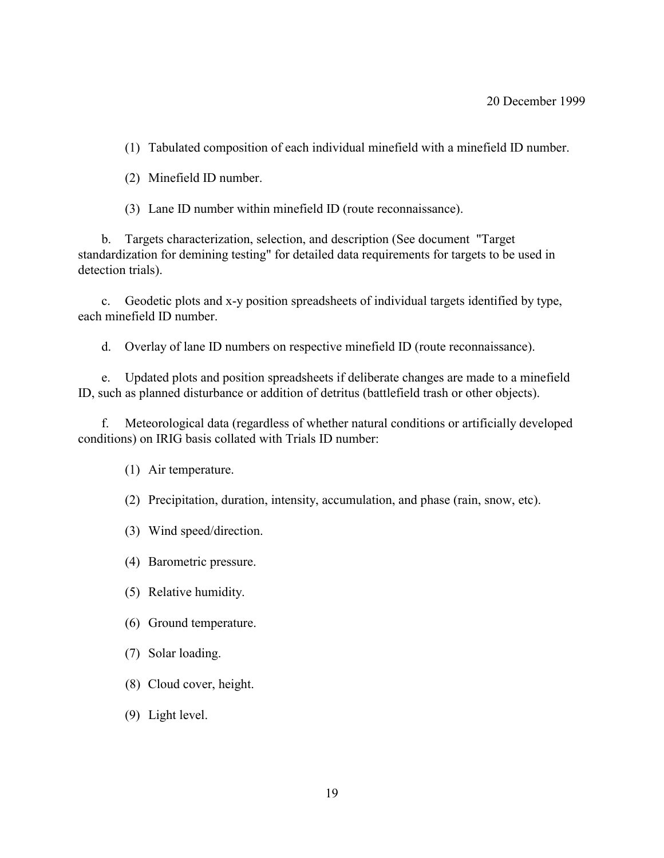- (1) Tabulated composition of each individual minefield with a minefield ID number.
- (2) Minefield ID number.
- (3) Lane ID number within minefield ID (route reconnaissance).

b. Targets characterization, selection, and description (See document "Target standardization for demining testing" for detailed data requirements for targets to be used in detection trials).

c. Geodetic plots and x-y position spreadsheets of individual targets identified by type, each minefield ID number.

d. Overlay of lane ID numbers on respective minefield ID (route reconnaissance).

e. Updated plots and position spreadsheets if deliberate changes are made to a minefield ID, such as planned disturbance or addition of detritus (battlefield trash or other objects).

f. Meteorological data (regardless of whether natural conditions or artificially developed conditions) on IRIG basis collated with Trials ID number:

(1) Air temperature.

(2) Precipitation, duration, intensity, accumulation, and phase (rain, snow, etc).

- (3) Wind speed/direction.
- (4) Barometric pressure.
- (5) Relative humidity.
- (6) Ground temperature.
- (7) Solar loading.
- (8) Cloud cover, height.
- (9) Light level.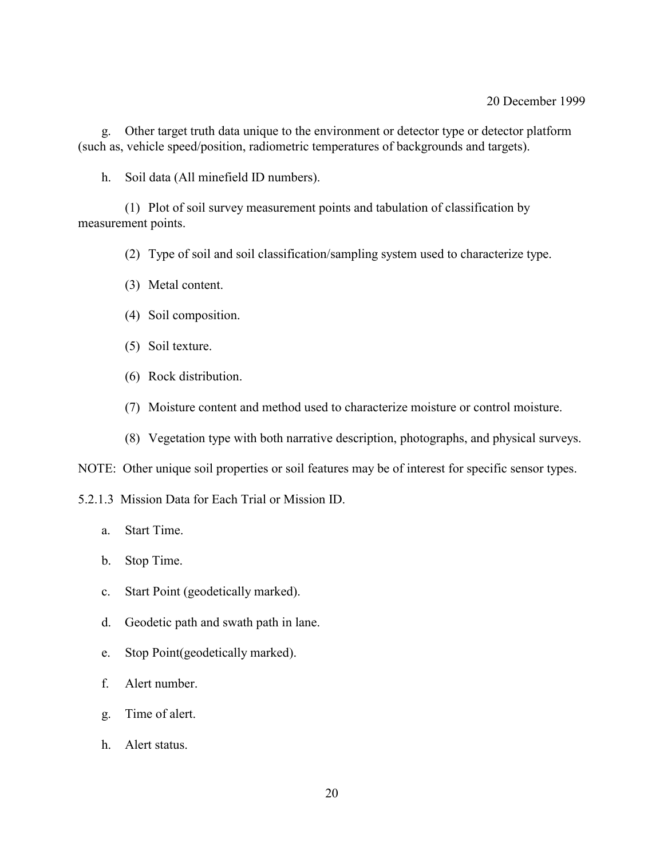g. Other target truth data unique to the environment or detector type or detector platform (such as, vehicle speed/position, radiometric temperatures of backgrounds and targets).

h. Soil data (All minefield ID numbers).

(1) Plot of soil survey measurement points and tabulation of classification by measurement points.

(2) Type of soil and soil classification/sampling system used to characterize type.

- (3) Metal content.
- (4) Soil composition.
- (5) Soil texture.
- (6) Rock distribution.
- (7) Moisture content and method used to characterize moisture or control moisture.
- (8) Vegetation type with both narrative description, photographs, and physical surveys.

NOTE: Other unique soil properties or soil features may be of interest for specific sensor types.

5.2.1.3 Mission Data for Each Trial or Mission ID.

- a. Start Time.
- b. Stop Time.
- c. Start Point (geodetically marked).
- d. Geodetic path and swath path in lane.
- e. Stop Point(geodetically marked).
- f. Alert number.
- g. Time of alert.
- h. Alert status.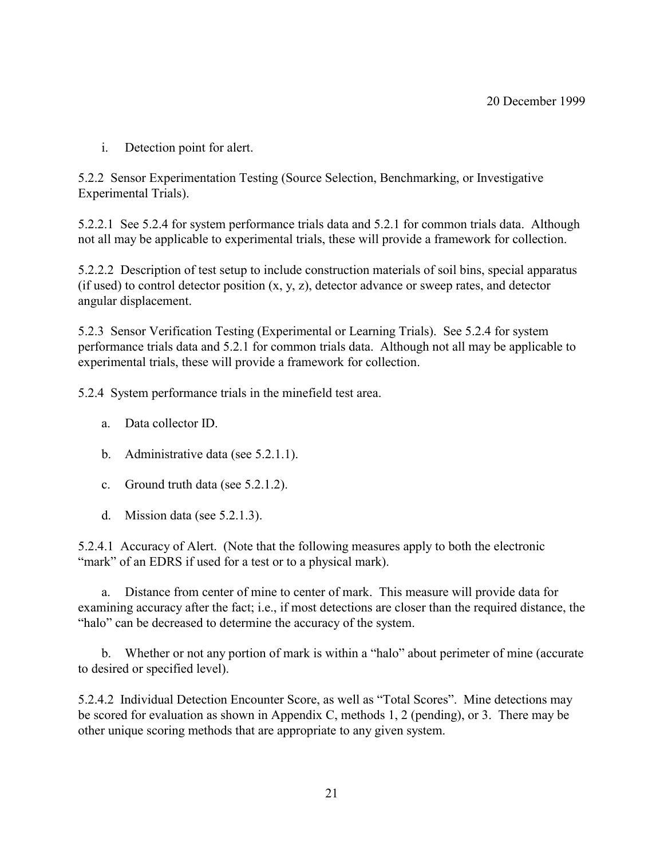i. Detection point for alert.

5.2.2 Sensor Experimentation Testing (Source Selection, Benchmarking, or Investigative Experimental Trials).

5.2.2.1 See 5.2.4 for system performance trials data and 5.2.1 for common trials data. Although not all may be applicable to experimental trials, these will provide a framework for collection.

5.2.2.2 Description of test setup to include construction materials of soil bins, special apparatus (if used) to control detector position  $(x, y, z)$ , detector advance or sweep rates, and detector angular displacement.

5.2.3 Sensor Verification Testing (Experimental or Learning Trials). See 5.2.4 for system performance trials data and 5.2.1 for common trials data. Although not all may be applicable to experimental trials, these will provide a framework for collection.

5.2.4 System performance trials in the minefield test area.

- a. Data collector ID.
- b. Administrative data (see 5.2.1.1).
- c. Ground truth data (see 5.2.1.2).
- d. Mission data (see 5.2.1.3).

5.2.4.1 Accuracy of Alert. (Note that the following measures apply to both the electronic "mark" of an EDRS if used for a test or to a physical mark).

a. Distance from center of mine to center of mark. This measure will provide data for examining accuracy after the fact; i.e., if most detections are closer than the required distance, the "halo" can be decreased to determine the accuracy of the system.

b. Whether or not any portion of mark is within a "halo" about perimeter of mine (accurate to desired or specified level).

5.2.4.2 Individual Detection Encounter Score, as well as "Total Scores". Mine detections may be scored for evaluation as shown in Appendix C, methods 1, 2 (pending), or 3. There may be other unique scoring methods that are appropriate to any given system.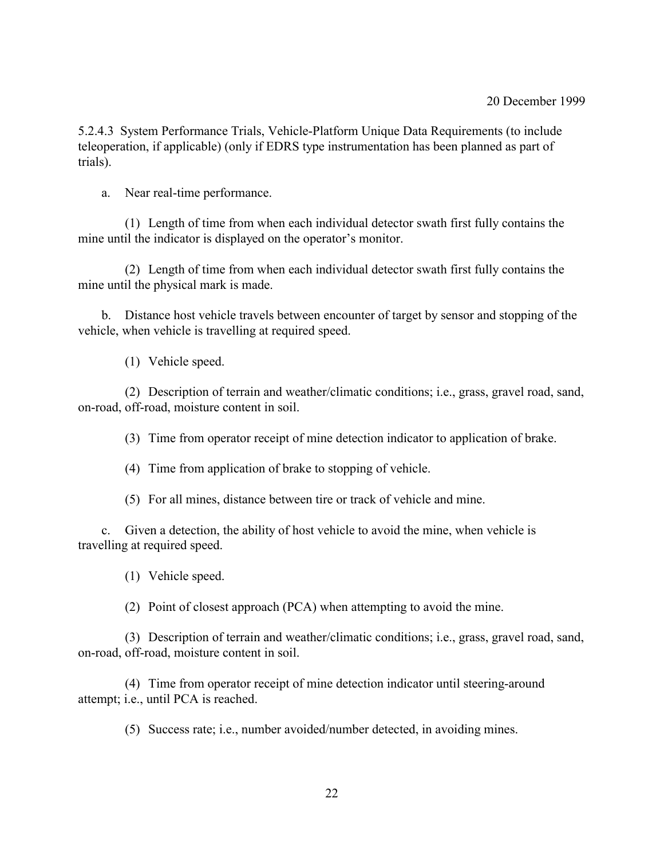5.2.4.3 System Performance Trials, Vehicle-Platform Unique Data Requirements (to include teleoperation, if applicable) (only if EDRS type instrumentation has been planned as part of trials).

a. Near real-time performance.

(1) Length of time from when each individual detector swath first fully contains the mine until the indicator is displayed on the operator's monitor.

(2) Length of time from when each individual detector swath first fully contains the mine until the physical mark is made.

b. Distance host vehicle travels between encounter of target by sensor and stopping of the vehicle, when vehicle is travelling at required speed.

(1) Vehicle speed.

(2) Description of terrain and weather/climatic conditions; i.e., grass, gravel road, sand, on-road, off-road, moisture content in soil.

(3) Time from operator receipt of mine detection indicator to application of brake.

(4) Time from application of brake to stopping of vehicle.

(5) For all mines, distance between tire or track of vehicle and mine.

c. Given a detection, the ability of host vehicle to avoid the mine, when vehicle is travelling at required speed.

(1) Vehicle speed.

(2) Point of closest approach (PCA) when attempting to avoid the mine.

(3) Description of terrain and weather/climatic conditions; i.e., grass, gravel road, sand, on-road, off-road, moisture content in soil.

(4) Time from operator receipt of mine detection indicator until steering-around attempt; i.e., until PCA is reached.

(5) Success rate; i.e., number avoided/number detected, in avoiding mines.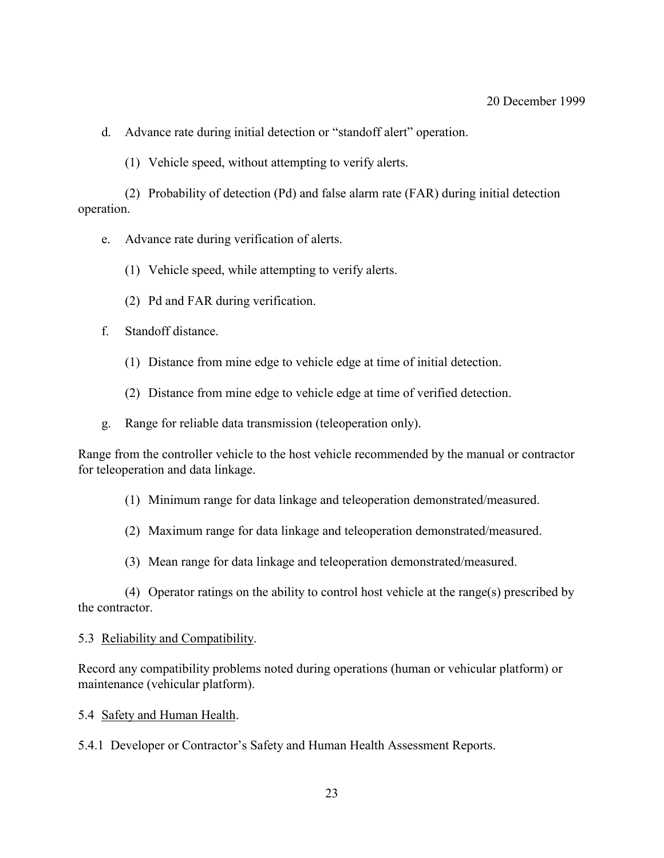d. Advance rate during initial detection or "standoff alert" operation.

(1) Vehicle speed, without attempting to verify alerts.

(2) Probability of detection (Pd) and false alarm rate (FAR) during initial detection operation.

- e. Advance rate during verification of alerts.
	- (1) Vehicle speed, while attempting to verify alerts.
	- (2) Pd and FAR during verification.
- f. Standoff distance.
	- (1) Distance from mine edge to vehicle edge at time of initial detection.
	- (2) Distance from mine edge to vehicle edge at time of verified detection.
- g. Range for reliable data transmission (teleoperation only).

Range from the controller vehicle to the host vehicle recommended by the manual or contractor for teleoperation and data linkage.

#### (1) Minimum range for data linkage and teleoperation demonstrated/measured.

- (2) Maximum range for data linkage and teleoperation demonstrated/measured.
- (3) Mean range for data linkage and teleoperation demonstrated/measured.

(4) Operator ratings on the ability to control host vehicle at the range(s) prescribed by the contractor.

#### 5.3 Reliability and Compatibility.

Record any compatibility problems noted during operations (human or vehicular platform) or maintenance (vehicular platform).

5.4 Safety and Human Health.

5.4.1 Developer or Contractor's Safety and Human Health Assessment Reports.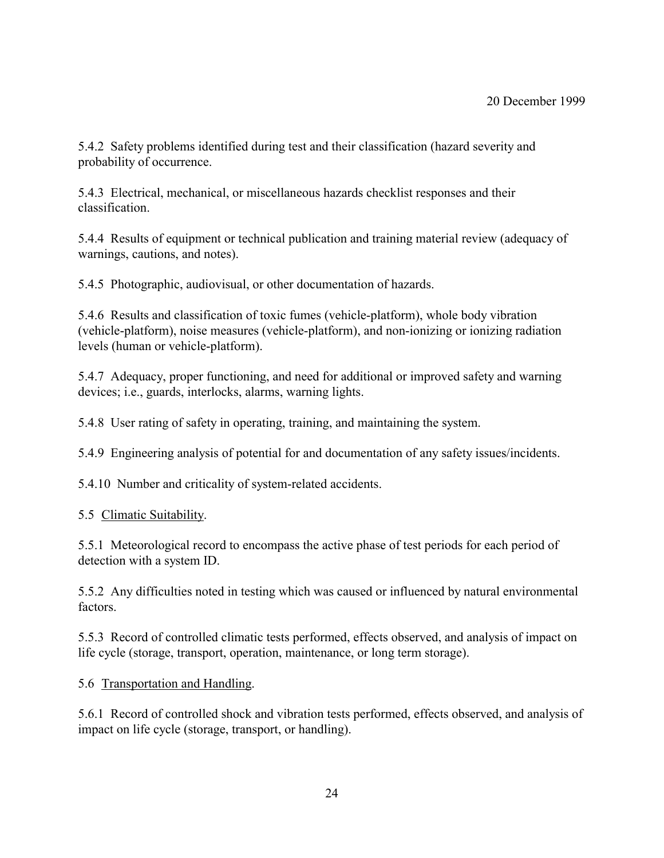5.4.2 Safety problems identified during test and their classification (hazard severity and probability of occurrence.

5.4.3 Electrical, mechanical, or miscellaneous hazards checklist responses and their classification.

5.4.4 Results of equipment or technical publication and training material review (adequacy of warnings, cautions, and notes).

5.4.5 Photographic, audiovisual, or other documentation of hazards.

5.4.6 Results and classification of toxic fumes (vehicle-platform), whole body vibration (vehicle-platform), noise measures (vehicle-platform), and non-ionizing or ionizing radiation levels (human or vehicle-platform).

5.4.7 Adequacy, proper functioning, and need for additional or improved safety and warning devices; i.e., guards, interlocks, alarms, warning lights.

5.4.8 User rating of safety in operating, training, and maintaining the system.

5.4.9 Engineering analysis of potential for and documentation of any safety issues/incidents.

5.4.10 Number and criticality of system-related accidents.

5.5 Climatic Suitability.

5.5.1 Meteorological record to encompass the active phase of test periods for each period of detection with a system ID.

5.5.2 Any difficulties noted in testing which was caused or influenced by natural environmental factors.

5.5.3 Record of controlled climatic tests performed, effects observed, and analysis of impact on life cycle (storage, transport, operation, maintenance, or long term storage).

5.6 Transportation and Handling.

5.6.1 Record of controlled shock and vibration tests performed, effects observed, and analysis of impact on life cycle (storage, transport, or handling).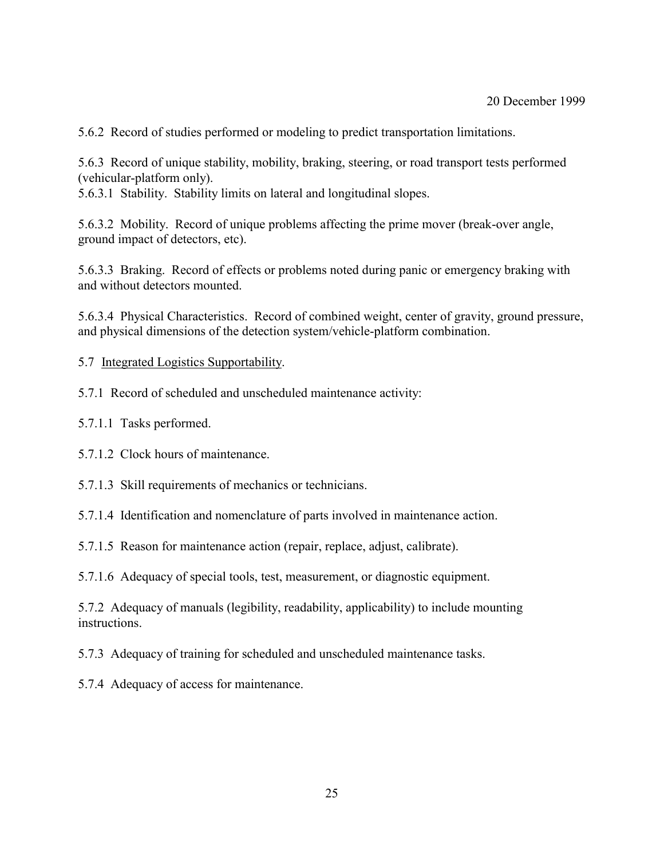5.6.2 Record of studies performed or modeling to predict transportation limitations.

5.6.3 Record of unique stability, mobility, braking, steering, or road transport tests performed (vehicular-platform only).

5.6.3.1 Stability. Stability limits on lateral and longitudinal slopes.

5.6.3.2 Mobility. Record of unique problems affecting the prime mover (break-over angle, ground impact of detectors, etc).

5.6.3.3 Braking. Record of effects or problems noted during panic or emergency braking with and without detectors mounted.

5.6.3.4 Physical Characteristics. Record of combined weight, center of gravity, ground pressure, and physical dimensions of the detection system/vehicle-platform combination.

5.7 Integrated Logistics Supportability.

5.7.1 Record of scheduled and unscheduled maintenance activity:

5.7.1.1 Tasks performed.

5.7.1.2 Clock hours of maintenance.

5.7.1.3 Skill requirements of mechanics or technicians.

5.7.1.4 Identification and nomenclature of parts involved in maintenance action.

5.7.1.5 Reason for maintenance action (repair, replace, adjust, calibrate).

5.7.1.6 Adequacy of special tools, test, measurement, or diagnostic equipment.

5.7.2 Adequacy of manuals (legibility, readability, applicability) to include mounting instructions.

5.7.3 Adequacy of training for scheduled and unscheduled maintenance tasks.

5.7.4 Adequacy of access for maintenance.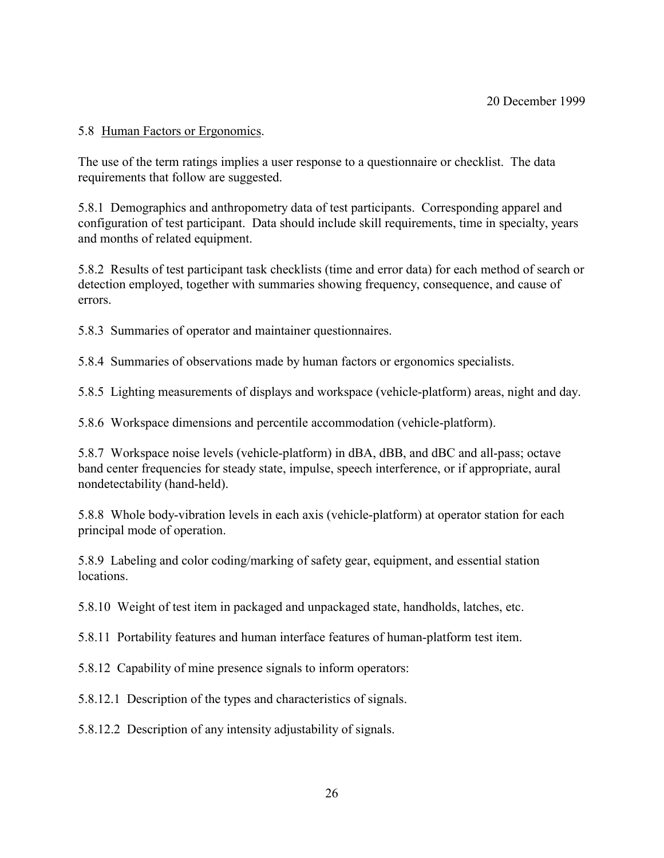## 5.8 Human Factors or Ergonomics.

The use of the term ratings implies a user response to a questionnaire or checklist. The data requirements that follow are suggested.

5.8.1 Demographics and anthropometry data of test participants. Corresponding apparel and configuration of test participant. Data should include skill requirements, time in specialty, years and months of related equipment.

5.8.2 Results of test participant task checklists (time and error data) for each method of search or detection employed, together with summaries showing frequency, consequence, and cause of errors.

5.8.3 Summaries of operator and maintainer questionnaires.

5.8.4 Summaries of observations made by human factors or ergonomics specialists.

5.8.5 Lighting measurements of displays and workspace (vehicle-platform) areas, night and day.

5.8.6 Workspace dimensions and percentile accommodation (vehicle-platform).

5.8.7 Workspace noise levels (vehicle-platform) in dBA, dBB, and dBC and all-pass; octave band center frequencies for steady state, impulse, speech interference, or if appropriate, aural nondetectability (hand-held).

5.8.8 Whole body-vibration levels in each axis (vehicle-platform) at operator station for each principal mode of operation.

5.8.9 Labeling and color coding/marking of safety gear, equipment, and essential station locations.

5.8.10 Weight of test item in packaged and unpackaged state, handholds, latches, etc.

5.8.11 Portability features and human interface features of human-platform test item.

5.8.12 Capability of mine presence signals to inform operators:

5.8.12.1 Description of the types and characteristics of signals.

5.8.12.2 Description of any intensity adjustability of signals.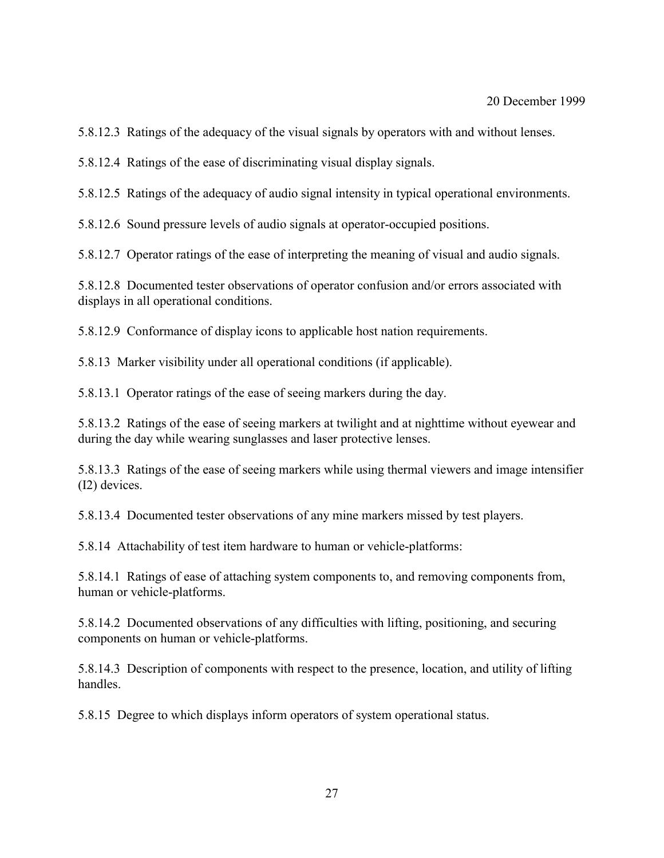5.8.12.3 Ratings of the adequacy of the visual signals by operators with and without lenses.

5.8.12.4 Ratings of the ease of discriminating visual display signals.

5.8.12.5 Ratings of the adequacy of audio signal intensity in typical operational environments.

5.8.12.6 Sound pressure levels of audio signals at operator-occupied positions.

5.8.12.7 Operator ratings of the ease of interpreting the meaning of visual and audio signals.

5.8.12.8 Documented tester observations of operator confusion and/or errors associated with displays in all operational conditions.

5.8.12.9 Conformance of display icons to applicable host nation requirements.

5.8.13 Marker visibility under all operational conditions (if applicable).

5.8.13.1 Operator ratings of the ease of seeing markers during the day.

5.8.13.2 Ratings of the ease of seeing markers at twilight and at nighttime without eyewear and during the day while wearing sunglasses and laser protective lenses.

5.8.13.3 Ratings of the ease of seeing markers while using thermal viewers and image intensifier (I2) devices.

5.8.13.4 Documented tester observations of any mine markers missed by test players.

5.8.14 Attachability of test item hardware to human or vehicle-platforms:

5.8.14.1 Ratings of ease of attaching system components to, and removing components from, human or vehicle-platforms.

5.8.14.2 Documented observations of any difficulties with lifting, positioning, and securing components on human or vehicle-platforms.

5.8.14.3 Description of components with respect to the presence, location, and utility of lifting handles.

5.8.15 Degree to which displays inform operators of system operational status.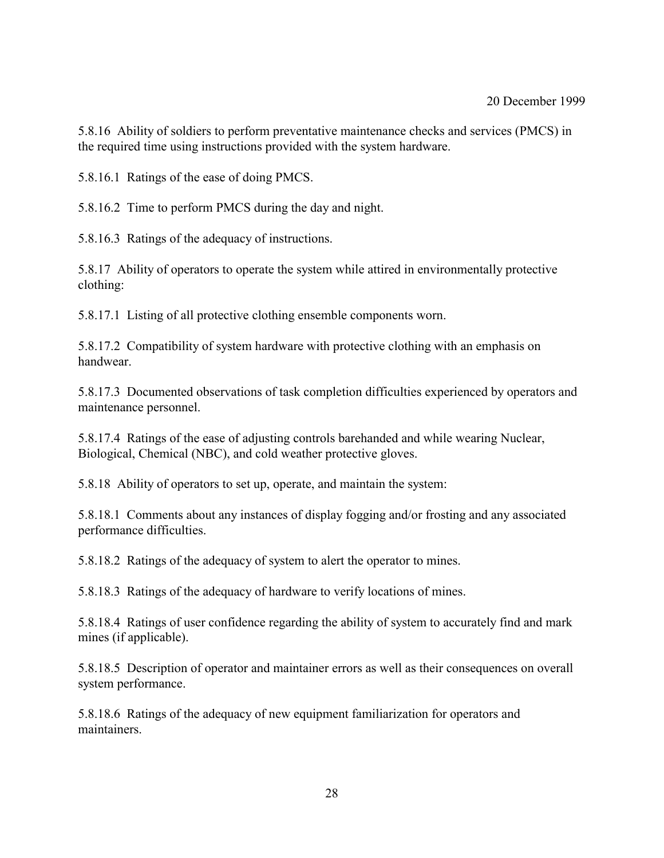5.8.16 Ability of soldiers to perform preventative maintenance checks and services (PMCS) in the required time using instructions provided with the system hardware.

5.8.16.1 Ratings of the ease of doing PMCS.

5.8.16.2 Time to perform PMCS during the day and night.

5.8.16.3 Ratings of the adequacy of instructions.

5.8.17 Ability of operators to operate the system while attired in environmentally protective clothing:

5.8.17.1 Listing of all protective clothing ensemble components worn.

5.8.17.2 Compatibility of system hardware with protective clothing with an emphasis on handwear.

5.8.17.3 Documented observations of task completion difficulties experienced by operators and maintenance personnel.

5.8.17.4 Ratings of the ease of adjusting controls barehanded and while wearing Nuclear, Biological, Chemical (NBC), and cold weather protective gloves.

5.8.18 Ability of operators to set up, operate, and maintain the system:

5.8.18.1 Comments about any instances of display fogging and/or frosting and any associated performance difficulties.

5.8.18.2 Ratings of the adequacy of system to alert the operator to mines.

5.8.18.3 Ratings of the adequacy of hardware to verify locations of mines.

5.8.18.4 Ratings of user confidence regarding the ability of system to accurately find and mark mines (if applicable).

5.8.18.5 Description of operator and maintainer errors as well as their consequences on overall system performance.

5.8.18.6 Ratings of the adequacy of new equipment familiarization for operators and maintainers.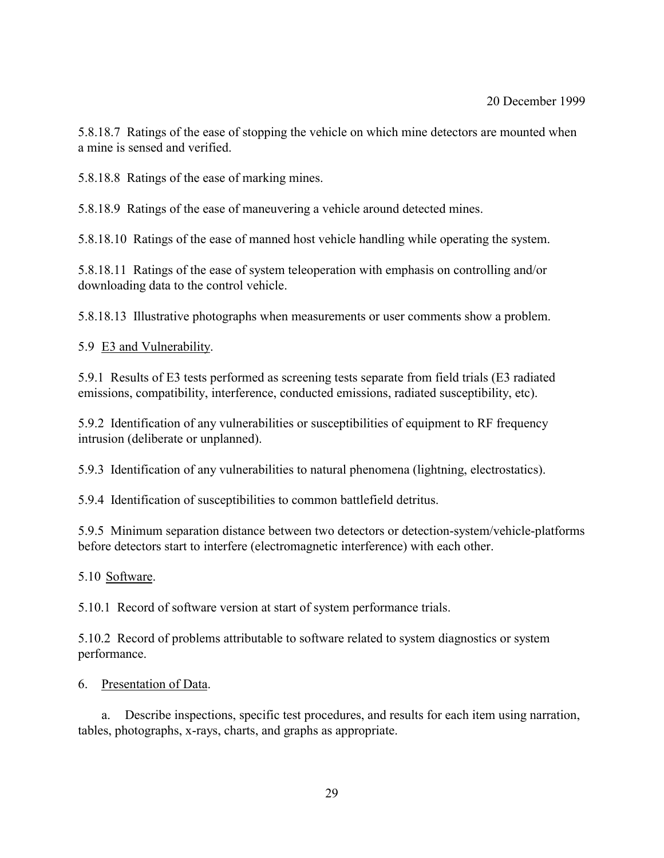5.8.18.7 Ratings of the ease of stopping the vehicle on which mine detectors are mounted when a mine is sensed and verified.

5.8.18.8 Ratings of the ease of marking mines.

5.8.18.9 Ratings of the ease of maneuvering a vehicle around detected mines.

5.8.18.10 Ratings of the ease of manned host vehicle handling while operating the system.

5.8.18.11 Ratings of the ease of system teleoperation with emphasis on controlling and/or downloading data to the control vehicle.

5.8.18.13 Illustrative photographs when measurements or user comments show a problem.

5.9 E3 and Vulnerability.

5.9.1 Results of E3 tests performed as screening tests separate from field trials (E3 radiated emissions, compatibility, interference, conducted emissions, radiated susceptibility, etc).

5.9.2 Identification of any vulnerabilities or susceptibilities of equipment to RF frequency intrusion (deliberate or unplanned).

5.9.3 Identification of any vulnerabilities to natural phenomena (lightning, electrostatics).

5.9.4 Identification of susceptibilities to common battlefield detritus.

5.9.5 Minimum separation distance between two detectors or detection-system/vehicle-platforms before detectors start to interfere (electromagnetic interference) with each other.

5.10 Software.

5.10.1 Record of software version at start of system performance trials.

5.10.2 Record of problems attributable to software related to system diagnostics or system performance.

6. Presentation of Data.

a. Describe inspections, specific test procedures, and results for each item using narration, tables, photographs, x-rays, charts, and graphs as appropriate.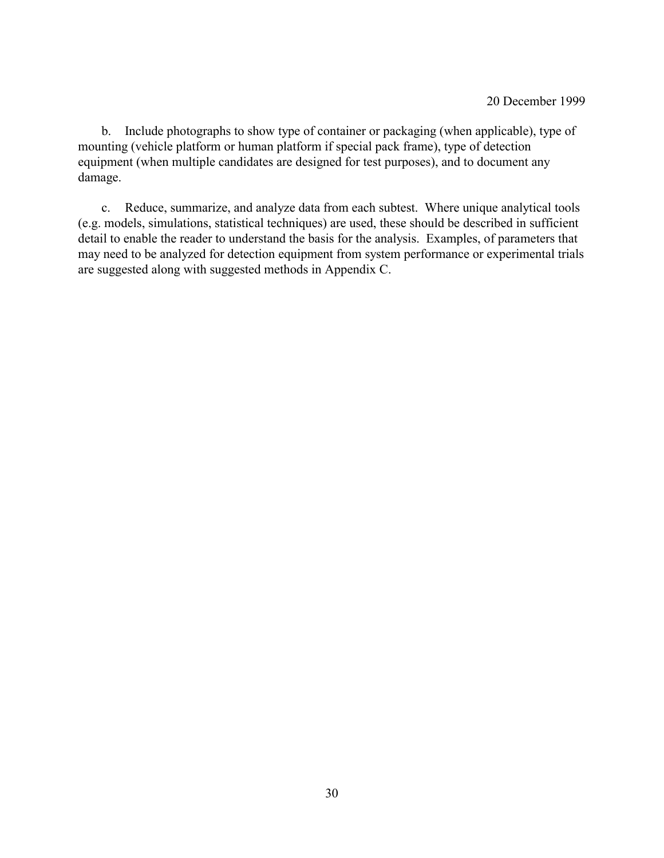b. Include photographs to show type of container or packaging (when applicable), type of mounting (vehicle platform or human platform if special pack frame), type of detection equipment (when multiple candidates are designed for test purposes), and to document any damage.

c. Reduce, summarize, and analyze data from each subtest. Where unique analytical tools (e.g. models, simulations, statistical techniques) are used, these should be described in sufficient detail to enable the reader to understand the basis for the analysis. Examples, of parameters that may need to be analyzed for detection equipment from system performance or experimental trials are suggested along with suggested methods in Appendix C.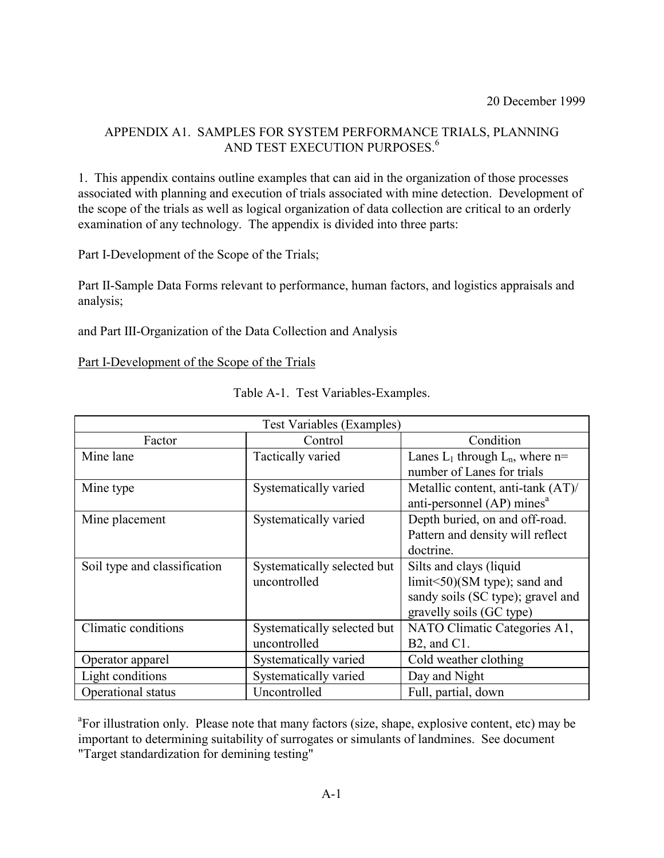## APPENDIX A1. SAMPLES FOR SYSTEM PERFORMANCE TRIALS, PLANNING AND TEST EXECUTION PURPOSES.<sup>6</sup>

1. This appendix contains outline examples that can aid in the organization of those processes associated with planning and execution of trials associated with mine detection. Development of the scope of the trials as well as logical organization of data collection are critical to an orderly examination of any technology. The appendix is divided into three parts:

Part I-Development of the Scope of the Trials;

Part II-Sample Data Forms relevant to performance, human factors, and logistics appraisals and analysis;

and Part III-Organization of the Data Collection and Analysis

#### Part I-Development of the Scope of the Trials

|                              | <b>Test Variables (Examples)</b> |                                        |
|------------------------------|----------------------------------|----------------------------------------|
| Factor                       | Control                          | Condition                              |
| Mine lane                    | <b>Tactically varied</b>         | Lanes $L_1$ through $L_n$ , where n=   |
|                              |                                  | number of Lanes for trials             |
| Mine type                    | Systematically varied            | Metallic content, anti-tank (AT)/      |
|                              |                                  | anti-personnel (AP) mines <sup>a</sup> |
| Mine placement               | Systematically varied            | Depth buried, on and off-road.         |
|                              |                                  | Pattern and density will reflect       |
|                              |                                  | doctrine.                              |
| Soil type and classification | Systematically selected but      | Silts and clays (liquid                |
|                              | uncontrolled                     | $limit < 50$ )(SM type); sand and      |
|                              |                                  | sandy soils (SC type); gravel and      |
|                              |                                  | gravelly soils (GC type)               |
| Climatic conditions          | Systematically selected but      | NATO Climatic Categories A1,           |
|                              | uncontrolled                     | $B2$ , and $C1$ .                      |
| Operator apparel             | Systematically varied            | Cold weather clothing                  |
| Light conditions             | Systematically varied            | Day and Night                          |
| Operational status           | Uncontrolled                     | Full, partial, down                    |

Table A-1. Test Variables-Examples.

<sup>a</sup>For illustration only. Please note that many factors (size, shape, explosive content, etc) may be important to determining suitability of surrogates or simulants of landmines. See document "Target standardization for demining testing"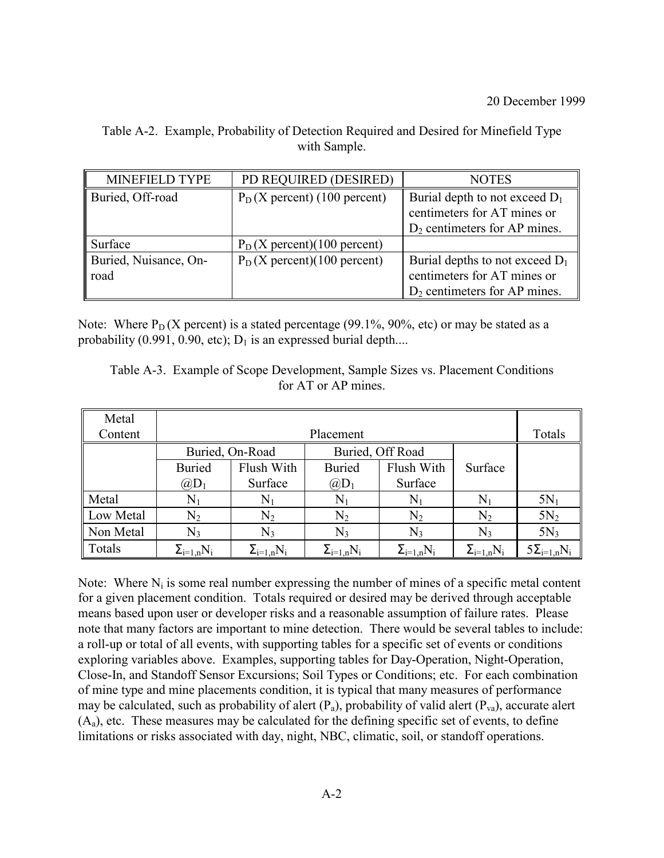| Table A-2. Example, Probability of Detection Required and Desired for Minefield Type |
|--------------------------------------------------------------------------------------|
| with Sample.                                                                         |

| <b>MINEFIELD TYPE</b>         | PD REQUIRED (DESIRED)           | <b>NOTES</b>                                                                                        |
|-------------------------------|---------------------------------|-----------------------------------------------------------------------------------------------------|
| Buried, Off-road              | $P_D$ (X percent) (100 percent) | Burial depth to not exceed $D_1$<br>centimeters for AT mines or<br>$D_2$ centimeters for AP mines.  |
| Surface                       | $P_D$ (X percent)(100 percent)  |                                                                                                     |
| Buried, Nuisance, On-<br>road | $P_D$ (X percent)(100 percent)  | Burial depths to not exceed $D_1$<br>centimeters for AT mines or<br>$D_2$ centimeters for AP mines. |

Note: Where  $P_D$  (X percent) is a stated percentage (99.1%, 90%, etc) or may be stated as a probability (0.991, 0.90, etc);  $D_1$  is an expressed burial depth....

| Table A-3. Example of Scope Development, Sample Sizes vs. Placement Conditions |
|--------------------------------------------------------------------------------|
| for AT or AP mines.                                                            |

| Metal     |                     |                     |                     |                     |                     |                      |
|-----------|---------------------|---------------------|---------------------|---------------------|---------------------|----------------------|
| Content   |                     |                     | Placement           |                     |                     | Totals               |
|           | Buried, On-Road     |                     | Buried, Off Road    |                     |                     |                      |
|           | <b>Buried</b>       | Flush With          | <b>Buried</b>       | Flush With          | Surface             |                      |
|           | $(\partial D_1)$    | Surface             | $@D_1$              | Surface             |                     |                      |
| Metal     | $\mathrm{N}_1$      | $N_1$               | $\rm N_1$           | $N_1$               | $\rm N_1$           | $5N_1$               |
| Low Metal | $\rm N_2$           | $N_2$               | $\rm N_2$           | $\rm N_2$           | $\rm N_2$           | $5N_2$               |
| Non Metal | N3                  | $N_3$               | $N_3$               | $N_3$               | $N_3$               | $5N_3$               |
| Totals    | $\Sigma_{i=1,n}N_i$ | $\Sigma_{i=1,n}N_i$ | $\Sigma_{i=1,n}N_i$ | $\Sigma_{i=1,n}N_i$ | $\Sigma_{i=1,n}N_i$ | $5\Sigma_{i=1,n}N_i$ |

Note: Where  $N_i$  is some real number expressing the number of mines of a specific metal content for a given placement condition. Totals required or desired may be derived through acceptable means based upon user or developer risks and a reasonable assumption of failure rates. Please note that many factors are important to mine detection. There would be several tables to include: a roll-up or total of all events, with supporting tables for a specific set of events or conditions exploring variables above. Examples, supporting tables for Day-Operation, Night-Operation, Close-In, and Standoff Sensor Excursions; Soil Types or Conditions; etc. For each combination of mine type and mine placements condition, it is typical that many measures of performance may be calculated, such as probability of alert  $(P_a)$ , probability of valid alert  $(P_{va})$ , accurate alert  $(A<sub>a</sub>)$ , etc. These measures may be calculated for the defining specific set of events, to define limitations or risks associated with day, night, NBC, climatic, soil, or standoff operations.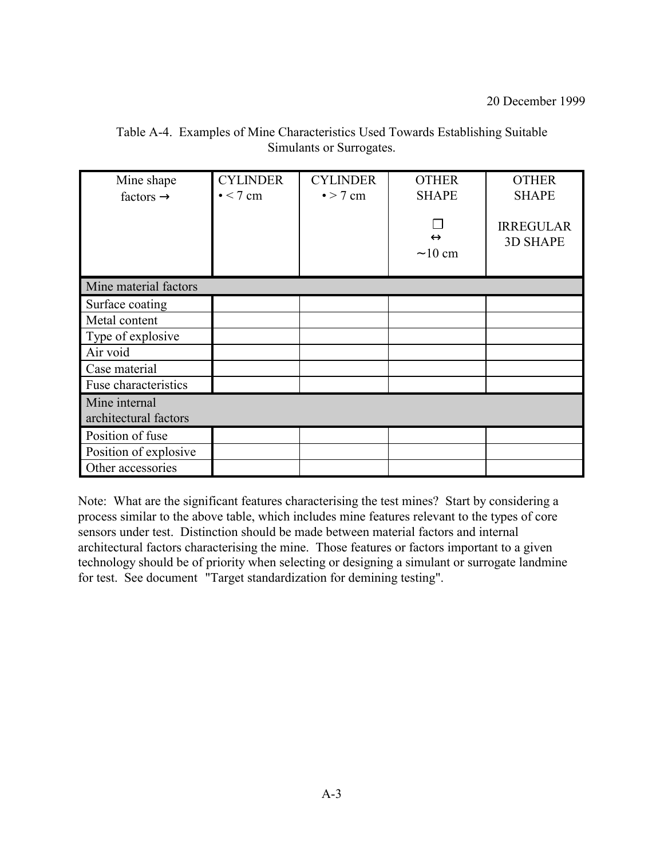| Mine shape<br>factors $\rightarrow$    | <b>CYLINDER</b><br>$\bullet$ < 7 cm | <b>CYLINDER</b><br>$\bullet$ > 7 cm | <b>OTHER</b><br><b>SHAPE</b><br>$\leftrightarrow$<br>$\sim$ 10 cm | <b>OTHER</b><br><b>SHAPE</b><br><b>IRREGULAR</b><br><b>3D SHAPE</b> |
|----------------------------------------|-------------------------------------|-------------------------------------|-------------------------------------------------------------------|---------------------------------------------------------------------|
| Mine material factors                  |                                     |                                     |                                                                   |                                                                     |
| Surface coating                        |                                     |                                     |                                                                   |                                                                     |
| Metal content                          |                                     |                                     |                                                                   |                                                                     |
| Type of explosive                      |                                     |                                     |                                                                   |                                                                     |
| Air void                               |                                     |                                     |                                                                   |                                                                     |
| Case material                          |                                     |                                     |                                                                   |                                                                     |
| Fuse characteristics                   |                                     |                                     |                                                                   |                                                                     |
| Mine internal<br>architectural factors |                                     |                                     |                                                                   |                                                                     |
| Position of fuse                       |                                     |                                     |                                                                   |                                                                     |
| Position of explosive                  |                                     |                                     |                                                                   |                                                                     |
| Other accessories                      |                                     |                                     |                                                                   |                                                                     |

Table A-4. Examples of Mine Characteristics Used Towards Establishing Suitable Simulants or Surrogates.

Note: What are the significant features characterising the test mines? Start by considering a process similar to the above table, which includes mine features relevant to the types of core sensors under test. Distinction should be made between material factors and internal architectural factors characterising the mine. Those features or factors important to a given technology should be of priority when selecting or designing a simulant or surrogate landmine for test. See document "Target standardization for demining testing".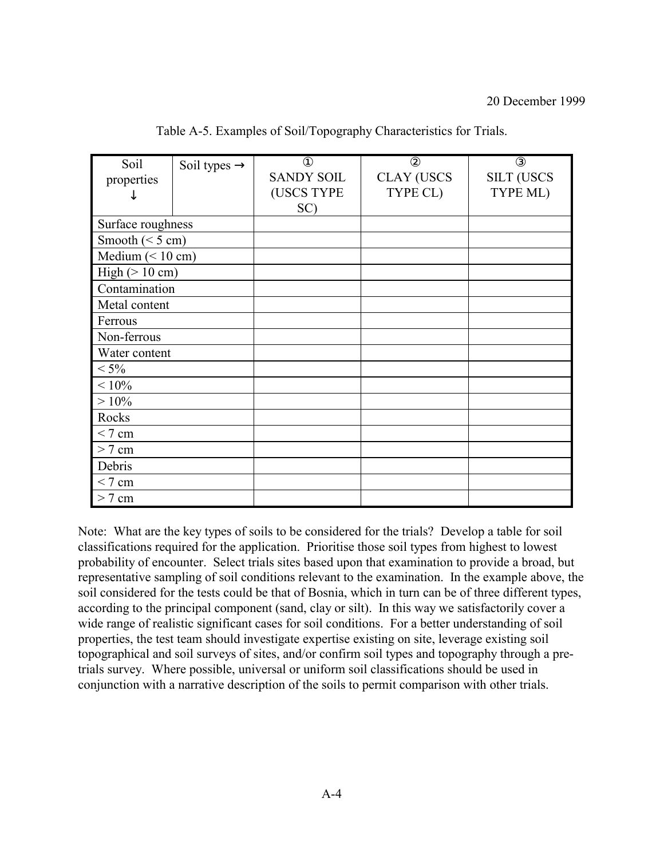| Soil                     | Soil types $\rightarrow$ | $^{\circledR}$    | $^{\circledR}$    | $\circled{3}$     |
|--------------------------|--------------------------|-------------------|-------------------|-------------------|
| properties               |                          | <b>SANDY SOIL</b> | <b>CLAY (USCS</b> | <b>SILT (USCS</b> |
|                          |                          | (USCS TYPE        | TYPE CL)          | TYPE ML)          |
|                          |                          | SC)               |                   |                   |
| Surface roughness        |                          |                   |                   |                   |
| Smooth ( $\leq$ 5 cm)    |                          |                   |                   |                   |
| Medium $(< 10 cm)$       |                          |                   |                   |                   |
| High $(> 10 \text{ cm})$ |                          |                   |                   |                   |
| Contamination            |                          |                   |                   |                   |
| Metal content            |                          |                   |                   |                   |
| Ferrous                  |                          |                   |                   |                   |
| Non-ferrous              |                          |                   |                   |                   |
| Water content            |                          |                   |                   |                   |
| $< 5\%$                  |                          |                   |                   |                   |
| $<10\%$                  |                          |                   |                   |                   |
| $>10\%$                  |                          |                   |                   |                   |
| Rocks                    |                          |                   |                   |                   |
| < 7 cm                   |                          |                   |                   |                   |
| $> 7$ cm                 |                          |                   |                   |                   |
| Debris                   |                          |                   |                   |                   |
| $< 7 \text{ cm}$         |                          |                   |                   |                   |
| $> 7$ cm                 |                          |                   |                   |                   |

Table A-5. Examples of Soil/Topography Characteristics for Trials.

Note: What are the key types of soils to be considered for the trials? Develop a table for soil classifications required for the application. Prioritise those soil types from highest to lowest probability of encounter. Select trials sites based upon that examination to provide a broad, but representative sampling of soil conditions relevant to the examination. In the example above, the soil considered for the tests could be that of Bosnia, which in turn can be of three different types, according to the principal component (sand, clay or silt). In this way we satisfactorily cover a wide range of realistic significant cases for soil conditions. For a better understanding of soil properties, the test team should investigate expertise existing on site, leverage existing soil topographical and soil surveys of sites, and/or confirm soil types and topography through a pretrials survey. Where possible, universal or uniform soil classifications should be used in conjunction with a narrative description of the soils to permit comparison with other trials.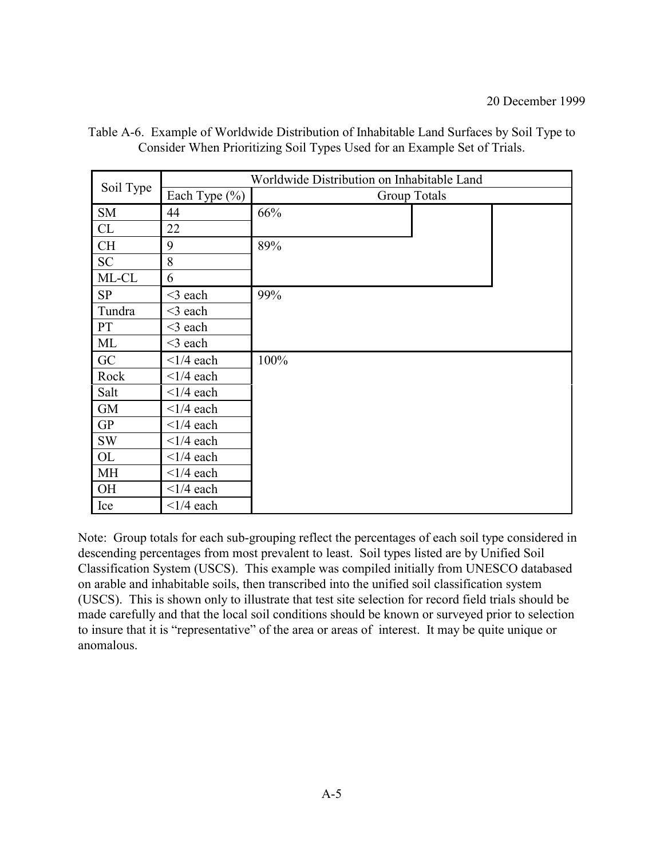|           |                            | Worldwide Distribution on Inhabitable Land |
|-----------|----------------------------|--------------------------------------------|
| Soil Type | Each Type $(\% )$          | Group Totals                               |
| <b>SM</b> | 44                         | 66%                                        |
| CL        | 22                         |                                            |
| <b>CH</b> | 9                          | 89%                                        |
| <b>SC</b> | 8                          |                                            |
| ML-CL     | 6                          |                                            |
| <b>SP</b> | $<$ 3 each                 | 99%                                        |
| Tundra    | $<$ 3 each                 |                                            |
| <b>PT</b> | $<$ 3 each                 |                                            |
| ML        | $<$ 3 each                 |                                            |
| GC        | $\leq$ 1/4 each            | 100%                                       |
| Rock      | $\langle 1/4 \text{ each}$ |                                            |
| Salt      | $\leq$ 1/4 each            |                                            |
| <b>GM</b> | $\langle 1/4$ each         |                                            |
| <b>GP</b> | $\langle 1/4 \text{ each}$ |                                            |
| <b>SW</b> | $\langle 1/4 \text{ each}$ |                                            |
| <b>OL</b> | $\langle 1/4 \text{ each}$ |                                            |
| MH        | $\langle 1/4$ each         |                                            |
| <b>OH</b> | $\langle 1/4 \text{ each}$ |                                            |
| Ice       | $\langle 1/4 \text{ each}$ |                                            |

Table A-6. Example of Worldwide Distribution of Inhabitable Land Surfaces by Soil Type to Consider When Prioritizing Soil Types Used for an Example Set of Trials.

Note: Group totals for each sub-grouping reflect the percentages of each soil type considered in descending percentages from most prevalent to least. Soil types listed are by Unified Soil Classification System (USCS). This example was compiled initially from UNESCO databased on arable and inhabitable soils, then transcribed into the unified soil classification system (USCS). This is shown only to illustrate that test site selection for record field trials should be made carefully and that the local soil conditions should be known or surveyed prior to selection to insure that it is "representative" of the area or areas of interest. It may be quite unique or anomalous.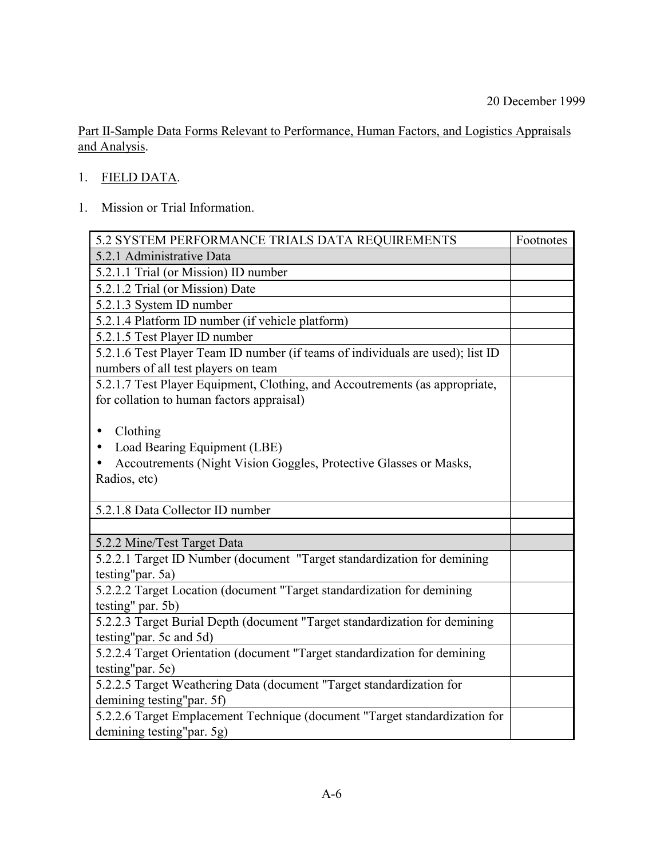Part II-Sample Data Forms Relevant to Performance, Human Factors, and Logistics Appraisals and Analysis.

- 1. FIELD DATA.
- 1. Mission or Trial Information.

| 5.2 SYSTEM PERFORMANCE TRIALS DATA REQUIREMENTS                                | Footnotes |
|--------------------------------------------------------------------------------|-----------|
| 5.2.1 Administrative Data                                                      |           |
| 5.2.1.1 Trial (or Mission) ID number                                           |           |
| 5.2.1.2 Trial (or Mission) Date                                                |           |
| 5.2.1.3 System ID number                                                       |           |
| 5.2.1.4 Platform ID number (if vehicle platform)                               |           |
| 5.2.1.5 Test Player ID number                                                  |           |
| 5.2.1.6 Test Player Team ID number (if teams of individuals are used); list ID |           |
| numbers of all test players on team                                            |           |
| 5.2.1.7 Test Player Equipment, Clothing, and Accoutrements (as appropriate,    |           |
| for collation to human factors appraisal)                                      |           |
|                                                                                |           |
| Clothing<br>$\bullet$                                                          |           |
| Load Bearing Equipment (LBE)                                                   |           |
| Accoutrements (Night Vision Goggles, Protective Glasses or Masks,              |           |
| Radios, etc)                                                                   |           |
|                                                                                |           |
| 5.2.1.8 Data Collector ID number                                               |           |
|                                                                                |           |
| 5.2.2 Mine/Test Target Data                                                    |           |
| 5.2.2.1 Target ID Number (document "Target standardization for demining        |           |
| testing"par. 5a)                                                               |           |
| 5.2.2.2 Target Location (document "Target standardization for demining         |           |
| testing" par. 5b)                                                              |           |
| 5.2.2.3 Target Burial Depth (document "Target standardization for demining     |           |
| testing"par. 5c and 5d)                                                        |           |
| 5.2.2.4 Target Orientation (document "Target standardization for demining      |           |
| testing"par. 5e)                                                               |           |
| 5.2.2.5 Target Weathering Data (document "Target standardization for           |           |
| demining testing"par. 5f)                                                      |           |
| 5.2.2.6 Target Emplacement Technique (document "Target standardization for     |           |
| demining testing"par. 5g)                                                      |           |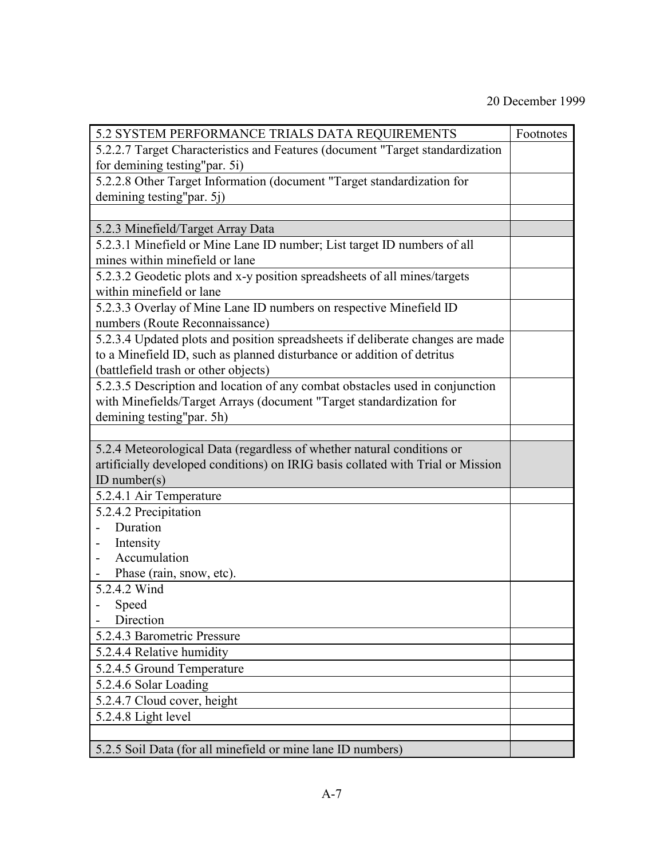| 5.2 SYSTEM PERFORMANCE TRIALS DATA REQUIREMENTS                                 | Footnotes |
|---------------------------------------------------------------------------------|-----------|
| 5.2.2.7 Target Characteristics and Features (document "Target standardization   |           |
| for demining testing"par. 5i)                                                   |           |
| 5.2.2.8 Other Target Information (document "Target standardization for          |           |
| demining testing"par. 5j)                                                       |           |
|                                                                                 |           |
| 5.2.3 Minefield/Target Array Data                                               |           |
| 5.2.3.1 Minefield or Mine Lane ID number; List target ID numbers of all         |           |
| mines within minefield or lane                                                  |           |
| 5.2.3.2 Geodetic plots and x-y position spreadsheets of all mines/targets       |           |
| within minefield or lane                                                        |           |
| 5.2.3.3 Overlay of Mine Lane ID numbers on respective Minefield ID              |           |
| numbers (Route Reconnaissance)                                                  |           |
| 5.2.3.4 Updated plots and position spreadsheets if deliberate changes are made  |           |
| to a Minefield ID, such as planned disturbance or addition of detritus          |           |
| (battlefield trash or other objects)                                            |           |
| 5.2.3.5 Description and location of any combat obstacles used in conjunction    |           |
| with Minefields/Target Arrays (document "Target standardization for             |           |
| demining testing"par. 5h)                                                       |           |
|                                                                                 |           |
| 5.2.4 Meteorological Data (regardless of whether natural conditions or          |           |
| artificially developed conditions) on IRIG basis collated with Trial or Mission |           |
| ID number( $s$ )                                                                |           |
| 5.2.4.1 Air Temperature                                                         |           |
| 5.2.4.2 Precipitation                                                           |           |
| Duration                                                                        |           |
| Intensity                                                                       |           |
| Accumulation                                                                    |           |
| Phase (rain, snow, etc).                                                        |           |
| 5.2.4.2 Wind                                                                    |           |
| Speed                                                                           |           |
| Direction                                                                       |           |
| 5.2.4.3 Barometric Pressure                                                     |           |
| 5.2.4.4 Relative humidity                                                       |           |
| 5.2.4.5 Ground Temperature                                                      |           |
| 5.2.4.6 Solar Loading                                                           |           |
| 5.2.4.7 Cloud cover, height                                                     |           |
| 5.2.4.8 Light level                                                             |           |
|                                                                                 |           |
| 5.2.5 Soil Data (for all minefield or mine lane ID numbers)                     |           |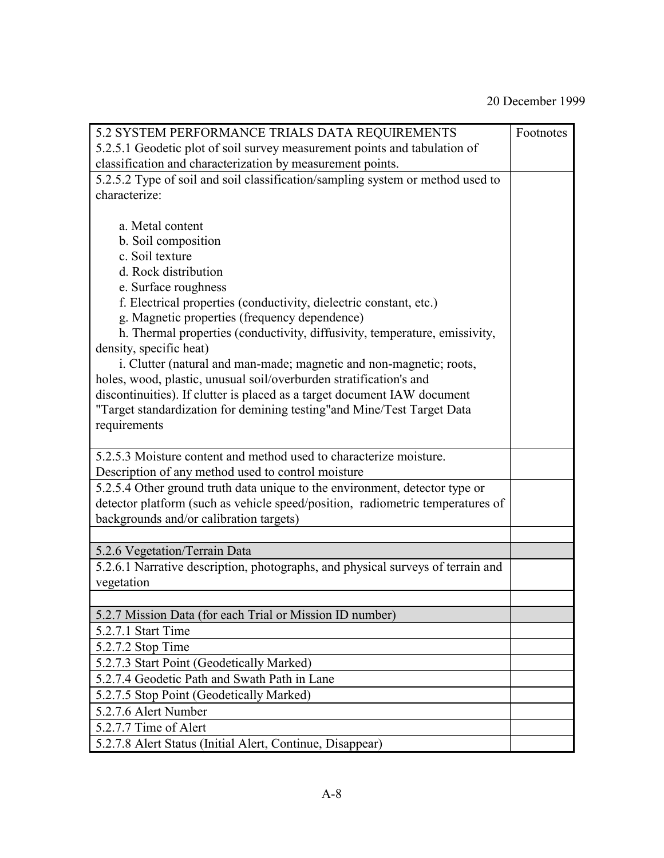| 5.2 SYSTEM PERFORMANCE TRIALS DATA REQUIREMENTS                                 | Footnotes |  |  |  |
|---------------------------------------------------------------------------------|-----------|--|--|--|
| 5.2.5.1 Geodetic plot of soil survey measurement points and tabulation of       |           |  |  |  |
| classification and characterization by measurement points.                      |           |  |  |  |
| 5.2.5.2 Type of soil and soil classification/sampling system or method used to  |           |  |  |  |
| characterize:                                                                   |           |  |  |  |
|                                                                                 |           |  |  |  |
| a. Metal content                                                                |           |  |  |  |
| b. Soil composition                                                             |           |  |  |  |
| c. Soil texture                                                                 |           |  |  |  |
| d. Rock distribution                                                            |           |  |  |  |
| e. Surface roughness                                                            |           |  |  |  |
| f. Electrical properties (conductivity, dielectric constant, etc.)              |           |  |  |  |
| g. Magnetic properties (frequency dependence)                                   |           |  |  |  |
| h. Thermal properties (conductivity, diffusivity, temperature, emissivity,      |           |  |  |  |
| density, specific heat)                                                         |           |  |  |  |
| i. Clutter (natural and man-made; magnetic and non-magnetic; roots,             |           |  |  |  |
| holes, wood, plastic, unusual soil/overburden stratification's and              |           |  |  |  |
| discontinuities). If clutter is placed as a target document IAW document        |           |  |  |  |
| "Target standardization for demining testing"and Mine/Test Target Data          |           |  |  |  |
| requirements                                                                    |           |  |  |  |
|                                                                                 |           |  |  |  |
| 5.2.5.3 Moisture content and method used to characterize moisture.              |           |  |  |  |
| Description of any method used to control moisture                              |           |  |  |  |
| 5.2.5.4 Other ground truth data unique to the environment, detector type or     |           |  |  |  |
| detector platform (such as vehicle speed/position, radiometric temperatures of  |           |  |  |  |
| backgrounds and/or calibration targets)                                         |           |  |  |  |
|                                                                                 |           |  |  |  |
| 5.2.6 Vegetation/Terrain Data                                                   |           |  |  |  |
| 5.2.6.1 Narrative description, photographs, and physical surveys of terrain and |           |  |  |  |
| vegetation                                                                      |           |  |  |  |
|                                                                                 |           |  |  |  |
| 5.2.7 Mission Data (for each Trial or Mission ID number)                        |           |  |  |  |
| 5.2.7.1 Start Time                                                              |           |  |  |  |
| 5.2.7.2 Stop Time                                                               |           |  |  |  |
| 5.2.7.3 Start Point (Geodetically Marked)                                       |           |  |  |  |
| 5.2.7.4 Geodetic Path and Swath Path in Lane                                    |           |  |  |  |
| 5.2.7.5 Stop Point (Geodetically Marked)                                        |           |  |  |  |
| 5.2.7.6 Alert Number                                                            |           |  |  |  |
| 5.2.7.7 Time of Alert                                                           |           |  |  |  |
| 5.2.7.8 Alert Status (Initial Alert, Continue, Disappear)                       |           |  |  |  |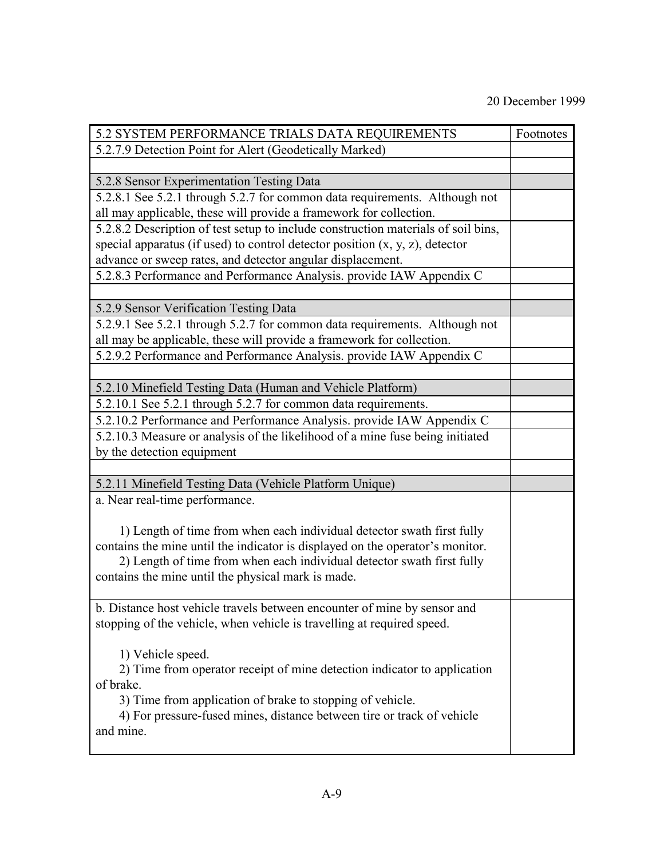| 5.2 SYSTEM PERFORMANCE TRIALS DATA REQUIREMENTS                                     | Footnotes |
|-------------------------------------------------------------------------------------|-----------|
| 5.2.7.9 Detection Point for Alert (Geodetically Marked)                             |           |
|                                                                                     |           |
| 5.2.8 Sensor Experimentation Testing Data                                           |           |
| 5.2.8.1 See 5.2.1 through 5.2.7 for common data requirements. Although not          |           |
| all may applicable, these will provide a framework for collection.                  |           |
| 5.2.8.2 Description of test setup to include construction materials of soil bins,   |           |
| special apparatus (if used) to control detector position $(x, y, z)$ , detector     |           |
| advance or sweep rates, and detector angular displacement.                          |           |
| 5.2.8.3 Performance and Performance Analysis. provide IAW Appendix C                |           |
|                                                                                     |           |
| 5.2.9 Sensor Verification Testing Data                                              |           |
| 5.2.9.1 See 5.2.1 through 5.2.7 for common data requirements. Although not          |           |
| all may be applicable, these will provide a framework for collection.               |           |
| 5.2.9.2 Performance and Performance Analysis. provide IAW Appendix C                |           |
|                                                                                     |           |
| 5.2.10 Minefield Testing Data (Human and Vehicle Platform)                          |           |
| 5.2.10.1 See 5.2.1 through 5.2.7 for common data requirements.                      |           |
| 5.2.10.2 Performance and Performance Analysis. provide IAW Appendix C               |           |
| 5.2.10.3 Measure or analysis of the likelihood of a mine fuse being initiated       |           |
| by the detection equipment                                                          |           |
|                                                                                     |           |
| 5.2.11 Minefield Testing Data (Vehicle Platform Unique)                             |           |
| a. Near real-time performance.                                                      |           |
|                                                                                     |           |
| 1) Length of time from when each individual detector swath first fully              |           |
| contains the mine until the indicator is displayed on the operator's monitor.       |           |
| 2) Length of time from when each individual detector swath first fully              |           |
| contains the mine until the physical mark is made.                                  |           |
|                                                                                     |           |
| b. Distance host vehicle travels between encounter of mine by sensor and            |           |
| stopping of the vehicle, when vehicle is travelling at required speed.              |           |
|                                                                                     |           |
| 1) Vehicle speed.                                                                   |           |
| 2) Time from operator receipt of mine detection indicator to application            |           |
| of brake.                                                                           |           |
| 3) Time from application of brake to stopping of vehicle.                           |           |
| 4) For pressure-fused mines, distance between tire or track of vehicle<br>and mine. |           |
|                                                                                     |           |
|                                                                                     |           |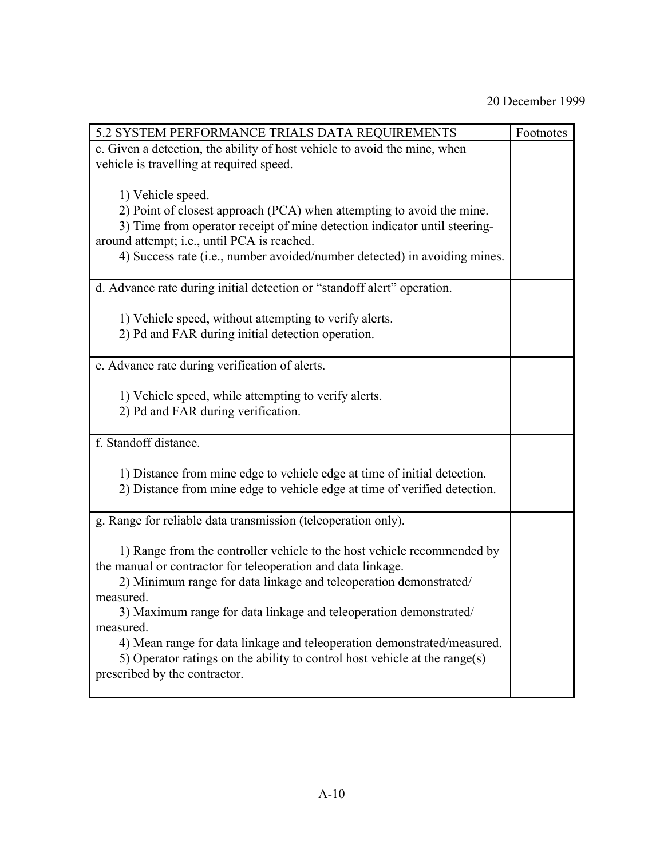| 5.2 SYSTEM PERFORMANCE TRIALS DATA REQUIREMENTS                            | Footnotes |
|----------------------------------------------------------------------------|-----------|
| c. Given a detection, the ability of host vehicle to avoid the mine, when  |           |
| vehicle is travelling at required speed.                                   |           |
|                                                                            |           |
| 1) Vehicle speed.                                                          |           |
| 2) Point of closest approach (PCA) when attempting to avoid the mine.      |           |
| 3) Time from operator receipt of mine detection indicator until steering-  |           |
| around attempt; i.e., until PCA is reached.                                |           |
| 4) Success rate (i.e., number avoided/number detected) in avoiding mines.  |           |
|                                                                            |           |
| d. Advance rate during initial detection or "standoff alert" operation.    |           |
|                                                                            |           |
| 1) Vehicle speed, without attempting to verify alerts.                     |           |
| 2) Pd and FAR during initial detection operation.                          |           |
|                                                                            |           |
| e. Advance rate during verification of alerts.                             |           |
|                                                                            |           |
| 1) Vehicle speed, while attempting to verify alerts.                       |           |
| 2) Pd and FAR during verification.                                         |           |
|                                                                            |           |
| f. Standoff distance.                                                      |           |
|                                                                            |           |
| 1) Distance from mine edge to vehicle edge at time of initial detection.   |           |
| 2) Distance from mine edge to vehicle edge at time of verified detection.  |           |
|                                                                            |           |
| g. Range for reliable data transmission (teleoperation only).              |           |
|                                                                            |           |
| 1) Range from the controller vehicle to the host vehicle recommended by    |           |
| the manual or contractor for teleoperation and data linkage.               |           |
| 2) Minimum range for data linkage and teleoperation demonstrated/          |           |
| measured.                                                                  |           |
| 3) Maximum range for data linkage and teleoperation demonstrated/          |           |
| measured.                                                                  |           |
| 4) Mean range for data linkage and teleoperation demonstrated/measured.    |           |
| 5) Operator ratings on the ability to control host vehicle at the range(s) |           |
| prescribed by the contractor.                                              |           |
|                                                                            |           |
|                                                                            |           |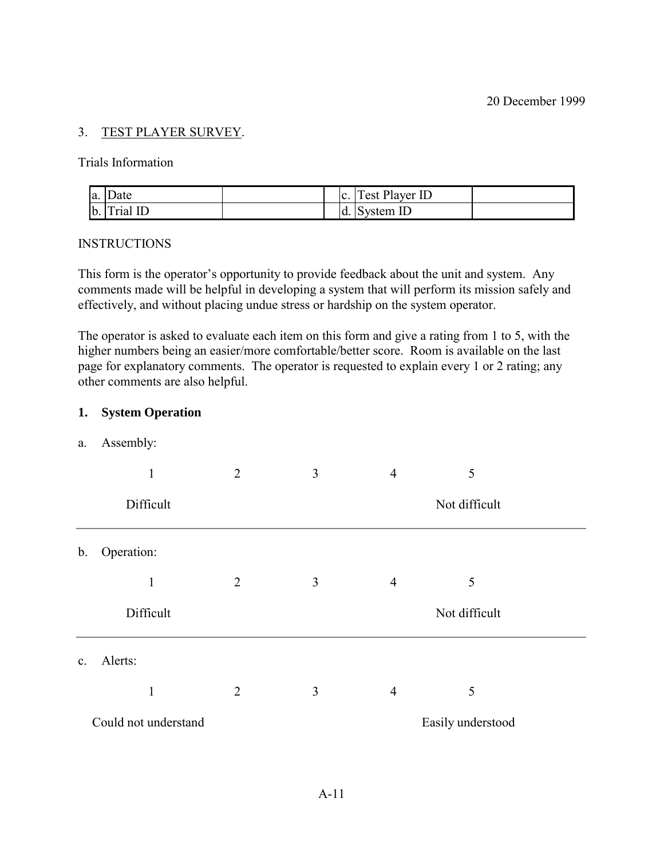## 3. TEST PLAYER SURVEY.

Trials Information

| a. Date     |     | c. Test Player ID |  |
|-------------|-----|-------------------|--|
| b. Trial ID | Id. | System ID         |  |

#### INSTRUCTIONS

This form is the operator's opportunity to provide feedback about the unit and system. Any comments made will be helpful in developing a system that will perform its mission safely and effectively, and without placing undue stress or hardship on the system operator.

The operator is asked to evaluate each item on this form and give a rating from 1 to 5, with the higher numbers being an easier/more comfortable/better score. Room is available on the last page for explanatory comments. The operator is requested to explain every 1 or 2 rating; any other comments are also helpful.

#### **1. System Operation**

a. Assembly:

|                | 1                    | $\overline{2}$ | 3 | $\overline{4}$ | 5                 |  |
|----------------|----------------------|----------------|---|----------------|-------------------|--|
|                | Difficult            |                |   |                | Not difficult     |  |
| $\mathbf{b}$ . | Operation:           |                |   |                |                   |  |
|                | 1                    | $\overline{2}$ | 3 | $\overline{4}$ | 5                 |  |
|                | Difficult            |                |   |                | Not difficult     |  |
| $\mathbf{c}$ . | Alerts:              |                |   |                |                   |  |
|                |                      | $\overline{2}$ | 3 | $\overline{4}$ | 5                 |  |
|                | Could not understand |                |   |                | Easily understood |  |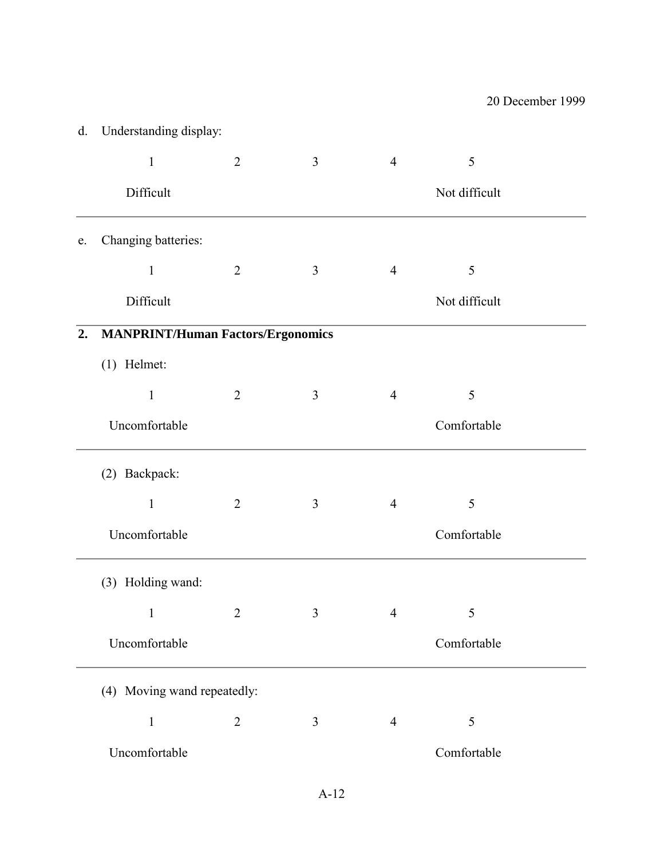| d.         | Understanding display:                   |                |                |                |               |
|------------|------------------------------------------|----------------|----------------|----------------|---------------|
|            | $\mathbf{1}$                             | $\overline{2}$ | $\overline{3}$ | $\overline{4}$ | 5             |
|            | Difficult                                |                |                |                | Not difficult |
| ${\bf e}.$ | Changing batteries:                      |                |                |                |               |
|            | $\mathbf{1}$                             | $\overline{2}$ | 3              | $\overline{4}$ | 5             |
|            | Difficult                                |                |                |                | Not difficult |
| 2.         | <b>MANPRINT/Human Factors/Ergonomics</b> |                |                |                |               |
|            | $(1)$ Helmet:                            |                |                |                |               |
|            | $\mathbf{1}$                             | $\overline{2}$ | 3              | $\overline{4}$ | 5             |
|            | Uncomfortable                            |                |                |                | Comfortable   |
|            | (2) Backpack:                            |                |                |                |               |
|            | $\mathbf{1}$                             | $\overline{2}$ | 3              | $\overline{4}$ | 5             |
|            | Uncomfortable                            |                |                |                | Comfortable   |
|            | (3) Holding wand:                        |                |                |                |               |
|            | $\mathbf{1}$                             | 2              | 3              | $\overline{4}$ | 5             |
|            | Uncomfortable                            |                |                |                | Comfortable   |
|            | (4) Moving wand repeatedly:              |                |                |                |               |
|            | $\mathbf{1}$                             | $\overline{2}$ | $\mathfrak{Z}$ | $\overline{4}$ | 5             |
|            | Uncomfortable                            |                |                |                | Comfortable   |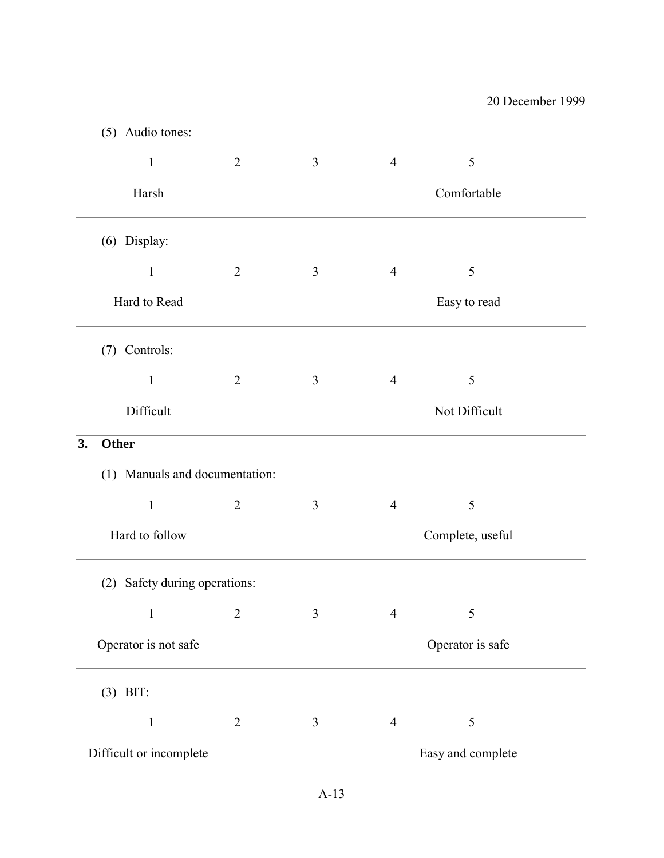|                    | (5) Audio tones:               |                |                |                |                   |
|--------------------|--------------------------------|----------------|----------------|----------------|-------------------|
|                    | $\mathbf{1}$                   | $\overline{2}$ | $\mathfrak{Z}$ | $\overline{4}$ | 5                 |
|                    | Harsh                          |                |                |                | Comfortable       |
|                    | (6) Display:                   |                |                |                |                   |
|                    | $\mathbf{1}$                   | $\overline{2}$ | $\mathfrak{Z}$ | $\overline{4}$ | 5                 |
|                    | Hard to Read                   |                |                |                | Easy to read      |
|                    | (7) Controls:                  |                |                |                |                   |
|                    | $\mathbf{1}$                   | $\overline{2}$ | 3              | $\overline{4}$ | 5                 |
|                    | Difficult                      |                |                |                | Not Difficult     |
| 3.<br><b>Other</b> |                                |                |                |                |                   |
|                    | (1) Manuals and documentation: |                |                |                |                   |
|                    | $\mathbf{1}$                   | $\overline{2}$ | $\mathfrak{Z}$ | $\overline{4}$ | 5                 |
|                    | Hard to follow                 |                |                |                | Complete, useful  |
| (2)                | Safety during operations:      |                |                |                |                   |
|                    | 1                              | 2              | 3              | $\overline{4}$ | 5                 |
|                    | Operator is not safe           |                |                |                | Operator is safe  |
|                    | $(3)$ BIT:                     |                |                |                |                   |
|                    | 1                              | $\overline{2}$ | $\overline{3}$ | $\overline{4}$ | 5                 |
|                    | Difficult or incomplete        |                |                |                | Easy and complete |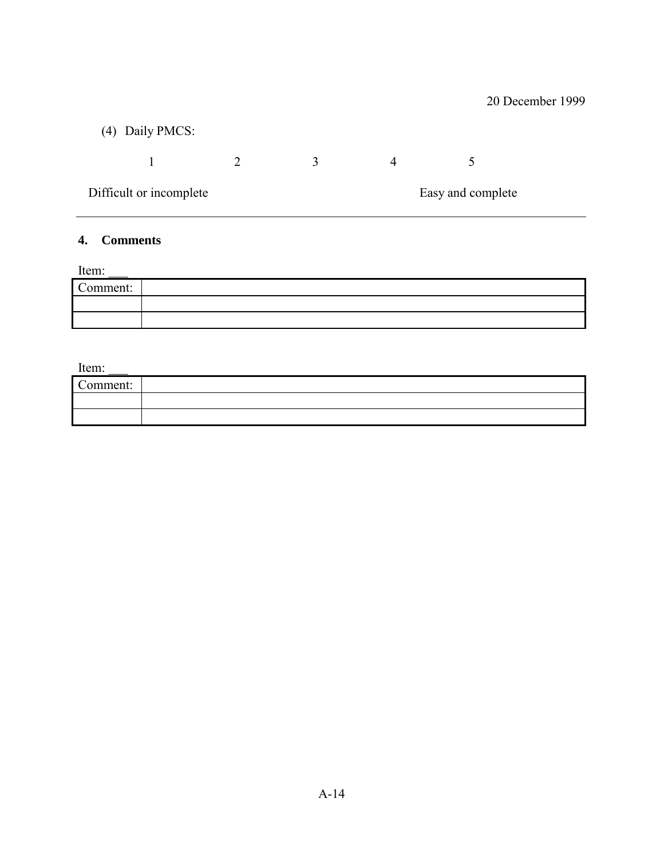| (4) Daily PMCS:         |              |   |                   |  |
|-------------------------|--------------|---|-------------------|--|
|                         | $\mathbf{R}$ | 4 |                   |  |
| Difficult or incomplete |              |   | Easy and complete |  |

# **4. Comments**

Item:

| Comment: |  |
|----------|--|
|          |  |
|          |  |

Item:

| ------   |  |
|----------|--|
| Comment: |  |
|          |  |
|          |  |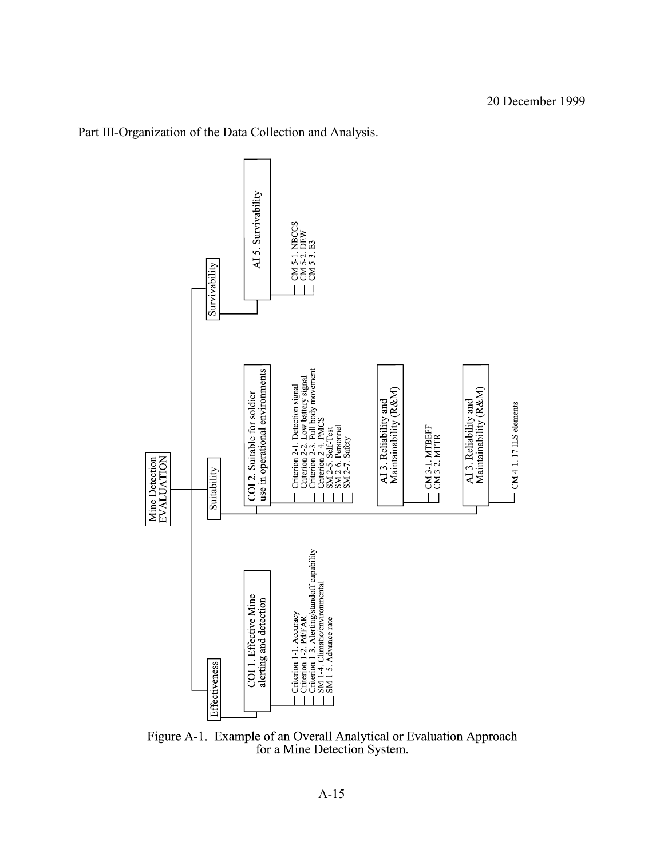

# Part III-Organization of the Data Collection and Analysis.

Figure A-1. Example of an Overall Analytical or Evaluation Approach for a Mine Detection System.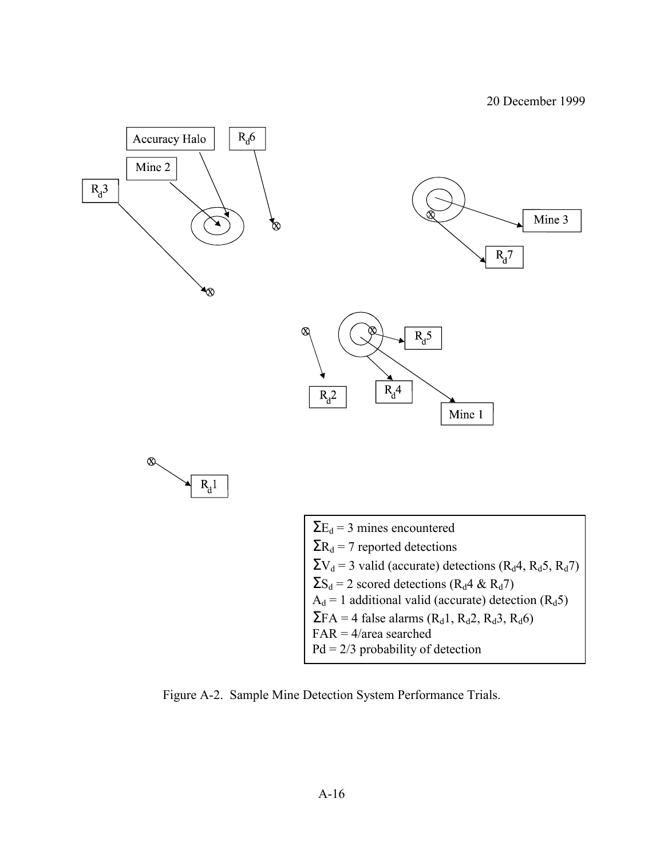

Figure A-2. Sample Mine Detection System Performance Trials.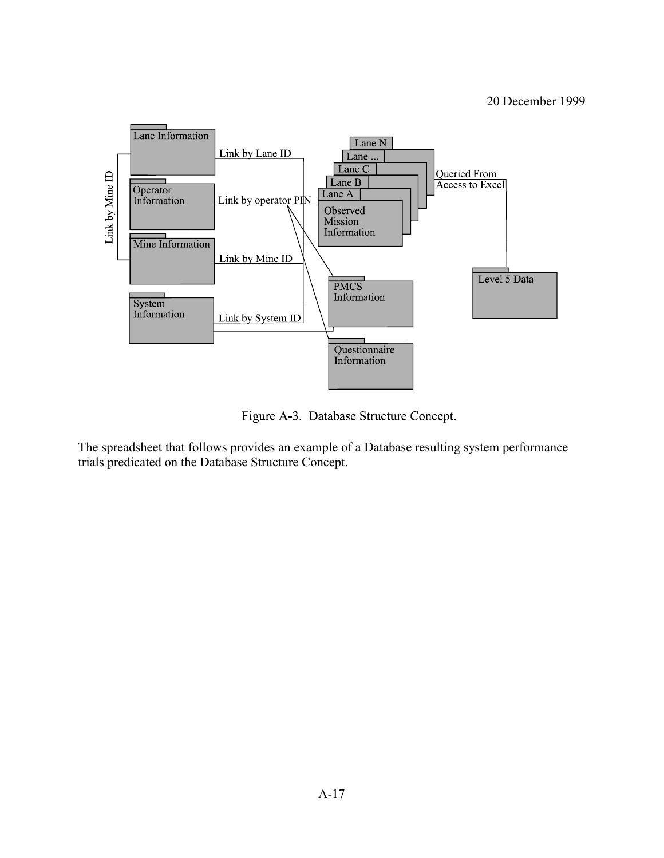

Figure A-3. Database Structure Concept.

The spreadsheet that follows provides an example of a Database resulting system performance trials predicated on the Database Structure Concept.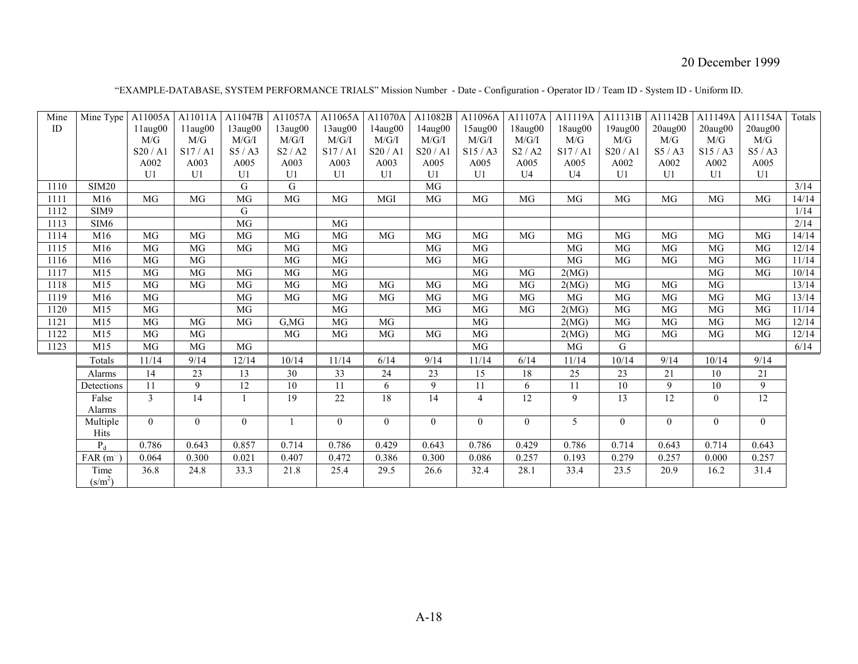| "EXAMPLE-DATABASE, SYSTEM PERFORMANCE TRIALS" Mission Number - Date - Configuration - Operator ID / Team ID - System ID - Uniform ID. |  |
|---------------------------------------------------------------------------------------------------------------------------------------|--|
|                                                                                                                                       |  |

| Mine | Mine Type        | A11005A        | A11011A         | A11047B         | A11057A         | A11065A         | A11070A         | A11082B   | A11096A        | A11107A  | A11119A        | A11131B         | A11142B        | A11149A   | A11154A         | Totals |
|------|------------------|----------------|-----------------|-----------------|-----------------|-----------------|-----------------|-----------|----------------|----------|----------------|-----------------|----------------|-----------|-----------------|--------|
| ID   |                  | 11aug00        | $11$ aug $00$   | 13aug00         | 13aug00         | 13aug00         | 14aug00         | 14aug00   | 15aug00        | 18aug00  | 18aug00        | 19aug00         | $20$ aug $00$  | 20aug00   | $20$ aug $00$   |        |
|      |                  | M/G            | M/G             | M/G/I           | M/G/I           | M/G/I           | M/G/I           | M/G/I     | M/G/I          | M/G/I    | M/G            | M/G             | M/G            | M/G       | M/G             |        |
|      |                  | S20/Al         | S17/A1          | S5/AS           | S2/ A2          | S17/A1          | S20/Al          | S20/Al    | S15/AS         | S2/ A2   | S17/A1         | S20/Al          | S5/AS          | S15/AS    | S5/AS           |        |
|      |                  | A002           | A003            | A005            | A003            | A003            | A003            | A005      | A005           | A005     | A005           | A002            | A002           | A002      | A005            |        |
|      |                  | U <sub>1</sub> | U1              | U <sub>1</sub>  | U <sub>1</sub>  | U1              | U1              | U1        | U1             | U4       | U <sub>4</sub> | U1              | U1             | U1        | U1              |        |
| 1110 | <b>SIM20</b>     |                |                 | G               | G               |                 |                 | MG        |                |          |                |                 |                |           |                 | 3/14   |
| 1111 | M16              | MG             | MG              | $\overline{MG}$ | $\overline{MG}$ | MG              | MGI             | MG        | <b>MG</b>      | MG       | MG             | MG              | MG             | MG        | MG              | 14/14  |
| 1112 | SIM9             |                |                 | G               |                 |                 |                 |           |                |          |                |                 |                |           |                 | 1/14   |
| 1113 | SIM <sub>6</sub> |                |                 | MG              |                 | MG              |                 |           |                |          |                |                 |                |           |                 | 2/14   |
| 1114 | M16              | <b>MG</b>      | MG              | MG              | MG              | MG              | <b>MG</b>       | <b>MG</b> | MG             | MG       | MG             | MG              | MG             | <b>MG</b> | MG              | 14/14  |
| 1115 | M16              | MG             | MG              | MG              | MG              | MG              |                 | MG        | MG             |          | MG             | MG              | MG             | MG        | MG              | 12/14  |
| 1116 | M16              | MG             | <b>MG</b>       |                 | MG              | MG              |                 | MG        | MG             |          | MG             | <b>MG</b>       | MG             | <b>MG</b> | MG              | 11/14  |
| 1117 | M15              | MG             | <b>MG</b>       | MG              | MG              | MG              |                 |           | MG             | MG       | 2(MG)          |                 |                | MG        | MG              | 10/14  |
| 1118 | M15              | <b>MG</b>      | $\overline{MG}$ | MG              | MG              | MG              | MG              | MG        | MG             | MG       | 2(MG)          | MG              | MG             | MG        |                 | 13/14  |
| 1119 | M16              | <b>MG</b>      |                 | MG              | MG              | <b>MG</b>       | MG              | <b>MG</b> | MG             | MG       | MG             | <b>MG</b>       | MG             | <b>MG</b> | MG              | 13/14  |
| 1120 | M15              | MG             |                 | MG              |                 | MG              |                 | MG        | MG             | MG       | 2(MG)          | MG              | MG             | MG        | MG              | 11/14  |
| 1121 | M15              | MG             | MG              | MG              | G,MG            | MG              | $\overline{MG}$ |           | MG             |          | 2(MG)          | MG              | MG             | MG        | MG              | 12/14  |
| 1122 | M15              | <b>MG</b>      | MG              |                 | MG              | MG              | MG              | MG        | MG             |          | 2(MG)          | MG              | MG             | MG        | MG              | 12/14  |
| 1123 | M15              | MG             | MG              | MG              |                 |                 |                 |           | MG             |          | MG             | G               |                |           |                 | 6/14   |
|      | Totals           | 11/14          | 9/14            | 12/14           | 10/14           | 11/14           | 6/14            | 9/14      | 11/14          | 6/14     | 11/14          | 10/14           | 9/14           | 10/14     | 9/14            |        |
|      | Alarms           | 14             | 23              | 13              | 30              | 33              | 24              | 23        | 15             | 18       | 25             | 23              | 21             | 10        | 21              |        |
|      | Detections       | 11             | 9               | 12              | 10              | 11              | 6               | 9         | 11             | 6        | 11             | 10              | 9              | 10        | 9               |        |
|      | False            | $\mathcal{E}$  | 14              |                 | $\overline{19}$ | $\overline{22}$ | $\overline{18}$ | 14        | $\overline{4}$ | 12       | 9              | $\overline{13}$ | 12             | $\theta$  | $\overline{12}$ |        |
|      | Alarms           |                |                 |                 |                 |                 |                 |           |                |          |                |                 |                |           |                 |        |
|      | Multiple         | $\Omega$       | $\theta$        | $\overline{0}$  |                 | $\overline{0}$  | $\theta$        | $\theta$  | $\overline{0}$ | $\theta$ | 5              | $\overline{0}$  | $\overline{0}$ | $\theta$  | $\overline{0}$  |        |
|      | Hits             |                |                 |                 |                 |                 |                 |           |                |          |                |                 |                |           |                 |        |
|      | $P_d$            | 0.786          | 0.643           | 0.857           | 0.714           | 0.786           | 0.429           | 0.643     | 0.786          | 0.429    | 0.786          | 0.714           | 0.643          | 0.714     | 0.643           |        |
|      | FAR(m)           | 0.064          | 0.300           | 0.021           | 0.407           | 0.472           | 0.386           | 0.300     | 0.086          | 0.257    | 0.193          | 0.279           | 0.257          | 0.000     | 0.257           |        |
|      | Time             | 36.8           | 24.8            | 33.3            | 21.8            | 25.4            | 29.5            | 26.6      | 32.4           | 28.1     | 33.4           | 23.5            | 20.9           | 16.2      | 31.4            |        |
|      | $(s/m^2)$        |                |                 |                 |                 |                 |                 |           |                |          |                |                 |                |           |                 |        |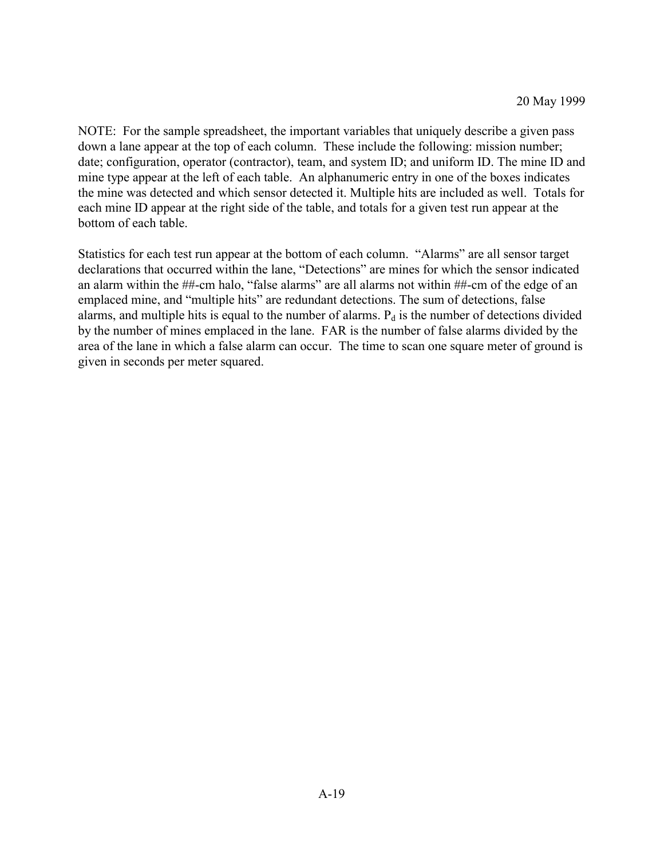NOTE: For the sample spreadsheet, the important variables that uniquely describe a given pass down a lane appear at the top of each column. These include the following: mission number; date; configuration, operator (contractor), team, and system ID; and uniform ID. The mine ID and mine type appear at the left of each table. An alphanumeric entry in one of the boxes indicates the mine was detected and which sensor detected it. Multiple hits are included as well. Totals for each mine ID appear at the right side of the table, and totals for a given test run appear at the bottom of each table.

Statistics for each test run appear at the bottom of each column. "Alarms" are all sensor target declarations that occurred within the lane, "Detections" are mines for which the sensor indicated an alarm within the ##-cm halo, "false alarms" are all alarms not within ##-cm of the edge of an emplaced mine, and "multiple hits" are redundant detections. The sum of detections, false alarms, and multiple hits is equal to the number of alarms.  $P_d$  is the number of detections divided by the number of mines emplaced in the lane. FAR is the number of false alarms divided by the area of the lane in which a false alarm can occur. The time to scan one square meter of ground is given in seconds per meter squared.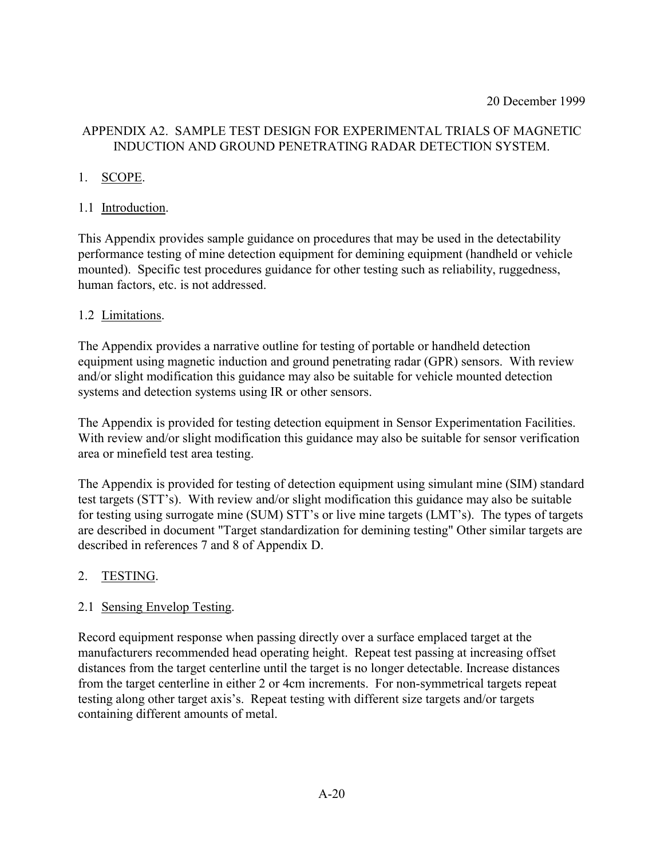# APPENDIX A2. SAMPLE TEST DESIGN FOR EXPERIMENTAL TRIALS OF MAGNETIC INDUCTION AND GROUND PENETRATING RADAR DETECTION SYSTEM.

# 1. SCOPE.

# 1.1 Introduction.

This Appendix provides sample guidance on procedures that may be used in the detectability performance testing of mine detection equipment for demining equipment (handheld or vehicle mounted). Specific test procedures guidance for other testing such as reliability, ruggedness, human factors, etc. is not addressed.

## 1.2 Limitations.

The Appendix provides a narrative outline for testing of portable or handheld detection equipment using magnetic induction and ground penetrating radar (GPR) sensors. With review and/or slight modification this guidance may also be suitable for vehicle mounted detection systems and detection systems using IR or other sensors.

The Appendix is provided for testing detection equipment in Sensor Experimentation Facilities. With review and/or slight modification this guidance may also be suitable for sensor verification area or minefield test area testing.

The Appendix is provided for testing of detection equipment using simulant mine (SIM) standard test targets (STT's). With review and/or slight modification this guidance may also be suitable for testing using surrogate mine (SUM) STT's or live mine targets (LMT's). The types of targets are described in document "Target standardization for demining testing" Other similar targets are described in references 7 and 8 of Appendix D.

# 2. TESTING.

## 2.1 Sensing Envelop Testing.

Record equipment response when passing directly over a surface emplaced target at the manufacturers recommended head operating height. Repeat test passing at increasing offset distances from the target centerline until the target is no longer detectable. Increase distances from the target centerline in either 2 or 4cm increments. For non-symmetrical targets repeat testing along other target axis's. Repeat testing with different size targets and/or targets containing different amounts of metal.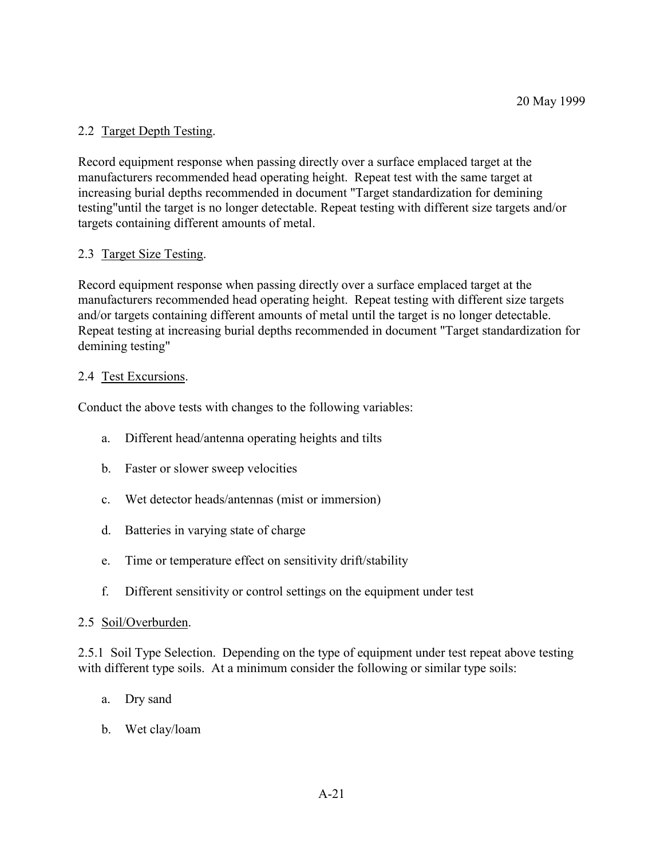# 2.2 Target Depth Testing.

Record equipment response when passing directly over a surface emplaced target at the manufacturers recommended head operating height. Repeat test with the same target at increasing burial depths recommended in document "Target standardization for demining testing"until the target is no longer detectable. Repeat testing with different size targets and/or targets containing different amounts of metal.

## 2.3 Target Size Testing.

Record equipment response when passing directly over a surface emplaced target at the manufacturers recommended head operating height. Repeat testing with different size targets and/or targets containing different amounts of metal until the target is no longer detectable. Repeat testing at increasing burial depths recommended in document "Target standardization for demining testing"

## 2.4 Test Excursions.

Conduct the above tests with changes to the following variables:

- a. Different head/antenna operating heights and tilts
- b. Faster or slower sweep velocities
- c. Wet detector heads/antennas (mist or immersion)
- d. Batteries in varying state of charge
- e. Time or temperature effect on sensitivity drift/stability
- f. Different sensitivity or control settings on the equipment under test

## 2.5 Soil/Overburden.

2.5.1 Soil Type Selection. Depending on the type of equipment under test repeat above testing with different type soils. At a minimum consider the following or similar type soils:

- a. Dry sand
- b. Wet clay/loam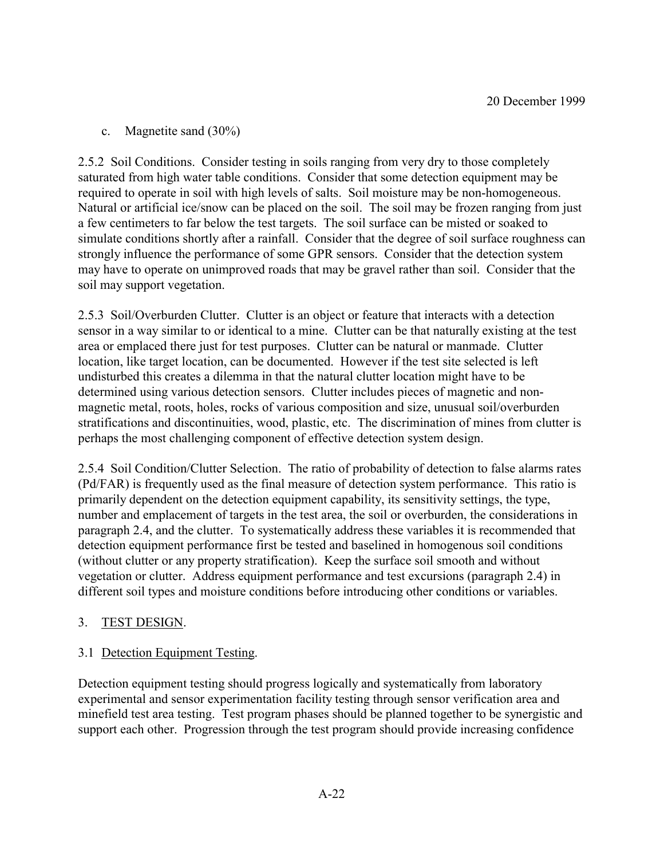c. Magnetite sand (30%)

2.5.2 Soil Conditions. Consider testing in soils ranging from very dry to those completely saturated from high water table conditions. Consider that some detection equipment may be required to operate in soil with high levels of salts. Soil moisture may be non-homogeneous. Natural or artificial ice/snow can be placed on the soil. The soil may be frozen ranging from just a few centimeters to far below the test targets. The soil surface can be misted or soaked to simulate conditions shortly after a rainfall. Consider that the degree of soil surface roughness can strongly influence the performance of some GPR sensors. Consider that the detection system may have to operate on unimproved roads that may be gravel rather than soil. Consider that the soil may support vegetation.

2.5.3 Soil/Overburden Clutter. Clutter is an object or feature that interacts with a detection sensor in a way similar to or identical to a mine. Clutter can be that naturally existing at the test area or emplaced there just for test purposes. Clutter can be natural or manmade. Clutter location, like target location, can be documented. However if the test site selected is left undisturbed this creates a dilemma in that the natural clutter location might have to be determined using various detection sensors. Clutter includes pieces of magnetic and nonmagnetic metal, roots, holes, rocks of various composition and size, unusual soil/overburden stratifications and discontinuities, wood, plastic, etc. The discrimination of mines from clutter is perhaps the most challenging component of effective detection system design.

2.5.4 Soil Condition/Clutter Selection. The ratio of probability of detection to false alarms rates (Pd/FAR) is frequently used as the final measure of detection system performance. This ratio is primarily dependent on the detection equipment capability, its sensitivity settings, the type, number and emplacement of targets in the test area, the soil or overburden, the considerations in paragraph 2.4, and the clutter. To systematically address these variables it is recommended that detection equipment performance first be tested and baselined in homogenous soil conditions (without clutter or any property stratification). Keep the surface soil smooth and without vegetation or clutter. Address equipment performance and test excursions (paragraph 2.4) in different soil types and moisture conditions before introducing other conditions or variables.

## 3. TEST DESIGN.

# 3.1 Detection Equipment Testing.

Detection equipment testing should progress logically and systematically from laboratory experimental and sensor experimentation facility testing through sensor verification area and minefield test area testing. Test program phases should be planned together to be synergistic and support each other. Progression through the test program should provide increasing confidence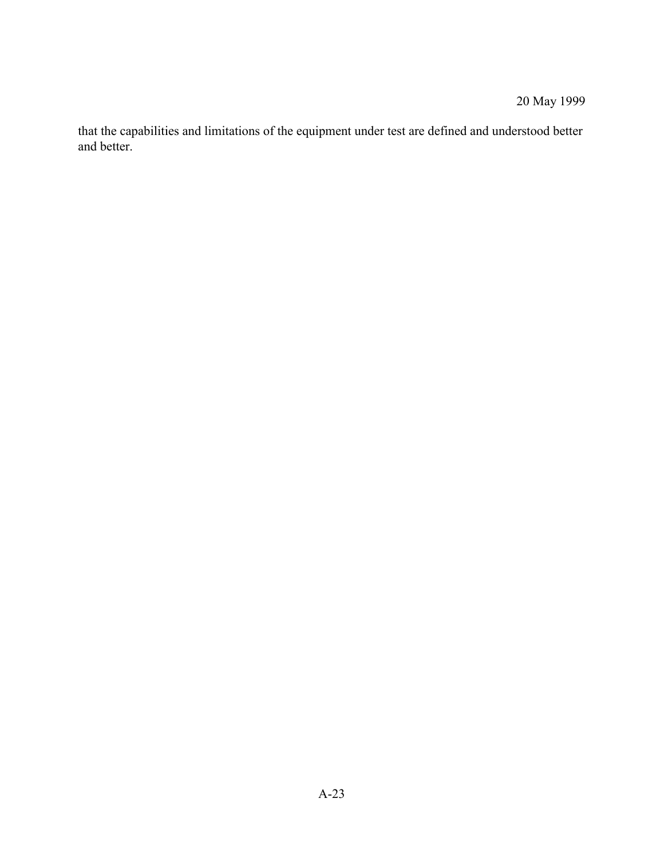# 20 May 1999

that the capabilities and limitations of the equipment under test are defined and understood better and better.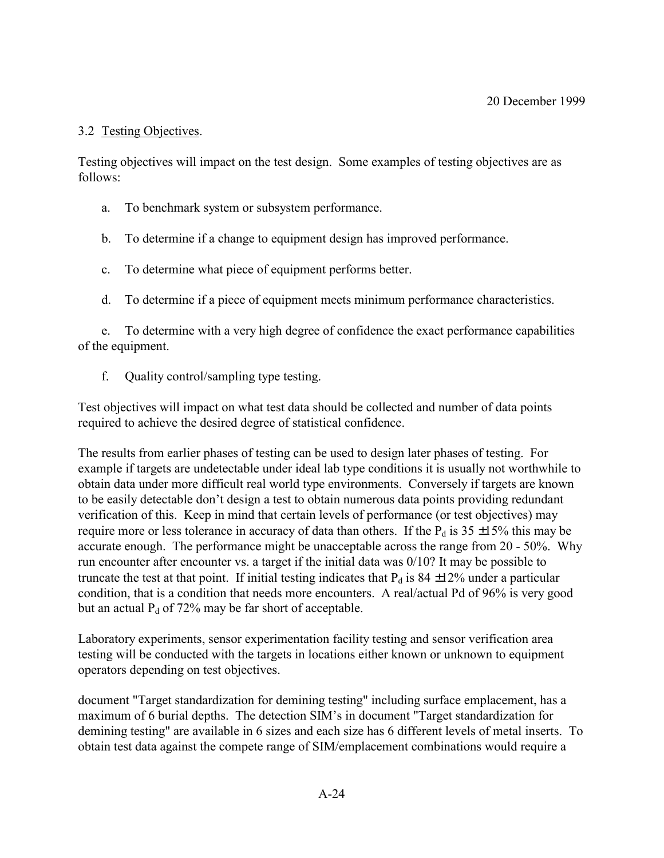## 3.2 Testing Objectives.

Testing objectives will impact on the test design. Some examples of testing objectives are as follows:

- a. To benchmark system or subsystem performance.
- b. To determine if a change to equipment design has improved performance.
- c. To determine what piece of equipment performs better.
- d. To determine if a piece of equipment meets minimum performance characteristics.

e. To determine with a very high degree of confidence the exact performance capabilities of the equipment.

f. Quality control/sampling type testing.

Test objectives will impact on what test data should be collected and number of data points required to achieve the desired degree of statistical confidence.

The results from earlier phases of testing can be used to design later phases of testing. For example if targets are undetectable under ideal lab type conditions it is usually not worthwhile to obtain data under more difficult real world type environments. Conversely if targets are known to be easily detectable don't design a test to obtain numerous data points providing redundant verification of this. Keep in mind that certain levels of performance (or test objectives) may require more or less tolerance in accuracy of data than others. If the  $P_d$  is 35  $\pm$ 15% this may be accurate enough. The performance might be unacceptable across the range from 20 - 50%. Why run encounter after encounter vs. a target if the initial data was 0/10? It may be possible to truncate the test at that point. If initial testing indicates that  $P_d$  is 84  $\pm$ 12% under a particular condition, that is a condition that needs more encounters. A real/actual Pd of 96% is very good but an actual  $P_d$  of 72% may be far short of acceptable.

Laboratory experiments, sensor experimentation facility testing and sensor verification area testing will be conducted with the targets in locations either known or unknown to equipment operators depending on test objectives.

document "Target standardization for demining testing" including surface emplacement, has a maximum of 6 burial depths. The detection SIM's in document "Target standardization for demining testing" are available in 6 sizes and each size has 6 different levels of metal inserts. To obtain test data against the compete range of SIM/emplacement combinations would require a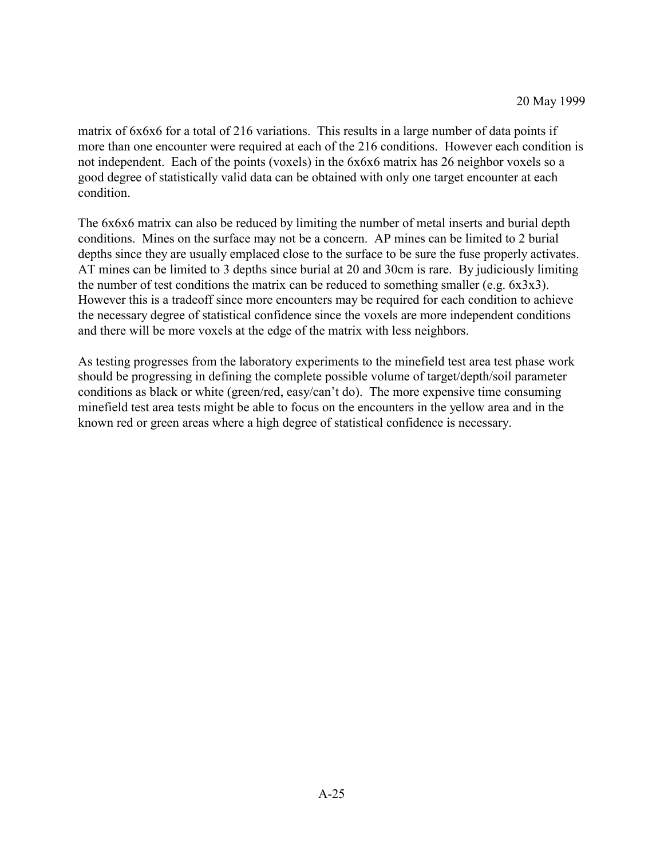matrix of 6x6x6 for a total of 216 variations. This results in a large number of data points if more than one encounter were required at each of the 216 conditions. However each condition is not independent. Each of the points (voxels) in the 6x6x6 matrix has 26 neighbor voxels so a good degree of statistically valid data can be obtained with only one target encounter at each condition.

The 6x6x6 matrix can also be reduced by limiting the number of metal inserts and burial depth conditions. Mines on the surface may not be a concern. AP mines can be limited to 2 burial depths since they are usually emplaced close to the surface to be sure the fuse properly activates. AT mines can be limited to 3 depths since burial at 20 and 30cm is rare. By judiciously limiting the number of test conditions the matrix can be reduced to something smaller (e.g. 6x3x3). However this is a tradeoff since more encounters may be required for each condition to achieve the necessary degree of statistical confidence since the voxels are more independent conditions and there will be more voxels at the edge of the matrix with less neighbors.

As testing progresses from the laboratory experiments to the minefield test area test phase work should be progressing in defining the complete possible volume of target/depth/soil parameter conditions as black or white (green/red, easy/can<sup>2</sup>t do). The more expensive time consuming minefield test area tests might be able to focus on the encounters in the yellow area and in the known red or green areas where a high degree of statistical confidence is necessary.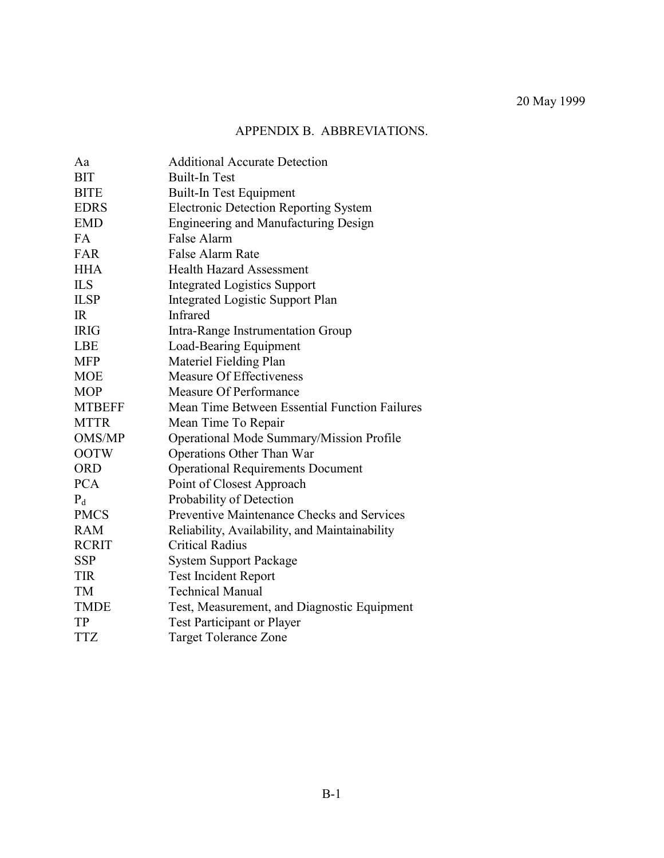# APPENDIX B. ABBREVIATIONS.

| Aa            | <b>Additional Accurate Detection</b>              |
|---------------|---------------------------------------------------|
| <b>BIT</b>    | <b>Built-In Test</b>                              |
| <b>BITE</b>   | <b>Built-In Test Equipment</b>                    |
| <b>EDRS</b>   | <b>Electronic Detection Reporting System</b>      |
| <b>EMD</b>    | <b>Engineering and Manufacturing Design</b>       |
| FA            | False Alarm                                       |
| <b>FAR</b>    | <b>False Alarm Rate</b>                           |
| <b>HHA</b>    | <b>Health Hazard Assessment</b>                   |
| <b>ILS</b>    | <b>Integrated Logistics Support</b>               |
| <b>ILSP</b>   | <b>Integrated Logistic Support Plan</b>           |
| IR            | Infrared                                          |
| <b>IRIG</b>   | Intra-Range Instrumentation Group                 |
| <b>LBE</b>    | Load-Bearing Equipment                            |
| <b>MFP</b>    | Materiel Fielding Plan                            |
| <b>MOE</b>    | Measure Of Effectiveness                          |
| <b>MOP</b>    | Measure Of Performance                            |
| <b>MTBEFF</b> | Mean Time Between Essential Function Failures     |
| <b>MTTR</b>   | Mean Time To Repair                               |
| OMS/MP        | Operational Mode Summary/Mission Profile          |
| <b>OOTW</b>   | Operations Other Than War                         |
| <b>ORD</b>    | <b>Operational Requirements Document</b>          |
| <b>PCA</b>    | Point of Closest Approach                         |
| $P_d$         | Probability of Detection                          |
| <b>PMCS</b>   | <b>Preventive Maintenance Checks and Services</b> |
| <b>RAM</b>    | Reliability, Availability, and Maintainability    |
| <b>RCRIT</b>  | <b>Critical Radius</b>                            |
| <b>SSP</b>    | <b>System Support Package</b>                     |
| <b>TIR</b>    | <b>Test Incident Report</b>                       |
| <b>TM</b>     | <b>Technical Manual</b>                           |
| <b>TMDE</b>   | Test, Measurement, and Diagnostic Equipment       |
| <b>TP</b>     | <b>Test Participant or Player</b>                 |
| <b>TTZ</b>    | <b>Target Tolerance Zone</b>                      |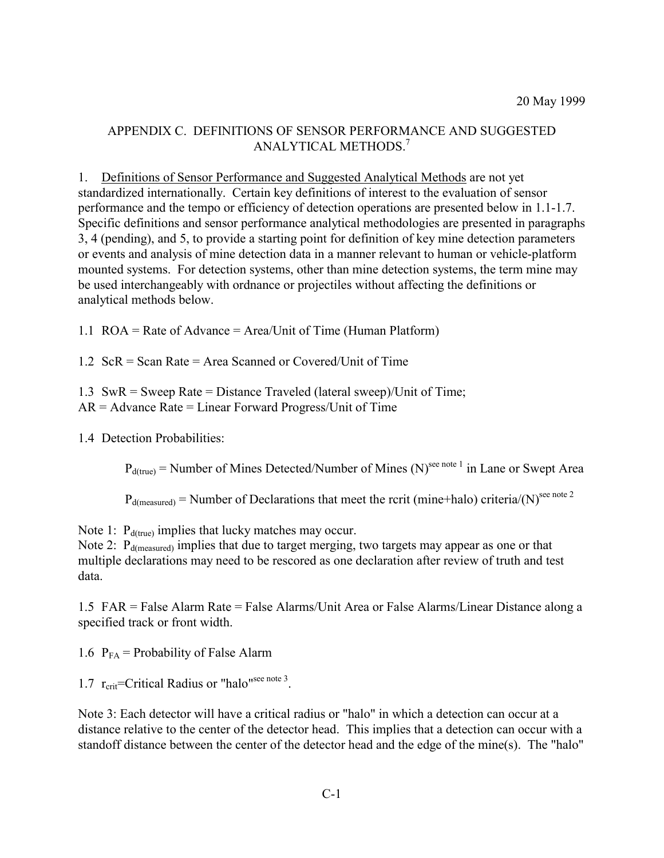## APPENDIX C. DEFINITIONS OF SENSOR PERFORMANCE AND SUGGESTED ANALYTICAL METHODS.<sup>7</sup>

1. Definitions of Sensor Performance and Suggested Analytical Methods are not yet standardized internationally. Certain key definitions of interest to the evaluation of sensor performance and the tempo or efficiency of detection operations are presented below in 1.1-1.7. Specific definitions and sensor performance analytical methodologies are presented in paragraphs 3, 4 (pending), and 5, to provide a starting point for definition of key mine detection parameters or events and analysis of mine detection data in a manner relevant to human or vehicle-platform mounted systems. For detection systems, other than mine detection systems, the term mine may be used interchangeably with ordnance or projectiles without affecting the definitions or analytical methods below.

1.1 ROA = Rate of Advance = Area/Unit of Time (Human Platform)

1.2 ScR = Scan Rate = Area Scanned or Covered/Unit of Time

1.3 SwR = Sweep Rate = Distance Traveled (lateral sweep)/Unit of Time;

 $AR = Advance Rate = Linear Forward Progress/Unit of Time$ 

1.4 Detection Probabilities:

 $P_{d(true)}$  = Number of Mines Detected/Number of Mines (N)<sup>see note 1</sup> in Lane or Swept Area

 $P_{d(measured)} =$  Number of Declarations that meet the rcrit (mine+halo) criteria/(N)<sup>see note 2</sup>

Note 1:  $P_{d(true)}$  implies that lucky matches may occur.

Note 2:  $P_{d(measured)}$  implies that due to target merging, two targets may appear as one or that multiple declarations may need to be rescored as one declaration after review of truth and test data.

1.5 FAR = False Alarm Rate = False Alarms/Unit Area or False Alarms/Linear Distance along a specified track or front width.

1.6  $P_{FA}$  = Probability of False Alarm

1.7  $r_{\text{crit}}$ =Critical Radius or "halo"<sup>see note 3</sup>.

Note 3: Each detector will have a critical radius or "halo" in which a detection can occur at a distance relative to the center of the detector head. This implies that a detection can occur with a standoff distance between the center of the detector head and the edge of the mine(s). The "halo"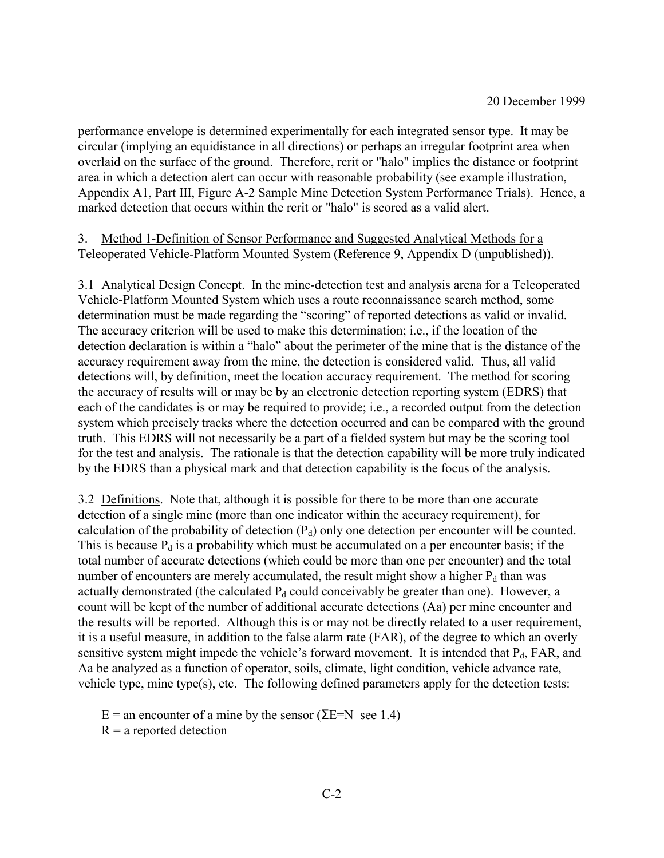performance envelope is determined experimentally for each integrated sensor type. It may be circular (implying an equidistance in all directions) or perhaps an irregular footprint area when overlaid on the surface of the ground. Therefore, rcrit or "halo" implies the distance or footprint area in which a detection alert can occur with reasonable probability (see example illustration, Appendix A1, Part III, Figure A-2 Sample Mine Detection System Performance Trials). Hence, a marked detection that occurs within the rcrit or "halo" is scored as a valid alert.

## 3. Method 1-Definition of Sensor Performance and Suggested Analytical Methods for a Teleoperated Vehicle-Platform Mounted System (Reference 9, Appendix D (unpublished)).

3.1 Analytical Design Concept. In the mine-detection test and analysis arena for a Teleoperated Vehicle-Platform Mounted System which uses a route reconnaissance search method, some determination must be made regarding the "scoring" of reported detections as valid or invalid. The accuracy criterion will be used to make this determination; i.e., if the location of the detection declaration is within a "halo" about the perimeter of the mine that is the distance of the accuracy requirement away from the mine, the detection is considered valid. Thus, all valid detections will, by definition, meet the location accuracy requirement. The method for scoring the accuracy of results will or may be by an electronic detection reporting system (EDRS) that each of the candidates is or may be required to provide; i.e., a recorded output from the detection system which precisely tracks where the detection occurred and can be compared with the ground truth. This EDRS will not necessarily be a part of a fielded system but may be the scoring tool for the test and analysis. The rationale is that the detection capability will be more truly indicated by the EDRS than a physical mark and that detection capability is the focus of the analysis.

3.2 Definitions. Note that, although it is possible for there to be more than one accurate detection of a single mine (more than one indicator within the accuracy requirement), for calculation of the probability of detection  $(P_d)$  only one detection per encounter will be counted. This is because  $P_d$  is a probability which must be accumulated on a per encounter basis; if the total number of accurate detections (which could be more than one per encounter) and the total number of encounters are merely accumulated, the result might show a higher  $P_d$  than was actually demonstrated (the calculated  $P_d$  could conceivably be greater than one). However, a count will be kept of the number of additional accurate detections (Aa) per mine encounter and the results will be reported. Although this is or may not be directly related to a user requirement, it is a useful measure, in addition to the false alarm rate (FAR), of the degree to which an overly sensitive system might impede the vehicle's forward movement. It is intended that  $P_d$ , FAR, and Aa be analyzed as a function of operator, soils, climate, light condition, vehicle advance rate, vehicle type, mine type(s), etc. The following defined parameters apply for the detection tests:

E = an encounter of a mine by the sensor ( $\Sigma$ E=N see 1.4)

 $R = a$  reported detection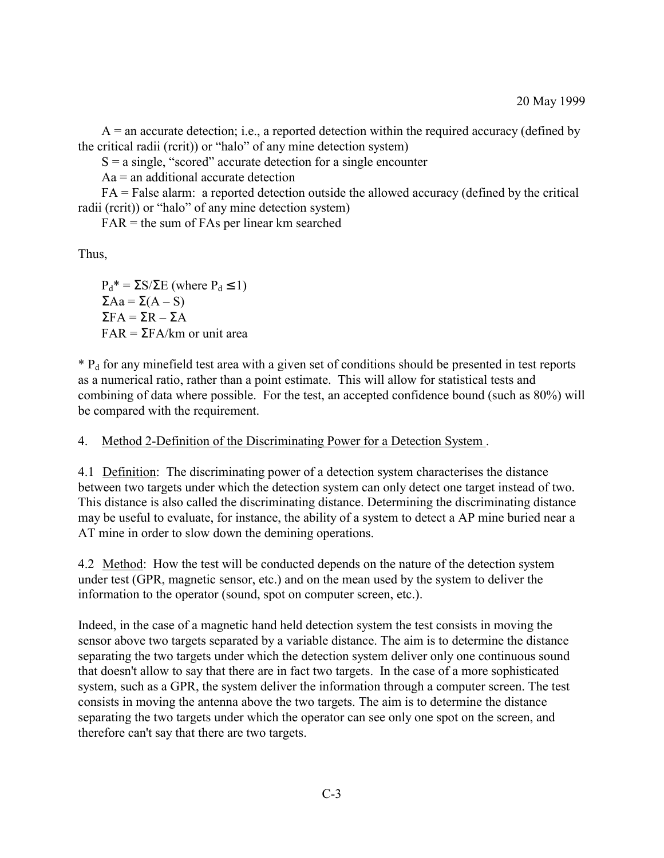$A =$  an accurate detection; i.e., a reported detection within the required accuracy (defined by the critical radii (rcrit)) or "halo" of any mine detection system)

 $S = a \text{ single}$ , "scored" accurate detection for a single encounter

 $Aa$  = an additional accurate detection

FA = False alarm: a reported detection outside the allowed accuracy (defined by the critical radii (rcrit)) or "halo" of any mine detection system)

FAR = the sum of FAs per linear km searched

Thus,

 $P_d^* = \Sigma S / \Sigma E$  (where  $P_d \le 1$ )  $\Sigma Aa = \Sigma(A - S)$  $\Sigma$ FA =  $\Sigma$ R –  $\Sigma$ A  $FAR = \Sigma FA/km$  or unit area

 $*$  P<sub>d</sub> for any minefield test area with a given set of conditions should be presented in test reports as a numerical ratio, rather than a point estimate. This will allow for statistical tests and combining of data where possible. For the test, an accepted confidence bound (such as 80%) will be compared with the requirement.

4. Method 2-Definition of the Discriminating Power for a Detection System .

4.1 Definition: The discriminating power of a detection system characterises the distance between two targets under which the detection system can only detect one target instead of two. This distance is also called the discriminating distance. Determining the discriminating distance may be useful to evaluate, for instance, the ability of a system to detect a AP mine buried near a AT mine in order to slow down the demining operations.

4.2 Method: How the test will be conducted depends on the nature of the detection system under test (GPR, magnetic sensor, etc.) and on the mean used by the system to deliver the information to the operator (sound, spot on computer screen, etc.).

Indeed, in the case of a magnetic hand held detection system the test consists in moving the sensor above two targets separated by a variable distance. The aim is to determine the distance separating the two targets under which the detection system deliver only one continuous sound that doesn't allow to say that there are in fact two targets. In the case of a more sophisticated system, such as a GPR, the system deliver the information through a computer screen. The test consists in moving the antenna above the two targets. The aim is to determine the distance separating the two targets under which the operator can see only one spot on the screen, and therefore can't say that there are two targets.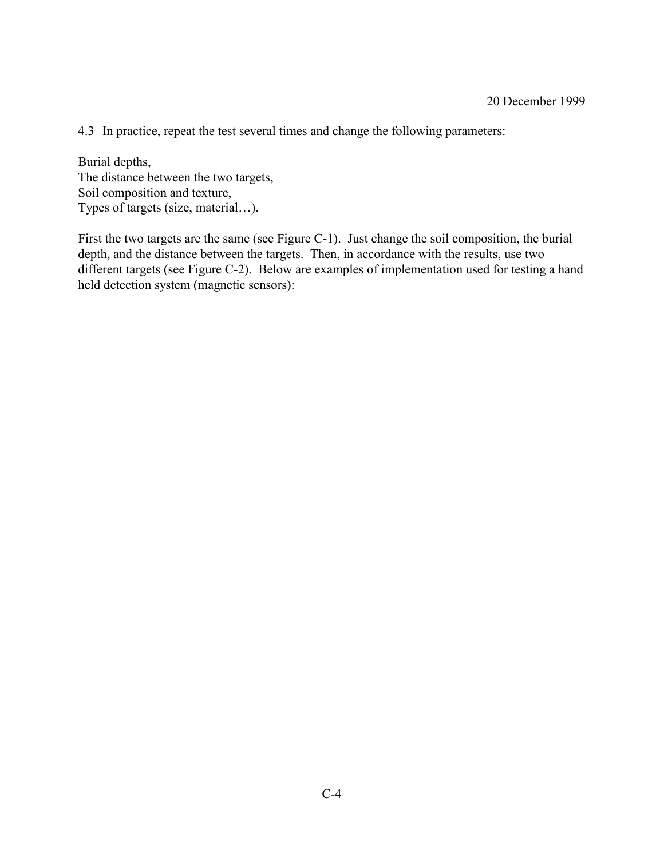4.3 In practice, repeat the test several times and change the following parameters:

Burial depths, The distance between the two targets, Soil composition and texture, Types of targets (size, material...).

First the two targets are the same (see Figure C-1). Just change the soil composition, the burial depth, and the distance between the targets. Then, in accordance with the results, use two different targets (see Figure C-2). Below are examples of implementation used for testing a hand held detection system (magnetic sensors):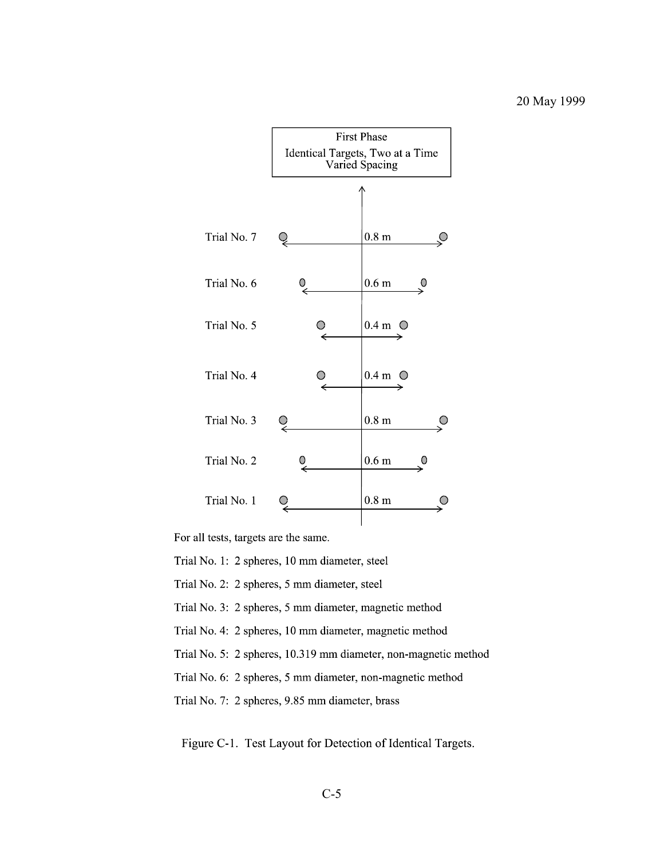

For all tests, targets are the same.

Trial No. 1: 2 spheres, 10 mm diameter, steel

Trial No. 2: 2 spheres, 5 mm diameter, steel

Trial No. 3: 2 spheres, 5 mm diameter, magnetic method

Trial No. 4: 2 spheres, 10 mm diameter, magnetic method

Trial No. 5: 2 spheres, 10.319 mm diameter, non-magnetic method

Trial No. 6: 2 spheres, 5 mm diameter, non-magnetic method

Trial No. 7: 2 spheres, 9.85 mm diameter, brass

Figure C-1. Test Layout for Detection of Identical Targets.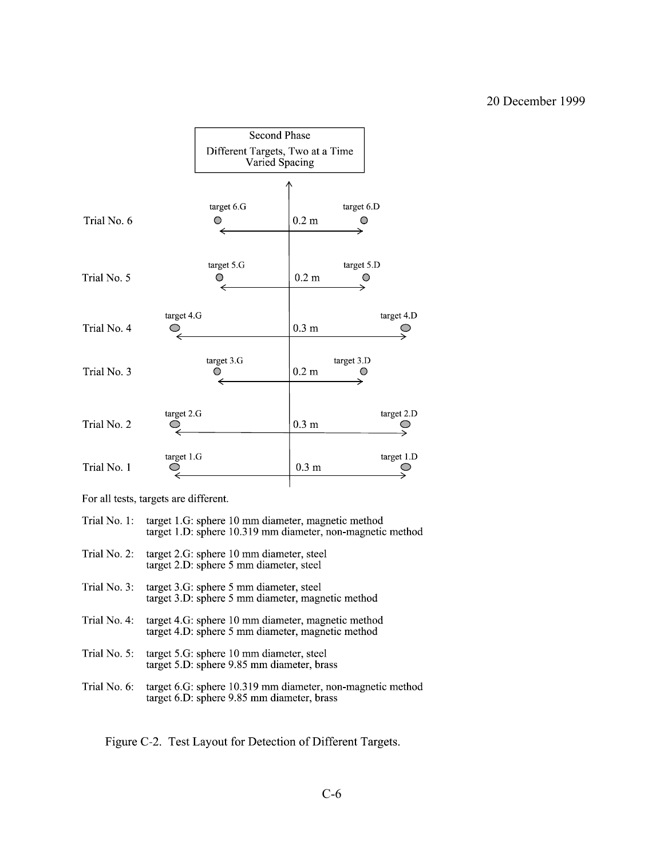

For all tests, targets are different.

| Trial No. 2:<br>target 2.G: sphere 10 mm diameter, steel<br>target 2.D: sphere 5 mm diameter, steel<br>Trial No. 3:<br>target 3.G: sphere 5 mm diameter, steel<br>target 3.D: sphere 5 mm diameter, magnetic method<br>Trial No. 4:<br>target 4.G: sphere 10 mm diameter, magnetic method<br>target 4.D: sphere 5 mm diameter, magnetic method<br>Trial No. 5:<br>target 5.G: sphere 10 mm diameter, steel<br>target 5.D: sphere 9.85 mm diameter, brass<br>Trial No. 6:<br>target 6.G: sphere 10.319 mm diameter, non-magnetic method<br>target 6.D: sphere 9.85 mm diameter, brass | Trial No. 1: | target 1.G: sphere 10 mm diameter, magnetic method<br>target 1.D: sphere 10.319 mm diameter, non-magnetic method |
|--------------------------------------------------------------------------------------------------------------------------------------------------------------------------------------------------------------------------------------------------------------------------------------------------------------------------------------------------------------------------------------------------------------------------------------------------------------------------------------------------------------------------------------------------------------------------------------|--------------|------------------------------------------------------------------------------------------------------------------|
|                                                                                                                                                                                                                                                                                                                                                                                                                                                                                                                                                                                      |              |                                                                                                                  |
|                                                                                                                                                                                                                                                                                                                                                                                                                                                                                                                                                                                      |              |                                                                                                                  |
|                                                                                                                                                                                                                                                                                                                                                                                                                                                                                                                                                                                      |              |                                                                                                                  |
|                                                                                                                                                                                                                                                                                                                                                                                                                                                                                                                                                                                      |              |                                                                                                                  |
|                                                                                                                                                                                                                                                                                                                                                                                                                                                                                                                                                                                      |              |                                                                                                                  |

Figure C-2. Test Layout for Detection of Different Targets.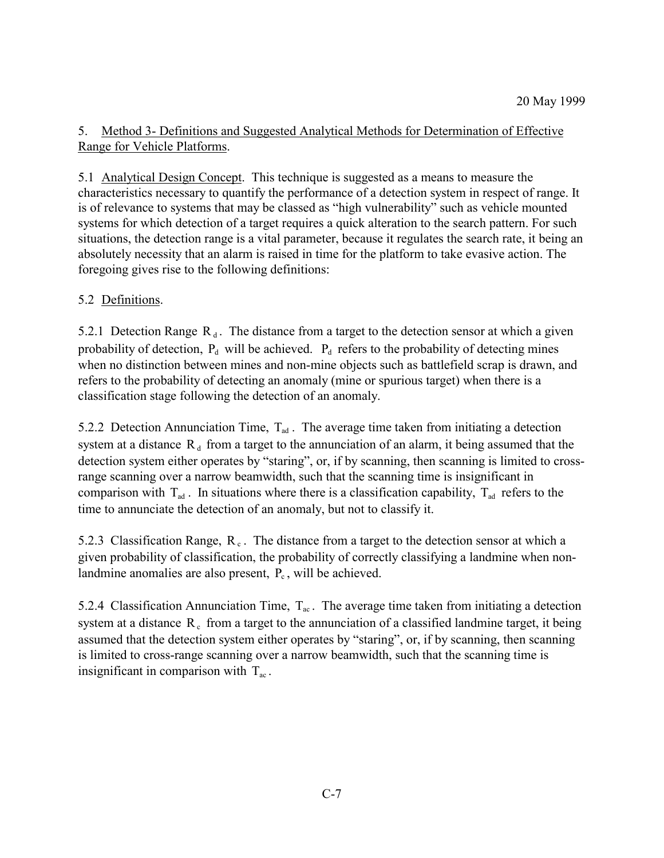# 5. Method 3- Definitions and Suggested Analytical Methods for Determination of Effective Range for Vehicle Platforms.

5.1 Analytical Design Concept. This technique is suggested as a means to measure the characteristics necessary to quantify the performance of a detection system in respect of range. It is of relevance to systems that may be classed as "high vulnerability" such as vehicle mounted systems for which detection of a target requires a quick alteration to the search pattern. For such situations, the detection range is a vital parameter, because it regulates the search rate, it being an absolutely necessity that an alarm is raised in time for the platform to take evasive action. The foregoing gives rise to the following definitions:

# 5.2 Definitions.

5.2.1 Detection Range  $R_d$ . The distance from a target to the detection sensor at which a given probability of detection,  $P_d$  will be achieved.  $P_d$  refers to the probability of detecting mines when no distinction between mines and non-mine objects such as battlefield scrap is drawn, and refers to the probability of detecting an anomaly (mine or spurious target) when there is a classification stage following the detection of an anomaly.

5.2.2 Detection Annunciation Time,  $T_{ad}$ . The average time taken from initiating a detection system at a distance  $R_d$  from a target to the annunciation of an alarm, it being assumed that the detection system either operates by "staring", or, if by scanning, then scanning is limited to crossrange scanning over a narrow beamwidth, such that the scanning time is insignificant in comparison with  $T_{ad}$ . In situations where there is a classification capability,  $T_{ad}$  refers to the time to annunciate the detection of an anomaly, but not to classify it.

5.2.3 Classification Range,  $R_c$ . The distance from a target to the detection sensor at which a given probability of classification, the probability of correctly classifying a landmine when nonlandmine anomalies are also present,  $P_c$ , will be achieved.

5.2.4 Classification Annunciation Time,  $T_{ac}$ . The average time taken from initiating a detection system at a distance  $R_c$  from a target to the annunciation of a classified landmine target, it being assumed that the detection system either operates by "staring", or, if by scanning, then scanning is limited to cross-range scanning over a narrow beamwidth, such that the scanning time is insignificant in comparison with  $T_{ac}$ .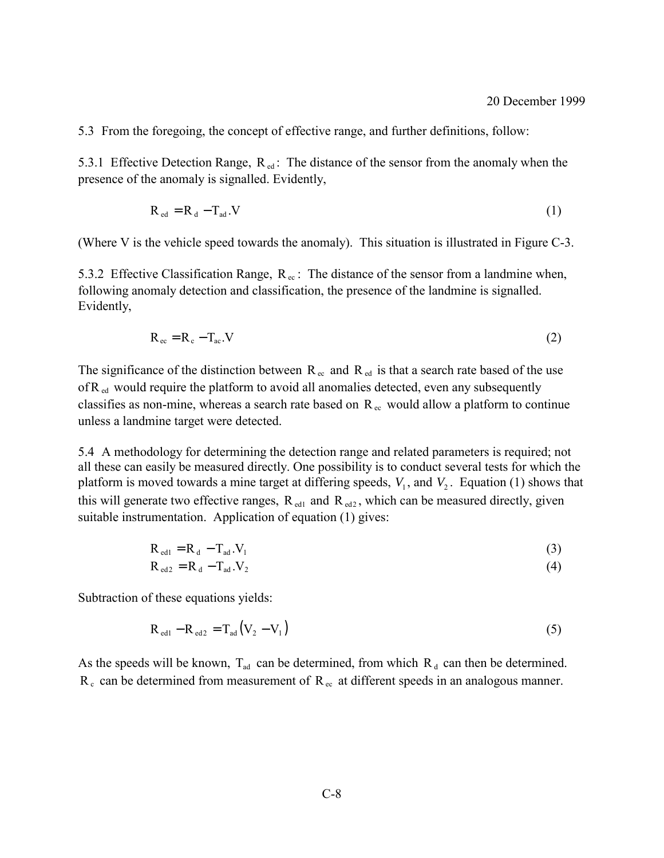5.3 From the foregoing, the concept of effective range, and further definitions, follow:

5.3.1 Effective Detection Range,  $R_{ed}$ : The distance of the sensor from the anomaly when the presence of the anomaly is signalled. Evidently,

$$
R_{\rm ed} = R_{\rm d} - T_{\rm ad} . V \tag{1}
$$

(Where V is the vehicle speed towards the anomaly). This situation is illustrated in Figure C-3.

5.3.2 Effective Classification Range,  $R_{ec}$ : The distance of the sensor from a landmine when, following anomaly detection and classification, the presence of the landmine is signalled. Evidently,

$$
R_{ec} = R_c - T_{ac}.V
$$
 (2)

The significance of the distinction between  $R_{ec}$  and  $R_{ed}$  is that a search rate based of the use of  $R_{\text{ed}}$  would require the platform to avoid all anomalies detected, even any subsequently classifies as non-mine, whereas a search rate based on  $R_{ec}$  would allow a platform to continue unless a landmine target were detected.

5.4 A methodology for determining the detection range and related parameters is required; not all these can easily be measured directly. One possibility is to conduct several tests for which the platform is moved towards a mine target at differing speeds,  $V_1$ , and  $V_2$ . Equation (1) shows that this will generate two effective ranges,  $R_{\text{ed1}}$  and  $R_{\text{ed2}}$ , which can be measured directly, given suitable instrumentation. Application of equation (1) gives:

$$
R_{\text{ed1}} = R_{\text{d}} - T_{\text{ad}} V_1 \tag{3}
$$

$$
R_{\rm ed2} = R_d - T_{\rm ad} . V_2 \tag{4}
$$

Subtraction of these equations yields:

$$
R_{\text{ed1}} - R_{\text{ed2}} = T_{\text{ad}} (V_2 - V_1) \tag{5}
$$

As the speeds will be known,  $T_{ad}$  can be determined, from which  $R_d$  can then be determined.  $R_c$  can be determined from measurement of  $R_{ec}$  at different speeds in an analogous manner.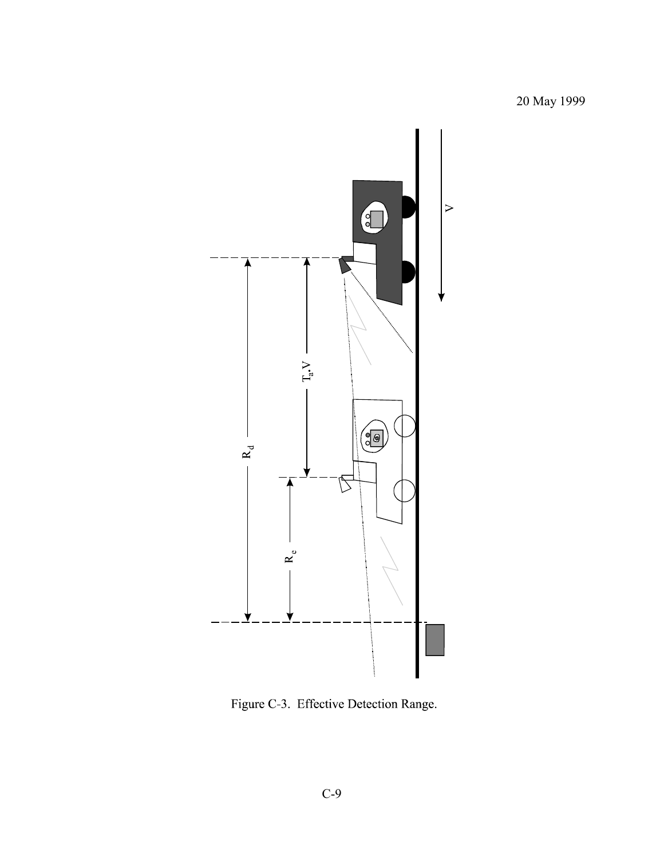

Figure C-3. Effective Detection Range.